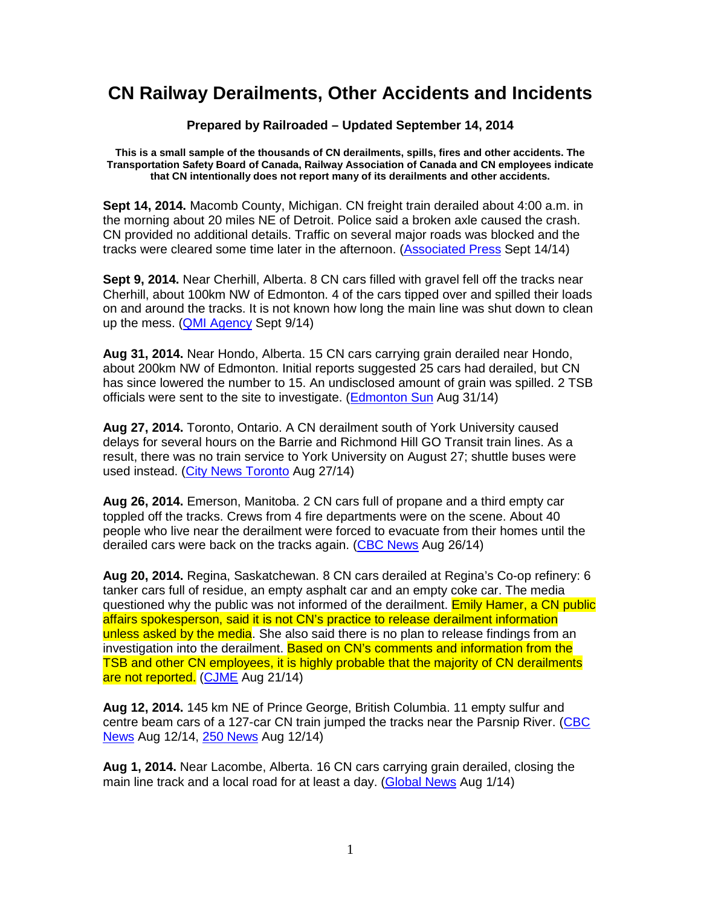## **CN Railway Derailments, Other Accidents and Incidents**

## **Prepared by Railroaded – Updated September 14, 2014**

**This is a small sample of the thousands of CN derailments, spills, fires and other accidents. The Transportation Safety Board of Canada, Railway Association of Canada and CN employees indicate that CN intentionally does not report many of its derailments and other accidents.** 

**Sept 14, 2014.** Macomb County, Michigan. CN freight train derailed about 4:00 a.m. in the morning about 20 miles NE of Detroit. Police said a broken axle caused the crash. CN provided no additional details. Traffic on several major roads was blocked and the tracks were cleared some time later in the afternoon. (Associated Press Sept 14/14)

**Sept 9, 2014.** Near Cherhill, Alberta. 8 CN cars filled with gravel fell off the tracks near Cherhill, about 100km NW of Edmonton. 4 of the cars tipped over and spilled their loads on and around the tracks. It is not known how long the main line was shut down to clean up the mess. (QMI Agency Sept 9/14)

**Aug 31, 2014.** Near Hondo, Alberta. 15 CN cars carrying grain derailed near Hondo, about 200km NW of Edmonton. Initial reports suggested 25 cars had derailed, but CN has since lowered the number to 15. An undisclosed amount of grain was spilled. 2 TSB officials were sent to the site to investigate. (Edmonton Sun Aug 31/14)

**Aug 27, 2014.** Toronto, Ontario. A CN derailment south of York University caused delays for several hours on the Barrie and Richmond Hill GO Transit train lines. As a result, there was no train service to York University on August 27; shuttle buses were used instead. (City News Toronto Aug 27/14)

**Aug 26, 2014.** Emerson, Manitoba. 2 CN cars full of propane and a third empty car toppled off the tracks. Crews from 4 fire departments were on the scene. About 40 people who live near the derailment were forced to evacuate from their homes until the derailed cars were back on the tracks again. (CBC News Aug 26/14)

**Aug 20, 2014.** Regina, Saskatchewan. 8 CN cars derailed at Regina's Co-op refinery: 6 tanker cars full of residue, an empty asphalt car and an empty coke car. The media questioned why the public was not informed of the derailment. Emily Hamer, a CN public affairs spokesperson, said it is not CN's practice to release derailment information unless asked by the media. She also said there is no plan to release findings from an investigation into the derailment. Based on CN's comments and information from the TSB and other CN employees, it is highly probable that the majority of CN derailments are not reported. (CJME Aug 21/14)

**Aug 12, 2014.** 145 km NE of Prince George, British Columbia. 11 empty sulfur and centre beam cars of a 127-car CN train jumped the tracks near the Parsnip River. (CBC News Aug 12/14, 250 News Aug 12/14)

**Aug 1, 2014.** Near Lacombe, Alberta. 16 CN cars carrying grain derailed, closing the main line track and a local road for at least a day. (Global News Aug 1/14)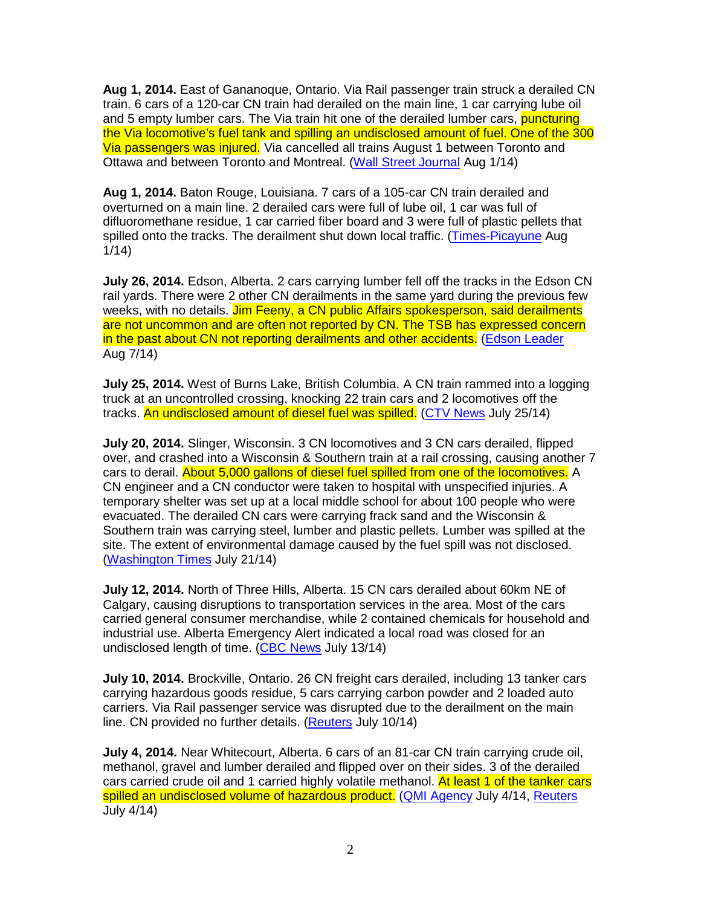**Aug 1, 2014.** East of Gananoque, Ontario. Via Rail passenger train struck a derailed CN train. 6 cars of a 120-car CN train had derailed on the main line, 1 car carrying lube oil and 5 empty lumber cars. The Via train hit one of the derailed lumber cars, **puncturing** the Via locomotive's fuel tank and spilling an undisclosed amount of fuel. One of the 300 Via passengers was injured. Via cancelled all trains August 1 between Toronto and Ottawa and between Toronto and Montreal. (Wall Street Journal Aug 1/14)

**Aug 1, 2014.** Baton Rouge, Louisiana. 7 cars of a 105-car CN train derailed and overturned on a main line. 2 derailed cars were full of lube oil, 1 car was full of difluoromethane residue, 1 car carried fiber board and 3 were full of plastic pellets that spilled onto the tracks. The derailment shut down local traffic. (Times-Picayune Aug 1/14)

**July 26, 2014.** Edson, Alberta. 2 cars carrying lumber fell off the tracks in the Edson CN rail yards. There were 2 other CN derailments in the same yard during the previous few weeks, with no details. Jim Feeny, a CN public Affairs spokesperson, said derailments are not uncommon and are often not reported by CN. The TSB has expressed concern in the past about CN not reporting derailments and other accidents. (Edson Leader Aug 7/14)

**July 25, 2014.** West of Burns Lake, British Columbia. A CN train rammed into a logging truck at an uncontrolled crossing, knocking 22 train cars and 2 locomotives off the tracks. An undisclosed amount of diesel fuel was spilled. (CTV News July 25/14)

**July 20, 2014.** Slinger, Wisconsin. 3 CN locomotives and 3 CN cars derailed, flipped over, and crashed into a Wisconsin & Southern train at a rail crossing, causing another 7 cars to derail. About 5,000 gallons of diesel fuel spilled from one of the locomotives. A CN engineer and a CN conductor were taken to hospital with unspecified injuries. A temporary shelter was set up at a local middle school for about 100 people who were evacuated. The derailed CN cars were carrying frack sand and the Wisconsin & Southern train was carrying steel, lumber and plastic pellets. Lumber was spilled at the site. The extent of environmental damage caused by the fuel spill was not disclosed. (Washington Times July 21/14)

**July 12, 2014.** North of Three Hills, Alberta. 15 CN cars derailed about 60km NE of Calgary, causing disruptions to transportation services in the area. Most of the cars carried general consumer merchandise, while 2 contained chemicals for household and industrial use. Alberta Emergency Alert indicated a local road was closed for an undisclosed length of time. (CBC News July 13/14)

**July 10, 2014.** Brockville, Ontario. 26 CN freight cars derailed, including 13 tanker cars carrying hazardous goods residue, 5 cars carrying carbon powder and 2 loaded auto carriers. Via Rail passenger service was disrupted due to the derailment on the main line. CN provided no further details. (Reuters July 10/14)

**July 4, 2014.** Near Whitecourt, Alberta. 6 cars of an 81-car CN train carrying crude oil, methanol, gravel and lumber derailed and flipped over on their sides. 3 of the derailed cars carried crude oil and 1 carried highly volatile methanol. At least 1 of the tanker cars spilled an undisclosed volume of hazardous product. (QMI Agency July 4/14, Reuters July 4/14)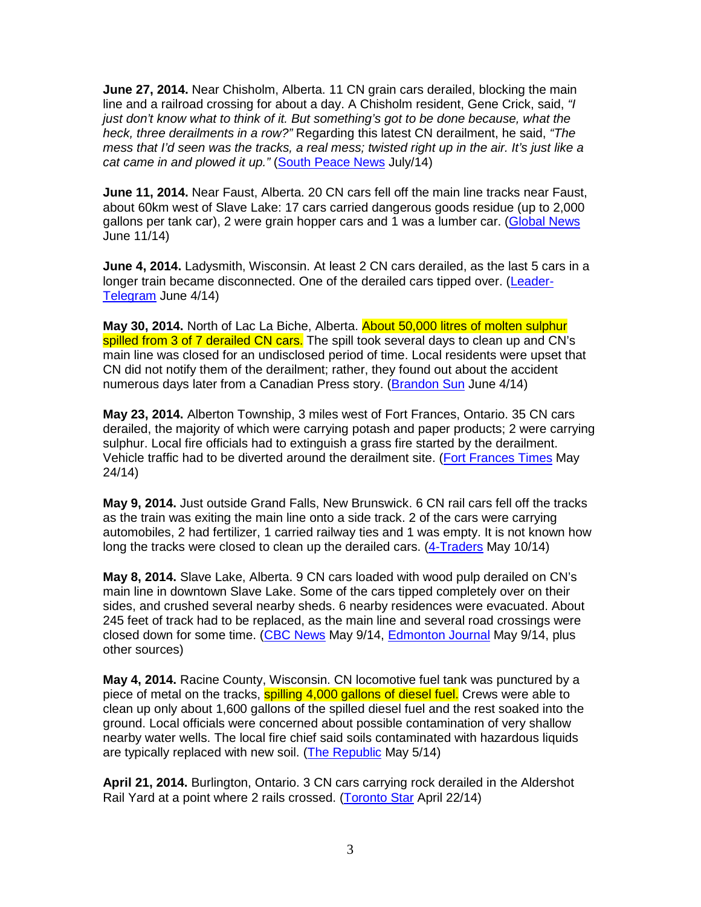**June 27, 2014.** Near Chisholm, Alberta. 11 CN grain cars derailed, blocking the main line and a railroad crossing for about a day. A Chisholm resident, Gene Crick, said, "I just don't know what to think of it. But something's got to be done because, what the heck, three derailments in a row?" Regarding this latest CN derailment, he said, "The mess that I'd seen was the tracks, a real mess; twisted right up in the air. It's just like a cat came in and plowed it up." (South Peace News July/14)

**June 11, 2014.** Near Faust, Alberta. 20 CN cars fell off the main line tracks near Faust, about 60km west of Slave Lake: 17 cars carried dangerous goods residue (up to 2,000 gallons per tank car), 2 were grain hopper cars and 1 was a lumber car. (Global News June 11/14)

**June 4, 2014.** Ladysmith, Wisconsin. At least 2 CN cars derailed, as the last 5 cars in a longer train became disconnected. One of the derailed cars tipped over. (Leader-Telegram June 4/14)

**May 30, 2014.** North of Lac La Biche, Alberta. About 50,000 litres of molten sulphur spilled from 3 of 7 derailed CN cars. The spill took several days to clean up and CN's main line was closed for an undisclosed period of time. Local residents were upset that CN did not notify them of the derailment; rather, they found out about the accident numerous days later from a Canadian Press story. (Brandon Sun June 4/14)

**May 23, 2014.** Alberton Township, 3 miles west of Fort Frances, Ontario. 35 CN cars derailed, the majority of which were carrying potash and paper products; 2 were carrying sulphur. Local fire officials had to extinguish a grass fire started by the derailment. Vehicle traffic had to be diverted around the derailment site. (Fort Frances Times May 24/14)

**May 9, 2014.** Just outside Grand Falls, New Brunswick. 6 CN rail cars fell off the tracks as the train was exiting the main line onto a side track. 2 of the cars were carrying automobiles, 2 had fertilizer, 1 carried railway ties and 1 was empty. It is not known how long the tracks were closed to clean up the derailed cars. (4-Traders May 10/14)

**May 8, 2014.** Slave Lake, Alberta. 9 CN cars loaded with wood pulp derailed on CN's main line in downtown Slave Lake. Some of the cars tipped completely over on their sides, and crushed several nearby sheds. 6 nearby residences were evacuated. About 245 feet of track had to be replaced, as the main line and several road crossings were closed down for some time. (CBC News May 9/14, Edmonton Journal May 9/14, plus other sources)

**May 4, 2014.** Racine County, Wisconsin. CN locomotive fuel tank was punctured by a piece of metal on the tracks, **spilling 4,000 gallons of diesel fuel.** Crews were able to clean up only about 1,600 gallons of the spilled diesel fuel and the rest soaked into the ground. Local officials were concerned about possible contamination of very shallow nearby water wells. The local fire chief said soils contaminated with hazardous liquids are typically replaced with new soil. (The Republic May 5/14)

**April 21, 2014.** Burlington, Ontario. 3 CN cars carrying rock derailed in the Aldershot Rail Yard at a point where 2 rails crossed. (Toronto Star April 22/14)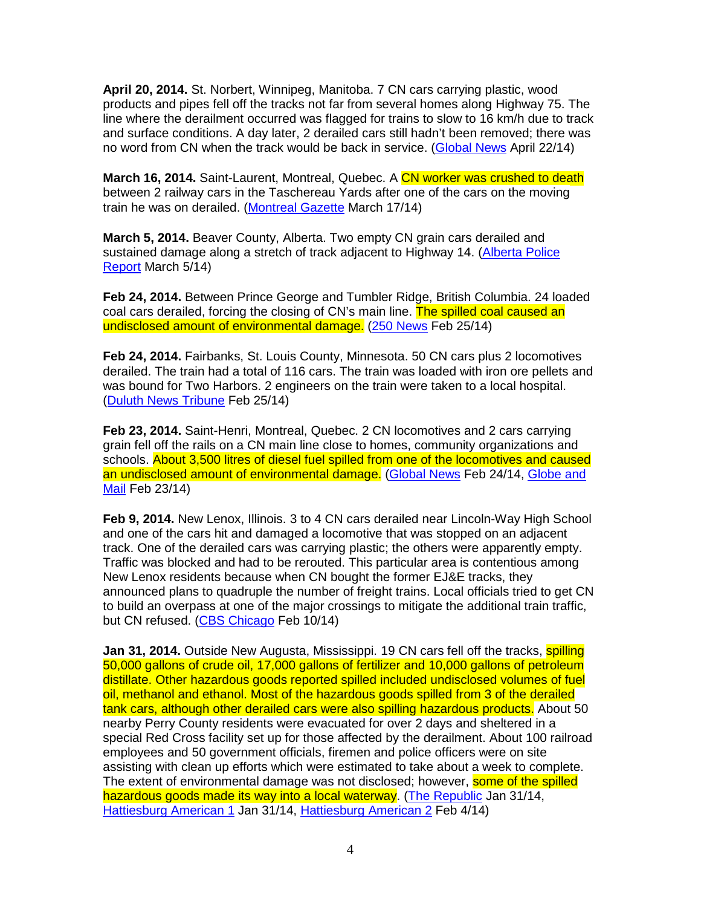**April 20, 2014.** St. Norbert, Winnipeg, Manitoba. 7 CN cars carrying plastic, wood products and pipes fell off the tracks not far from several homes along Highway 75. The line where the derailment occurred was flagged for trains to slow to 16 km/h due to track and surface conditions. A day later, 2 derailed cars still hadn't been removed; there was no word from CN when the track would be back in service. (Global News April 22/14)

**March 16, 2014.** Saint-Laurent, Montreal, Quebec. A CN worker was crushed to death between 2 railway cars in the Taschereau Yards after one of the cars on the moving train he was on derailed. (Montreal Gazette March 17/14)

**March 5, 2014.** Beaver County, Alberta. Two empty CN grain cars derailed and sustained damage along a stretch of track adjacent to Highway 14. (Alberta Police Report March 5/14)

**Feb 24, 2014.** Between Prince George and Tumbler Ridge, British Columbia. 24 loaded coal cars derailed, forcing the closing of CN's main line. The spilled coal caused an undisclosed amount of environmental damage. (250 News Feb 25/14)

**Feb 24, 2014.** Fairbanks, St. Louis County, Minnesota. 50 CN cars plus 2 locomotives derailed. The train had a total of 116 cars. The train was loaded with iron ore pellets and was bound for Two Harbors. 2 engineers on the train were taken to a local hospital. (Duluth News Tribune Feb 25/14)

**Feb 23, 2014.** Saint-Henri, Montreal, Quebec. 2 CN locomotives and 2 cars carrying grain fell off the rails on a CN main line close to homes, community organizations and schools. About 3,500 litres of diesel fuel spilled from one of the locomotives and caused an undisclosed amount of environmental damage. (Global News Feb 24/14, Globe and Mail Feb 23/14)

**Feb 9, 2014.** New Lenox, Illinois. 3 to 4 CN cars derailed near Lincoln-Way High School and one of the cars hit and damaged a locomotive that was stopped on an adjacent track. One of the derailed cars was carrying plastic; the others were apparently empty. Traffic was blocked and had to be rerouted. This particular area is contentious among New Lenox residents because when CN bought the former EJ&E tracks, they announced plans to quadruple the number of freight trains. Local officials tried to get CN to build an overpass at one of the major crossings to mitigate the additional train traffic, but CN refused. (CBS Chicago Feb 10/14)

**Jan 31, 2014.** Outside New Augusta, Mississippi. 19 CN cars fell off the tracks, **spilling** 50,000 gallons of crude oil, 17,000 gallons of fertilizer and 10,000 gallons of petroleum distillate. Other hazardous goods reported spilled included undisclosed volumes of fuel oil, methanol and ethanol. Most of the hazardous goods spilled from 3 of the derailed tank cars, although other derailed cars were also spilling hazardous products. About 50 nearby Perry County residents were evacuated for over 2 days and sheltered in a special Red Cross facility set up for those affected by the derailment. About 100 railroad employees and 50 government officials, firemen and police officers were on site assisting with clean up efforts which were estimated to take about a week to complete. The extent of environmental damage was not disclosed; however, some of the spilled hazardous goods made its way into a local waterway. (The Republic Jan 31/14, Hattiesburg American 1 Jan 31/14, Hattiesburg American 2 Feb 4/14)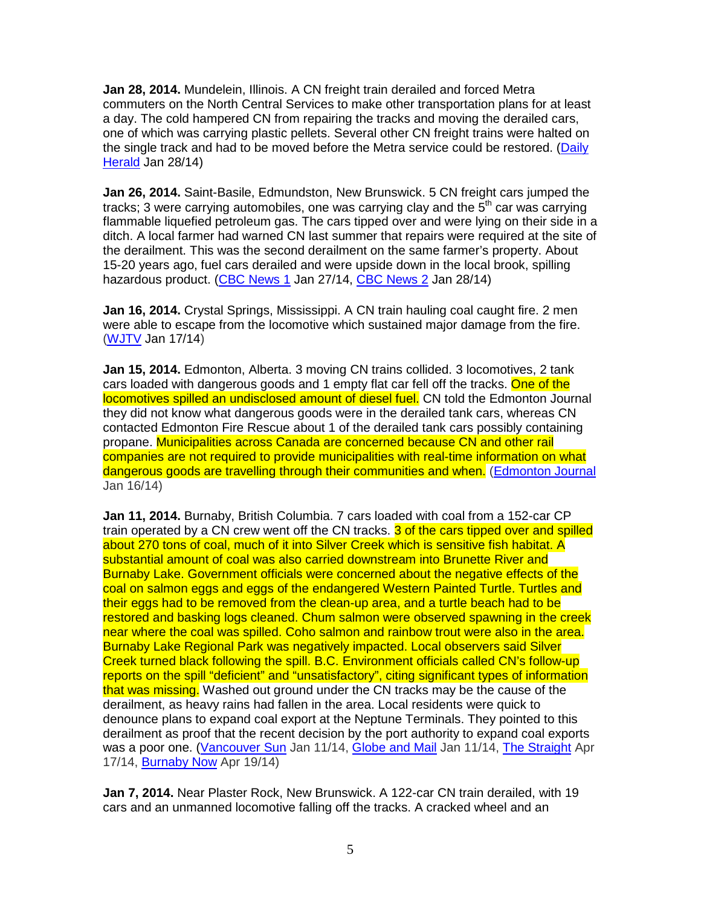**Jan 28, 2014.** Mundelein, Illinois. A CN freight train derailed and forced Metra commuters on the North Central Services to make other transportation plans for at least a day. The cold hampered CN from repairing the tracks and moving the derailed cars, one of which was carrying plastic pellets. Several other CN freight trains were halted on the single track and had to be moved before the Metra service could be restored. (Daily Herald Jan 28/14)

**Jan 26, 2014.** Saint-Basile, Edmundston, New Brunswick. 5 CN freight cars jumped the tracks; 3 were carrying automobiles, one was carrying clay and the 5<sup>th</sup> car was carrying flammable liquefied petroleum gas. The cars tipped over and were lying on their side in a ditch. A local farmer had warned CN last summer that repairs were required at the site of the derailment. This was the second derailment on the same farmer's property. About 15-20 years ago, fuel cars derailed and were upside down in the local brook, spilling hazardous product. (CBC News 1 Jan 27/14, CBC News 2 Jan 28/14)

**Jan 16, 2014.** Crystal Springs, Mississippi. A CN train hauling coal caught fire. 2 men were able to escape from the locomotive which sustained major damage from the fire. (WJTV Jan 17/14)

**Jan 15, 2014.** Edmonton, Alberta. 3 moving CN trains collided. 3 locomotives, 2 tank cars loaded with dangerous goods and 1 empty flat car fell off the tracks. One of the locomotives spilled an undisclosed amount of diesel fuel. CN told the Edmonton Journal they did not know what dangerous goods were in the derailed tank cars, whereas CN contacted Edmonton Fire Rescue about 1 of the derailed tank cars possibly containing propane. Municipalities across Canada are concerned because CN and other rail companies are not required to provide municipalities with real-time information on what dangerous goods are travelling through their communities and when. (Edmonton Journal Jan 16/14)

**Jan 11, 2014.** Burnaby, British Columbia. 7 cars loaded with coal from a 152-car CP train operated by a CN crew went off the CN tracks. 3 of the cars tipped over and spilled about 270 tons of coal, much of it into Silver Creek which is sensitive fish habitat. A substantial amount of coal was also carried downstream into Brunette River and Burnaby Lake. Government officials were concerned about the negative effects of the coal on salmon eggs and eggs of the endangered Western Painted Turtle. Turtles and their eggs had to be removed from the clean-up area, and a turtle beach had to be restored and basking logs cleaned. Chum salmon were observed spawning in the creek near where the coal was spilled. Coho salmon and rainbow trout were also in the area. Burnaby Lake Regional Park was negatively impacted. Local observers said Silver Creek turned black following the spill. B.C. Environment officials called CN's follow-up reports on the spill "deficient" and "unsatisfactory", citing significant types of information that was missing. Washed out ground under the CN tracks may be the cause of the derailment, as heavy rains had fallen in the area. Local residents were quick to denounce plans to expand coal export at the Neptune Terminals. They pointed to this derailment as proof that the recent decision by the port authority to expand coal exports was a poor one. (Vancouver Sun Jan 11/14, Globe and Mail Jan 11/14, The Straight Apr 17/14, Burnaby Now Apr 19/14)

**Jan 7, 2014.** Near Plaster Rock, New Brunswick. A 122-car CN train derailed, with 19 cars and an unmanned locomotive falling off the tracks. A cracked wheel and an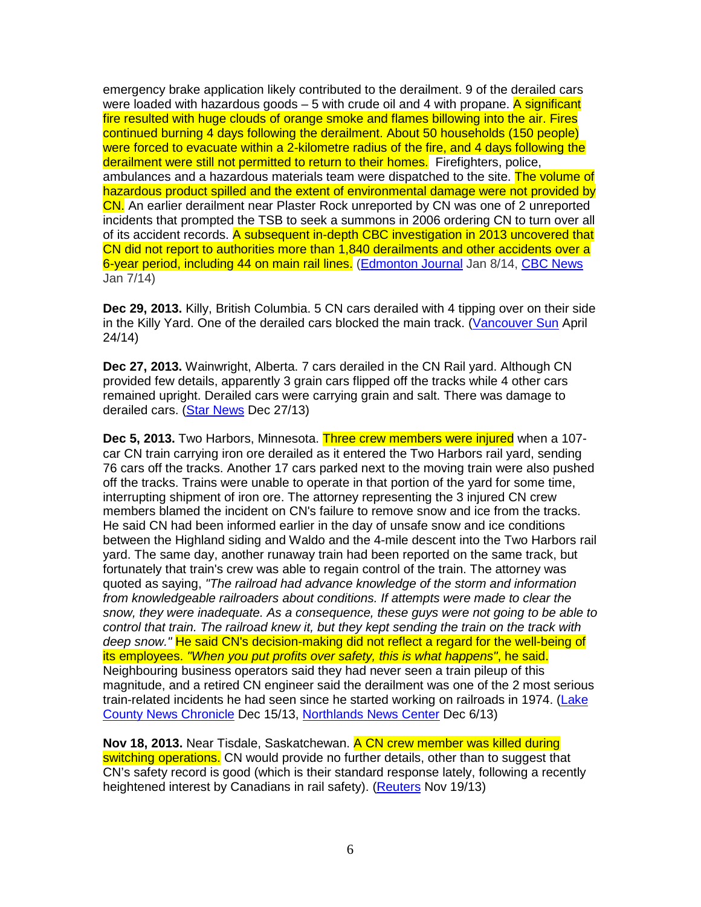emergency brake application likely contributed to the derailment. 9 of the derailed cars were loaded with hazardous goods  $-5$  with crude oil and 4 with propane. A significant fire resulted with huge clouds of orange smoke and flames billowing into the air. Fires continued burning 4 days following the derailment. About 50 households (150 people) were forced to evacuate within a 2-kilometre radius of the fire, and 4 days following the derailment were still not permitted to return to their homes. Firefighters, police, ambulances and a hazardous materials team were dispatched to the site. The volume of hazardous product spilled and the extent of environmental damage were not provided by CN. An earlier derailment near Plaster Rock unreported by CN was one of 2 unreported incidents that prompted the TSB to seek a summons in 2006 ordering CN to turn over all of its accident records. A subsequent in-depth CBC investigation in 2013 uncovered that CN did not report to authorities more than 1,840 derailments and other accidents over a 6-year period, including 44 on main rail lines. (Edmonton Journal Jan 8/14, CBC News Jan 7/14)

**Dec 29, 2013.** Killy, British Columbia. 5 CN cars derailed with 4 tipping over on their side in the Killy Yard. One of the derailed cars blocked the main track. (Vancouver Sun April 24/14)

**Dec 27, 2013.** Wainwright, Alberta. 7 cars derailed in the CN Rail yard. Although CN provided few details, apparently 3 grain cars flipped off the tracks while 4 other cars remained upright. Derailed cars were carrying grain and salt. There was damage to derailed cars. (Star News Dec 27/13)

**Dec 5, 2013.** Two Harbors, Minnesota. Three crew members were injured when a 107 car CN train carrying iron ore derailed as it entered the Two Harbors rail yard, sending 76 cars off the tracks. Another 17 cars parked next to the moving train were also pushed off the tracks. Trains were unable to operate in that portion of the yard for some time, interrupting shipment of iron ore. The attorney representing the 3 injured CN crew members blamed the incident on CN's failure to remove snow and ice from the tracks. He said CN had been informed earlier in the day of unsafe snow and ice conditions between the Highland siding and Waldo and the 4-mile descent into the Two Harbors rail yard. The same day, another runaway train had been reported on the same track, but fortunately that train's crew was able to regain control of the train. The attorney was quoted as saying, "The railroad had advance knowledge of the storm and information from knowledgeable railroaders about conditions. If attempts were made to clear the snow, they were inadequate. As a consequence, these guys were not going to be able to control that train. The railroad knew it, but they kept sending the train on the track with deep snow." He said CN's decision-making did not reflect a regard for the well-being of its employees. "When you put profits over safety, this is what happens", he said. Neighbouring business operators said they had never seen a train pileup of this magnitude, and a retired CN engineer said the derailment was one of the 2 most serious train-related incidents he had seen since he started working on railroads in 1974. (Lake County News Chronicle Dec 15/13, Northlands News Center Dec 6/13)

**Nov 18, 2013.** Near Tisdale, Saskatchewan. A CN crew member was killed during switching operations. CN would provide no further details, other than to suggest that CN's safety record is good (which is their standard response lately, following a recently heightened interest by Canadians in rail safety). (Reuters Nov 19/13)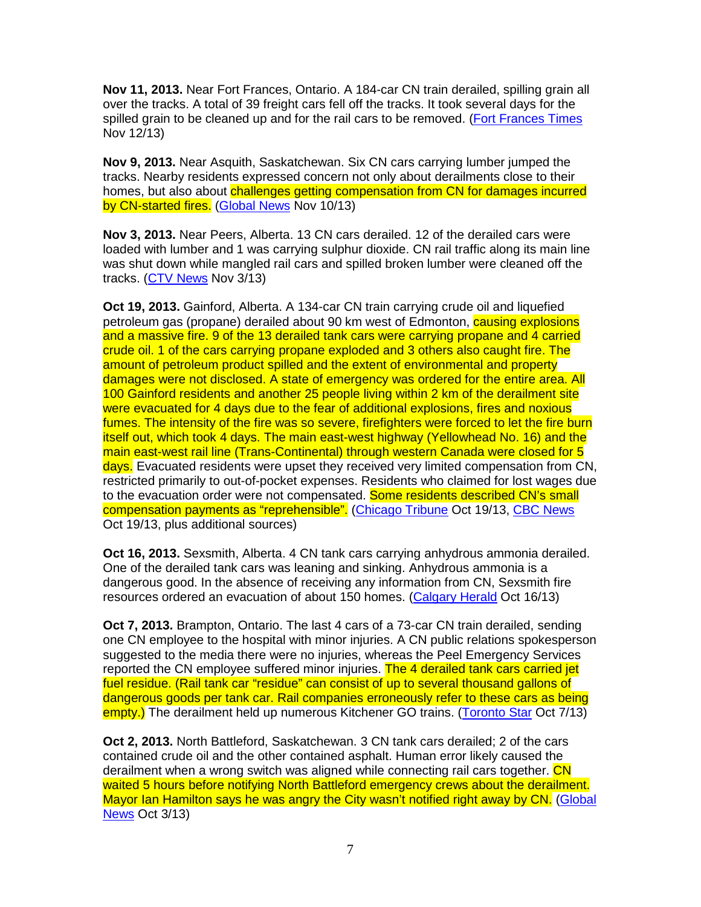**Nov 11, 2013.** Near Fort Frances, Ontario. A 184-car CN train derailed, spilling grain all over the tracks. A total of 39 freight cars fell off the tracks. It took several days for the spilled grain to be cleaned up and for the rail cars to be removed. (Fort Frances Times Nov 12/13)

**Nov 9, 2013.** Near Asquith, Saskatchewan. Six CN cars carrying lumber jumped the tracks. Nearby residents expressed concern not only about derailments close to their homes, but also about challenges getting compensation from CN for damages incurred by CN-started fires. (Global News Nov 10/13)

**Nov 3, 2013.** Near Peers, Alberta. 13 CN cars derailed. 12 of the derailed cars were loaded with lumber and 1 was carrying sulphur dioxide. CN rail traffic along its main line was shut down while mangled rail cars and spilled broken lumber were cleaned off the tracks. (CTV News Nov 3/13)

**Oct 19, 2013.** Gainford, Alberta. A 134-car CN train carrying crude oil and liquefied petroleum gas (propane) derailed about 90 km west of Edmonton, **causing explosions** and a massive fire. 9 of the 13 derailed tank cars were carrying propane and 4 carried crude oil. 1 of the cars carrying propane exploded and 3 others also caught fire. The amount of petroleum product spilled and the extent of environmental and property damages were not disclosed. A state of emergency was ordered for the entire area. All 100 Gainford residents and another 25 people living within 2 km of the derailment site were evacuated for 4 days due to the fear of additional explosions, fires and noxious fumes. The intensity of the fire was so severe, firefighters were forced to let the fire burn itself out, which took 4 days. The main east-west highway (Yellowhead No. 16) and the main east-west rail line (Trans-Continental) through western Canada were closed for 5 days. Evacuated residents were upset they received very limited compensation from CN, restricted primarily to out-of-pocket expenses. Residents who claimed for lost wages due to the evacuation order were not compensated. Some residents described CN's small compensation payments as "reprehensible". (Chicago Tribune Oct 19/13, CBC News Oct 19/13, plus additional sources)

**Oct 16, 2013.** Sexsmith, Alberta. 4 CN tank cars carrying anhydrous ammonia derailed. One of the derailed tank cars was leaning and sinking. Anhydrous ammonia is a dangerous good. In the absence of receiving any information from CN, Sexsmith fire resources ordered an evacuation of about 150 homes. (Calgary Herald Oct 16/13)

**Oct 7, 2013.** Brampton, Ontario. The last 4 cars of a 73-car CN train derailed, sending one CN employee to the hospital with minor injuries. A CN public relations spokesperson suggested to the media there were no injuries, whereas the Peel Emergency Services reported the CN employee suffered minor injuries. The 4 derailed tank cars carried jet fuel residue. (Rail tank car "residue" can consist of up to several thousand gallons of dangerous goods per tank car. Rail companies erroneously refer to these cars as being empty.) The derailment held up numerous Kitchener GO trains. (Toronto Star Oct 7/13)

**Oct 2, 2013.** North Battleford, Saskatchewan. 3 CN tank cars derailed; 2 of the cars contained crude oil and the other contained asphalt. Human error likely caused the derailment when a wrong switch was aligned while connecting rail cars together. CN waited 5 hours before notifying North Battleford emergency crews about the derailment. Mayor Ian Hamilton says he was angry the City wasn't notified right away by CN. (Global News Oct 3/13)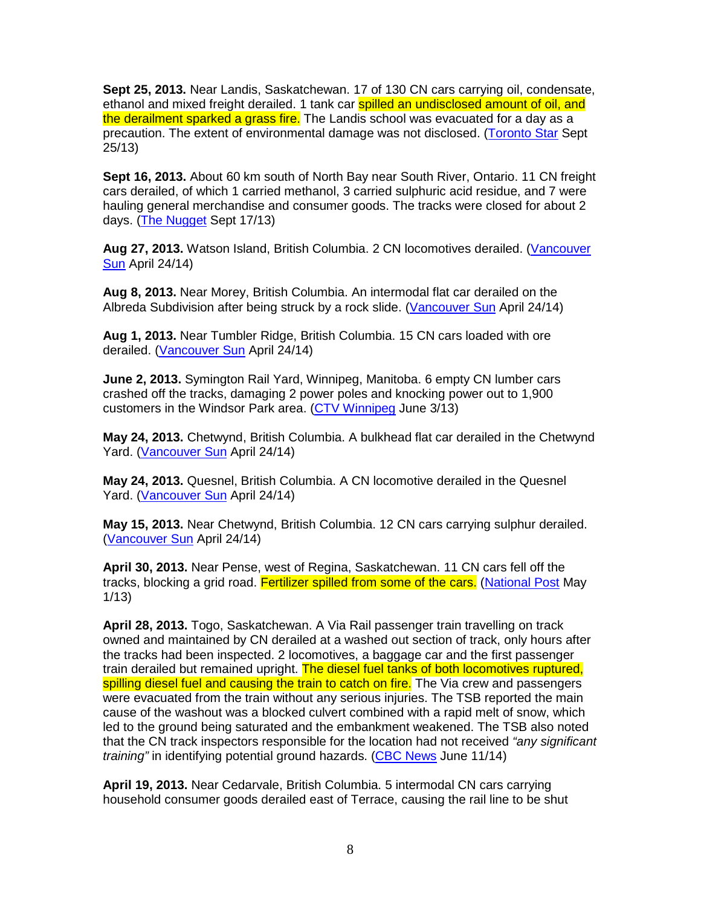**Sept 25, 2013.** Near Landis, Saskatchewan. 17 of 130 CN cars carrying oil, condensate, ethanol and mixed freight derailed. 1 tank car spilled an undisclosed amount of oil, and the derailment sparked a grass fire. The Landis school was evacuated for a day as a precaution. The extent of environmental damage was not disclosed. (Toronto Star Sept 25/13)

**Sept 16, 2013.** About 60 km south of North Bay near South River, Ontario. 11 CN freight cars derailed, of which 1 carried methanol, 3 carried sulphuric acid residue, and 7 were hauling general merchandise and consumer goods. The tracks were closed for about 2 days. (The Nugget Sept 17/13)

**Aug 27, 2013.** Watson Island, British Columbia. 2 CN locomotives derailed. (Vancouver Sun April 24/14)

**Aug 8, 2013.** Near Morey, British Columbia. An intermodal flat car derailed on the Albreda Subdivision after being struck by a rock slide. (Vancouver Sun April 24/14)

**Aug 1, 2013.** Near Tumbler Ridge, British Columbia. 15 CN cars loaded with ore derailed. (Vancouver Sun April 24/14)

**June 2, 2013.** Symington Rail Yard, Winnipeg, Manitoba. 6 empty CN lumber cars crashed off the tracks, damaging 2 power poles and knocking power out to 1,900 customers in the Windsor Park area. (CTV Winnipeg June 3/13)

**May 24, 2013.** Chetwynd, British Columbia. A bulkhead flat car derailed in the Chetwynd Yard. (Vancouver Sun April 24/14)

**May 24, 2013.** Quesnel, British Columbia. A CN locomotive derailed in the Quesnel Yard. (Vancouver Sun April 24/14)

**May 15, 2013.** Near Chetwynd, British Columbia. 12 CN cars carrying sulphur derailed. (Vancouver Sun April 24/14)

**April 30, 2013.** Near Pense, west of Regina, Saskatchewan. 11 CN cars fell off the tracks, blocking a grid road. Fertilizer spilled from some of the cars. (National Post May 1/13)

**April 28, 2013.** Togo, Saskatchewan. A Via Rail passenger train travelling on track owned and maintained by CN derailed at a washed out section of track, only hours after the tracks had been inspected. 2 locomotives, a baggage car and the first passenger train derailed but remained upright. The diesel fuel tanks of both locomotives ruptured, spilling diesel fuel and causing the train to catch on fire. The Via crew and passengers were evacuated from the train without any serious injuries. The TSB reported the main cause of the washout was a blocked culvert combined with a rapid melt of snow, which led to the ground being saturated and the embankment weakened. The TSB also noted that the CN track inspectors responsible for the location had not received "any significant" training" in identifying potential ground hazards. (CBC News June 11/14)

**April 19, 2013.** Near Cedarvale, British Columbia. 5 intermodal CN cars carrying household consumer goods derailed east of Terrace, causing the rail line to be shut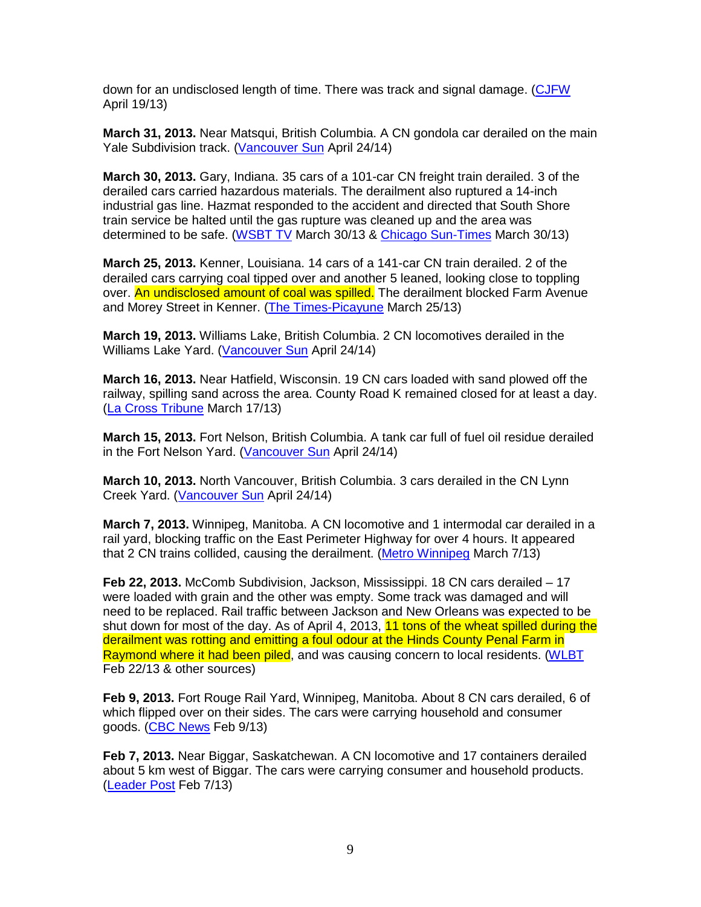down for an undisclosed length of time. There was track and signal damage. (CJFW April 19/13)

**March 31, 2013.** Near Matsqui, British Columbia. A CN gondola car derailed on the main Yale Subdivision track. (Vancouver Sun April 24/14)

**March 30, 2013.** Gary, Indiana. 35 cars of a 101-car CN freight train derailed. 3 of the derailed cars carried hazardous materials. The derailment also ruptured a 14-inch industrial gas line. Hazmat responded to the accident and directed that South Shore train service be halted until the gas rupture was cleaned up and the area was determined to be safe. (WSBT TV March 30/13 & Chicago Sun-Times March 30/13)

**March 25, 2013.** Kenner, Louisiana. 14 cars of a 141-car CN train derailed. 2 of the derailed cars carrying coal tipped over and another 5 leaned, looking close to toppling over. An undisclosed amount of coal was spilled. The derailment blocked Farm Avenue and Morey Street in Kenner. (The Times-Picayune March 25/13)

**March 19, 2013.** Williams Lake, British Columbia. 2 CN locomotives derailed in the Williams Lake Yard. (Vancouver Sun April 24/14)

**March 16, 2013.** Near Hatfield, Wisconsin. 19 CN cars loaded with sand plowed off the railway, spilling sand across the area. County Road K remained closed for at least a day. (La Cross Tribune March 17/13)

**March 15, 2013.** Fort Nelson, British Columbia. A tank car full of fuel oil residue derailed in the Fort Nelson Yard. (Vancouver Sun April 24/14)

**March 10, 2013.** North Vancouver, British Columbia. 3 cars derailed in the CN Lynn Creek Yard. (Vancouver Sun April 24/14)

**March 7, 2013.** Winnipeg, Manitoba. A CN locomotive and 1 intermodal car derailed in a rail yard, blocking traffic on the East Perimeter Highway for over 4 hours. It appeared that 2 CN trains collided, causing the derailment. (Metro Winnipeg March 7/13)

**Feb 22, 2013.** McComb Subdivision, Jackson, Mississippi. 18 CN cars derailed – 17 were loaded with grain and the other was empty. Some track was damaged and will need to be replaced. Rail traffic between Jackson and New Orleans was expected to be shut down for most of the day. As of April 4, 2013, 11 tons of the wheat spilled during the derailment was rotting and emitting a foul odour at the Hinds County Penal Farm in Raymond where it had been piled, and was causing concern to local residents. (WLBT Feb 22/13 & other sources)

**Feb 9, 2013.** Fort Rouge Rail Yard, Winnipeg, Manitoba. About 8 CN cars derailed, 6 of which flipped over on their sides. The cars were carrying household and consumer goods. (CBC News Feb 9/13)

**Feb 7, 2013.** Near Biggar, Saskatchewan. A CN locomotive and 17 containers derailed about 5 km west of Biggar. The cars were carrying consumer and household products. (Leader Post Feb 7/13)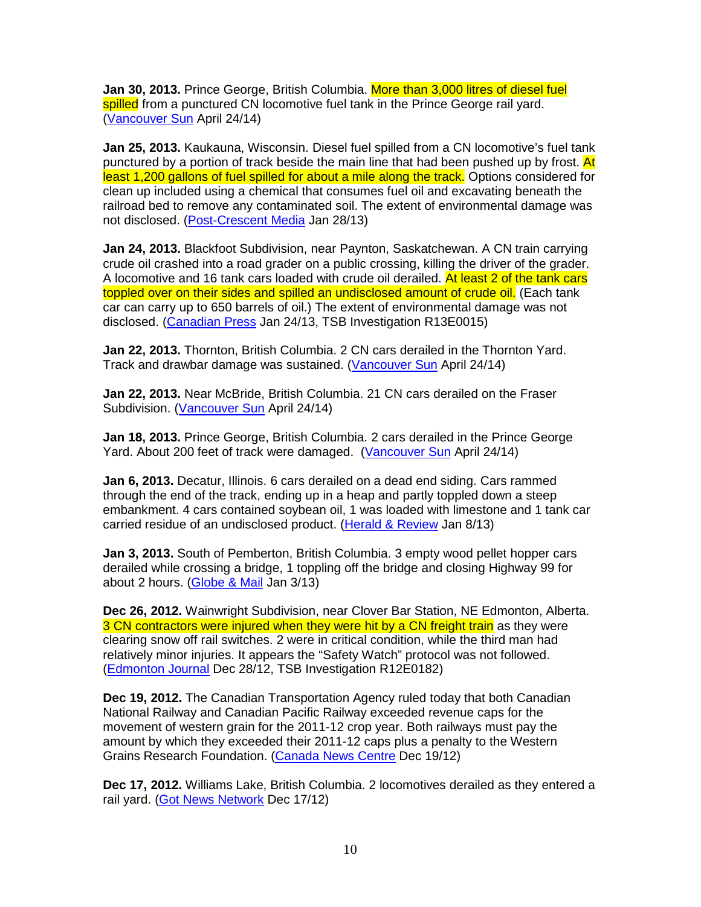**Jan 30, 2013.** Prince George, British Columbia. More than 3,000 litres of diesel fuel spilled from a punctured CN locomotive fuel tank in the Prince George rail yard. (Vancouver Sun April 24/14)

**Jan 25, 2013.** Kaukauna, Wisconsin. Diesel fuel spilled from a CN locomotive's fuel tank punctured by a portion of track beside the main line that had been pushed up by frost. At least 1,200 gallons of fuel spilled for about a mile along the track. Options considered for clean up included using a chemical that consumes fuel oil and excavating beneath the railroad bed to remove any contaminated soil. The extent of environmental damage was not disclosed. (Post-Crescent Media Jan 28/13)

**Jan 24, 2013.** Blackfoot Subdivision, near Paynton, Saskatchewan. A CN train carrying crude oil crashed into a road grader on a public crossing, killing the driver of the grader. A locomotive and 16 tank cars loaded with crude oil derailed. At least 2 of the tank cars toppled over on their sides and spilled an undisclosed amount of crude oil. (Each tank car can carry up to 650 barrels of oil.) The extent of environmental damage was not disclosed. (Canadian Press Jan 24/13, TSB Investigation R13E0015)

**Jan 22, 2013.** Thornton, British Columbia. 2 CN cars derailed in the Thornton Yard. Track and drawbar damage was sustained. (Vancouver Sun April 24/14)

**Jan 22, 2013.** Near McBride, British Columbia. 21 CN cars derailed on the Fraser Subdivision. (Vancouver Sun April 24/14)

**Jan 18, 2013.** Prince George, British Columbia. 2 cars derailed in the Prince George Yard. About 200 feet of track were damaged. (Vancouver Sun April 24/14)

**Jan 6, 2013.** Decatur, Illinois. 6 cars derailed on a dead end siding. Cars rammed through the end of the track, ending up in a heap and partly toppled down a steep embankment. 4 cars contained soybean oil, 1 was loaded with limestone and 1 tank car carried residue of an undisclosed product. (Herald & Review Jan 8/13)

**Jan 3, 2013.** South of Pemberton, British Columbia. 3 empty wood pellet hopper cars derailed while crossing a bridge, 1 toppling off the bridge and closing Highway 99 for about 2 hours. (Globe & Mail Jan 3/13)

**Dec 26, 2012.** Wainwright Subdivision, near Clover Bar Station, NE Edmonton, Alberta. 3 CN contractors were injured when they were hit by a CN freight train as they were clearing snow off rail switches. 2 were in critical condition, while the third man had relatively minor injuries. It appears the "Safety Watch" protocol was not followed. (Edmonton Journal Dec 28/12, TSB Investigation R12E0182)

**Dec 19, 2012.** The Canadian Transportation Agency ruled today that both Canadian National Railway and Canadian Pacific Railway exceeded revenue caps for the movement of western grain for the 2011-12 crop year. Both railways must pay the amount by which they exceeded their 2011-12 caps plus a penalty to the Western Grains Research Foundation. (Canada News Centre Dec 19/12)

**Dec 17, 2012.** Williams Lake, British Columbia. 2 locomotives derailed as they entered a rail yard. (Got News Network Dec 17/12)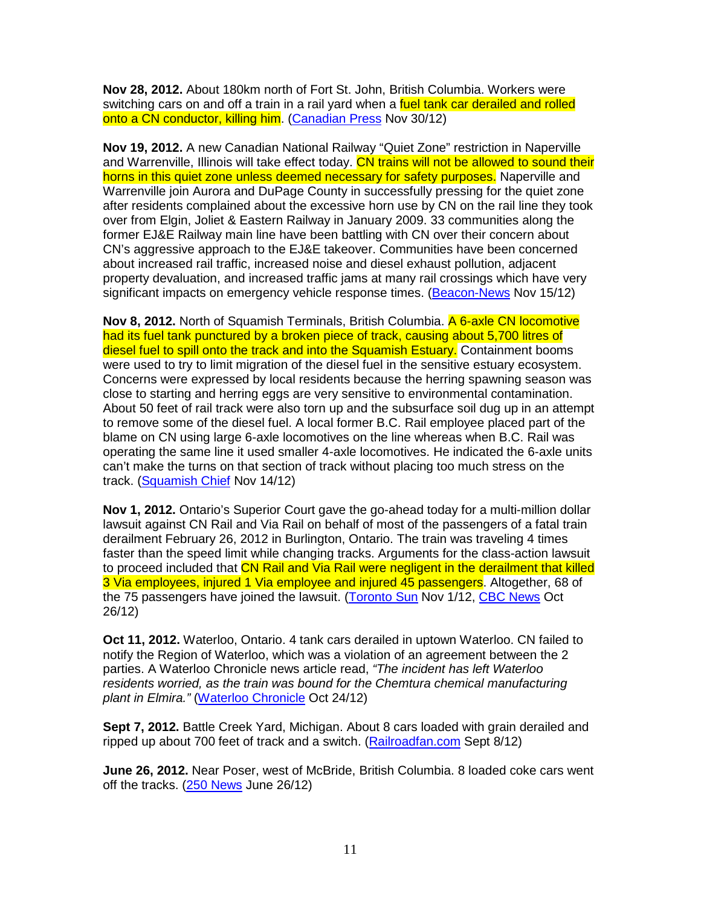**Nov 28, 2012.** About 180km north of Fort St. John, British Columbia. Workers were switching cars on and off a train in a rail yard when a fuel tank car derailed and rolled onto a CN conductor, killing him. (Canadian Press Nov 30/12)

**Nov 19, 2012.** A new Canadian National Railway "Quiet Zone" restriction in Naperville and Warrenville, Illinois will take effect today. CN trains will not be allowed to sound their horns in this quiet zone unless deemed necessary for safety purposes. Naperville and Warrenville join Aurora and DuPage County in successfully pressing for the quiet zone after residents complained about the excessive horn use by CN on the rail line they took over from Elgin, Joliet & Eastern Railway in January 2009. 33 communities along the former EJ&E Railway main line have been battling with CN over their concern about CN's aggressive approach to the EJ&E takeover. Communities have been concerned about increased rail traffic, increased noise and diesel exhaust pollution, adjacent property devaluation, and increased traffic jams at many rail crossings which have very significant impacts on emergency vehicle response times. (Beacon-News Nov 15/12)

**Nov 8, 2012.** North of Squamish Terminals, British Columbia. A 6-axle CN locomotive had its fuel tank punctured by a broken piece of track, causing about 5,700 litres of diesel fuel to spill onto the track and into the Squamish Estuary. Containment booms were used to try to limit migration of the diesel fuel in the sensitive estuary ecosystem. Concerns were expressed by local residents because the herring spawning season was close to starting and herring eggs are very sensitive to environmental contamination. About 50 feet of rail track were also torn up and the subsurface soil dug up in an attempt to remove some of the diesel fuel. A local former B.C. Rail employee placed part of the blame on CN using large 6-axle locomotives on the line whereas when B.C. Rail was operating the same line it used smaller 4-axle locomotives. He indicated the 6-axle units can't make the turns on that section of track without placing too much stress on the track. (Squamish Chief Nov 14/12)

**Nov 1, 2012.** Ontario's Superior Court gave the go-ahead today for a multi-million dollar lawsuit against CN Rail and Via Rail on behalf of most of the passengers of a fatal train derailment February 26, 2012 in Burlington, Ontario. The train was traveling 4 times faster than the speed limit while changing tracks. Arguments for the class-action lawsuit to proceed included that CN Rail and Via Rail were negligent in the derailment that killed 3 Via employees, injured 1 Via employee and injured 45 passengers. Altogether, 68 of the 75 passengers have joined the lawsuit. (Toronto Sun Nov 1/12, CBC News Oct 26/12)

**Oct 11, 2012.** Waterloo, Ontario. 4 tank cars derailed in uptown Waterloo. CN failed to notify the Region of Waterloo, which was a violation of an agreement between the 2 parties. A Waterloo Chronicle news article read, "The incident has left Waterloo residents worried, as the train was bound for the Chemtura chemical manufacturing plant in Elmira." (Waterloo Chronicle Oct 24/12)

**Sept 7, 2012.** Battle Creek Yard, Michigan. About 8 cars loaded with grain derailed and ripped up about 700 feet of track and a switch. (Railroadfan.com Sept 8/12)

**June 26, 2012.** Near Poser, west of McBride, British Columbia. 8 loaded coke cars went off the tracks. (250 News June 26/12)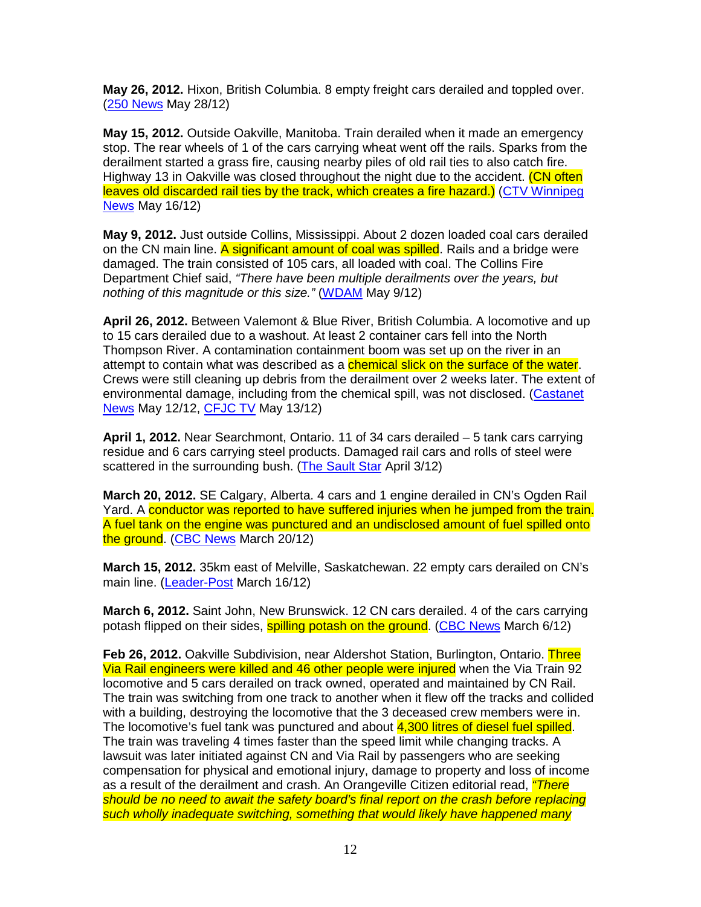**May 26, 2012.** Hixon, British Columbia. 8 empty freight cars derailed and toppled over. (250 News May 28/12)

**May 15, 2012.** Outside Oakville, Manitoba. Train derailed when it made an emergency stop. The rear wheels of 1 of the cars carrying wheat went off the rails. Sparks from the derailment started a grass fire, causing nearby piles of old rail ties to also catch fire. Highway 13 in Oakville was closed throughout the night due to the accident. (CN often leaves old discarded rail ties by the track, which creates a fire hazard.) (CTV Winnipeg News May 16/12)

**May 9, 2012.** Just outside Collins, Mississippi. About 2 dozen loaded coal cars derailed on the CN main line. A significant amount of coal was spilled. Rails and a bridge were damaged. The train consisted of 105 cars, all loaded with coal. The Collins Fire Department Chief said, "There have been multiple derailments over the years, but nothing of this magnitude or this size." (WDAM May 9/12)

**April 26, 2012.** Between Valemont & Blue River, British Columbia. A locomotive and up to 15 cars derailed due to a washout. At least 2 container cars fell into the North Thompson River. A contamination containment boom was set up on the river in an attempt to contain what was described as a *chemical slick on the surface of the water*. Crews were still cleaning up debris from the derailment over 2 weeks later. The extent of environmental damage, including from the chemical spill, was not disclosed. (Castanet News May 12/12, CFJC TV May 13/12)

**April 1, 2012.** Near Searchmont, Ontario. 11 of 34 cars derailed – 5 tank cars carrying residue and 6 cars carrying steel products. Damaged rail cars and rolls of steel were scattered in the surrounding bush. (The Sault Star April 3/12)

**March 20, 2012.** SE Calgary, Alberta. 4 cars and 1 engine derailed in CN's Ogden Rail Yard. A conductor was reported to have suffered injuries when he jumped from the train. A fuel tank on the engine was punctured and an undisclosed amount of fuel spilled onto the ground. (CBC News March 20/12)

**March 15, 2012.** 35km east of Melville, Saskatchewan. 22 empty cars derailed on CN's main line. (Leader-Post March 16/12)

**March 6, 2012.** Saint John, New Brunswick. 12 CN cars derailed. 4 of the cars carrying potash flipped on their sides, **spilling potash on the ground.** (CBC News March 6/12)

**Feb 26, 2012.** Oakville Subdivision, near Aldershot Station, Burlington, Ontario. Three Via Rail engineers were killed and 46 other people were injured when the Via Train 92 locomotive and 5 cars derailed on track owned, operated and maintained by CN Rail. The train was switching from one track to another when it flew off the tracks and collided with a building, destroying the locomotive that the 3 deceased crew members were in. The locomotive's fuel tank was punctured and about 4,300 litres of diesel fuel spilled. The train was traveling 4 times faster than the speed limit while changing tracks. A lawsuit was later initiated against CN and Via Rail by passengers who are seeking compensation for physical and emotional injury, damage to property and loss of income as a result of the derailment and crash. An Orangeville Citizen editorial read, "There should be no need to await the safety board's final report on the crash before replacing such wholly inadequate switching, something that would likely have happened many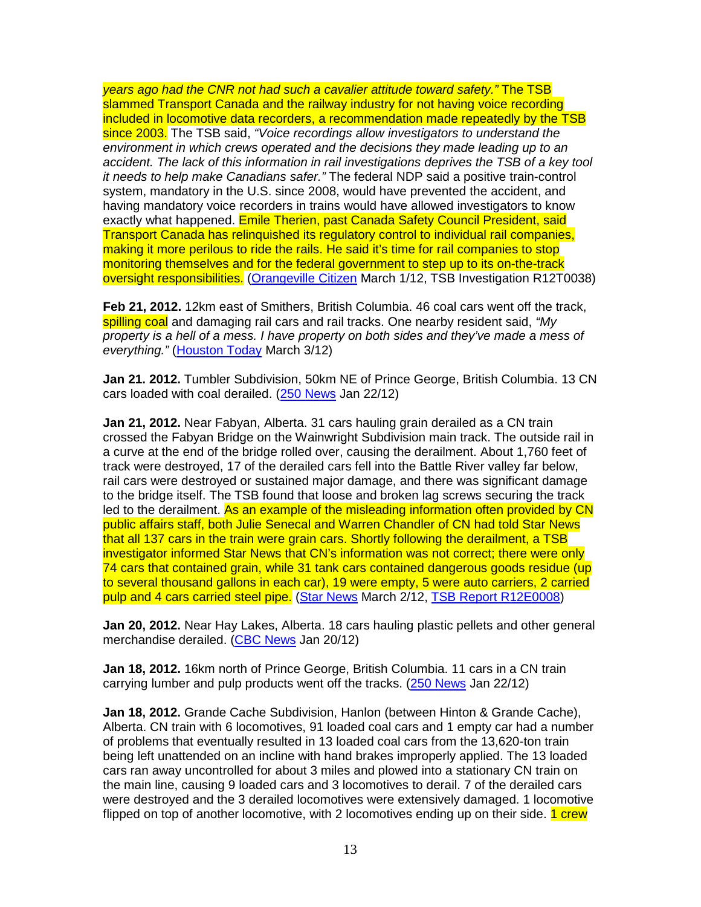years ago had the CNR not had such a cavalier attitude toward safety." The TSB slammed Transport Canada and the railway industry for not having voice recording included in locomotive data recorders, a recommendation made repeatedly by the TSB since 2003. The TSB said, "Voice recordings allow investigators to understand the environment in which crews operated and the decisions they made leading up to an accident. The lack of this information in rail investigations deprives the TSB of a key tool it needs to help make Canadians safer." The federal NDP said a positive train-control system, mandatory in the U.S. since 2008, would have prevented the accident, and having mandatory voice recorders in trains would have allowed investigators to know exactly what happened. Emile Therien, past Canada Safety Council President, said Transport Canada has relinquished its regulatory control to individual rail companies, making it more perilous to ride the rails. He said it's time for rail companies to stop monitoring themselves and for the federal government to step up to its on-the-track oversight responsibilities. (Orangeville Citizen March 1/12, TSB Investigation R12T0038)

**Feb 21, 2012.** 12km east of Smithers, British Columbia. 46 coal cars went off the track, spilling coal and damaging rail cars and rail tracks. One nearby resident said, "My property is a hell of a mess. I have property on both sides and they've made a mess of everything." (Houston Today March 3/12)

**Jan 21. 2012.** Tumbler Subdivision, 50km NE of Prince George, British Columbia. 13 CN cars loaded with coal derailed. (250 News Jan 22/12)

**Jan 21, 2012.** Near Fabyan, Alberta. 31 cars hauling grain derailed as a CN train crossed the Fabyan Bridge on the Wainwright Subdivision main track. The outside rail in a curve at the end of the bridge rolled over, causing the derailment. About 1,760 feet of track were destroyed, 17 of the derailed cars fell into the Battle River valley far below, rail cars were destroyed or sustained major damage, and there was significant damage to the bridge itself. The TSB found that loose and broken lag screws securing the track led to the derailment. As an example of the misleading information often provided by CN public affairs staff, both Julie Senecal and Warren Chandler of CN had told Star News that all 137 cars in the train were grain cars. Shortly following the derailment, a TSB investigator informed Star News that CN's information was not correct; there were only 74 cars that contained grain, while 31 tank cars contained dangerous goods residue (up to several thousand gallons in each car), 19 were empty, 5 were auto carriers, 2 carried pulp and 4 cars carried steel pipe. (Star News March 2/12, TSB Report R12E0008)

**Jan 20, 2012.** Near Hay Lakes, Alberta. 18 cars hauling plastic pellets and other general merchandise derailed. (CBC News Jan 20/12)

**Jan 18, 2012.** 16km north of Prince George, British Columbia. 11 cars in a CN train carrying lumber and pulp products went off the tracks. (250 News Jan 22/12)

**Jan 18, 2012.** Grande Cache Subdivision, Hanlon (between Hinton & Grande Cache), Alberta. CN train with 6 locomotives, 91 loaded coal cars and 1 empty car had a number of problems that eventually resulted in 13 loaded coal cars from the 13,620-ton train being left unattended on an incline with hand brakes improperly applied. The 13 loaded cars ran away uncontrolled for about 3 miles and plowed into a stationary CN train on the main line, causing 9 loaded cars and 3 locomotives to derail. 7 of the derailed cars were destroyed and the 3 derailed locomotives were extensively damaged. 1 locomotive flipped on top of another locomotive, with 2 locomotives ending up on their side. 1 crew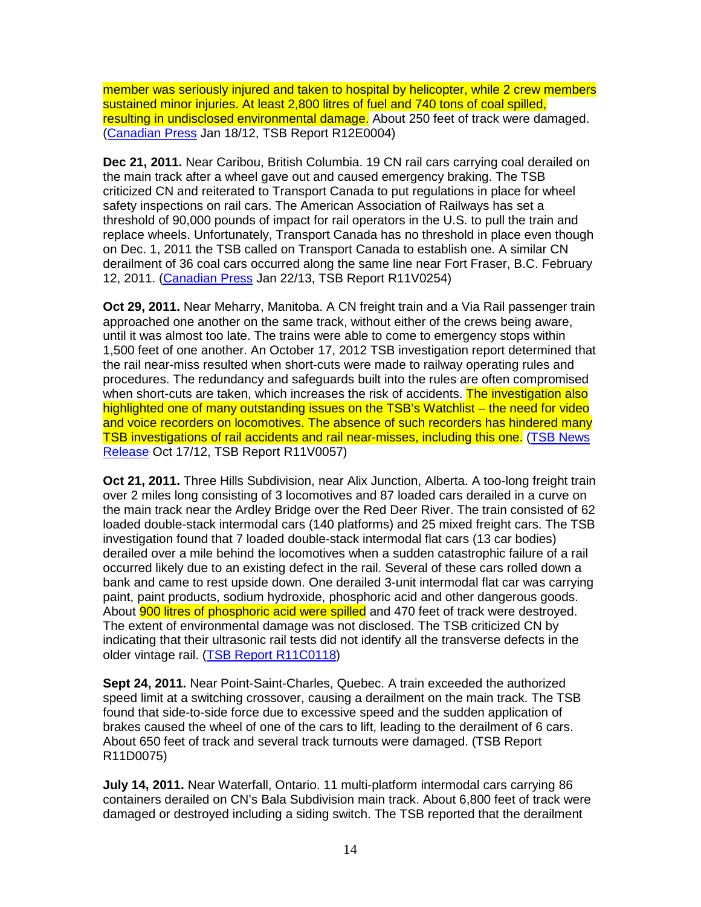member was seriously injured and taken to hospital by helicopter, while 2 crew members sustained minor injuries. At least 2,800 litres of fuel and 740 tons of coal spilled, resulting in undisclosed environmental damage. About 250 feet of track were damaged. (Canadian Press Jan 18/12, TSB Report R12E0004)

**Dec 21, 2011.** Near Caribou, British Columbia. 19 CN rail cars carrying coal derailed on the main track after a wheel gave out and caused emergency braking. The TSB criticized CN and reiterated to Transport Canada to put regulations in place for wheel safety inspections on rail cars. The American Association of Railways has set a threshold of 90,000 pounds of impact for rail operators in the U.S. to pull the train and replace wheels. Unfortunately, Transport Canada has no threshold in place even though on Dec. 1, 2011 the TSB called on Transport Canada to establish one. A similar CN derailment of 36 coal cars occurred along the same line near Fort Fraser, B.C. February 12, 2011. (Canadian Press Jan 22/13, TSB Report R11V0254)

**Oct 29, 2011.** Near Meharry, Manitoba. A CN freight train and a Via Rail passenger train approached one another on the same track, without either of the crews being aware, until it was almost too late. The trains were able to come to emergency stops within 1,500 feet of one another. An October 17, 2012 TSB investigation report determined that the rail near-miss resulted when short-cuts were made to railway operating rules and procedures. The redundancy and safeguards built into the rules are often compromised when short-cuts are taken, which increases the risk of accidents. The investigation also highlighted one of many outstanding issues on the TSB's Watchlist – the need for video and voice recorders on locomotives. The absence of such recorders has hindered many TSB investigations of rail accidents and rail near-misses, including this one. (TSB News Release Oct 17/12, TSB Report R11V0057)

**Oct 21, 2011.** Three Hills Subdivision, near Alix Junction, Alberta. A too-long freight train over 2 miles long consisting of 3 locomotives and 87 loaded cars derailed in a curve on the main track near the Ardley Bridge over the Red Deer River. The train consisted of 62 loaded double-stack intermodal cars (140 platforms) and 25 mixed freight cars. The TSB investigation found that 7 loaded double-stack intermodal flat cars (13 car bodies) derailed over a mile behind the locomotives when a sudden catastrophic failure of a rail occurred likely due to an existing defect in the rail. Several of these cars rolled down a bank and came to rest upside down. One derailed 3-unit intermodal flat car was carrying paint, paint products, sodium hydroxide, phosphoric acid and other dangerous goods. About **900 litres of phosphoric acid were spilled** and 470 feet of track were destroyed. The extent of environmental damage was not disclosed. The TSB criticized CN by indicating that their ultrasonic rail tests did not identify all the transverse defects in the older vintage rail. (TSB Report R11C0118)

**Sept 24, 2011.** Near Point-Saint-Charles, Quebec. A train exceeded the authorized speed limit at a switching crossover, causing a derailment on the main track. The TSB found that side-to-side force due to excessive speed and the sudden application of brakes caused the wheel of one of the cars to lift, leading to the derailment of 6 cars. About 650 feet of track and several track turnouts were damaged. (TSB Report R11D0075)

**July 14, 2011.** Near Waterfall, Ontario. 11 multi-platform intermodal cars carrying 86 containers derailed on CN's Bala Subdivision main track. About 6,800 feet of track were damaged or destroyed including a siding switch. The TSB reported that the derailment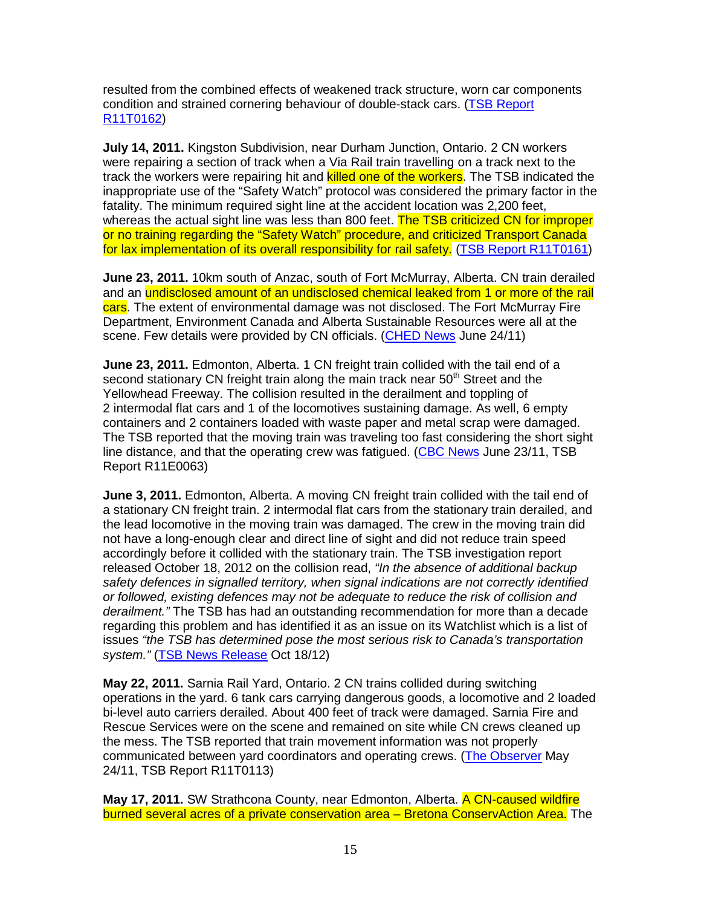resulted from the combined effects of weakened track structure, worn car components condition and strained cornering behaviour of double-stack cars. (TSB Report R11T0162)

**July 14, 2011.** Kingston Subdivision, near Durham Junction, Ontario. 2 CN workers were repairing a section of track when a Via Rail train travelling on a track next to the track the workers were repairing hit and **killed one of the workers**. The TSB indicated the inappropriate use of the "Safety Watch" protocol was considered the primary factor in the fatality. The minimum required sight line at the accident location was 2,200 feet, whereas the actual sight line was less than 800 feet. The TSB criticized CN for improper or no training regarding the "Safety Watch" procedure, and criticized Transport Canada for lax implementation of its overall responsibility for rail safety. (TSB Report R11T0161)

**June 23, 2011.** 10km south of Anzac, south of Fort McMurray, Alberta. CN train derailed and an undisclosed amount of an undisclosed chemical leaked from 1 or more of the rail cars. The extent of environmental damage was not disclosed. The Fort McMurray Fire Department, Environment Canada and Alberta Sustainable Resources were all at the scene. Few details were provided by CN officials. (CHED News June 24/11)

**June 23, 2011.** Edmonton, Alberta. 1 CN freight train collided with the tail end of a second stationary CN freight train along the main track near  $50<sup>th</sup>$  Street and the Yellowhead Freeway. The collision resulted in the derailment and toppling of 2 intermodal flat cars and 1 of the locomotives sustaining damage. As well, 6 empty containers and 2 containers loaded with waste paper and metal scrap were damaged. The TSB reported that the moving train was traveling too fast considering the short sight line distance, and that the operating crew was fatigued. (CBC News June 23/11, TSB Report R11E0063)

**June 3, 2011.** Edmonton, Alberta. A moving CN freight train collided with the tail end of a stationary CN freight train. 2 intermodal flat cars from the stationary train derailed, and the lead locomotive in the moving train was damaged. The crew in the moving train did not have a long-enough clear and direct line of sight and did not reduce train speed accordingly before it collided with the stationary train. The TSB investigation report released October 18, 2012 on the collision read, "In the absence of additional backup safety defences in signalled territory, when signal indications are not correctly identified or followed, existing defences may not be adequate to reduce the risk of collision and derailment." The TSB has had an outstanding recommendation for more than a decade regarding this problem and has identified it as an issue on its Watchlist which is a list of issues "the TSB has determined pose the most serious risk to Canada's transportation system." (TSB News Release Oct 18/12)

**May 22, 2011.** Sarnia Rail Yard, Ontario. 2 CN trains collided during switching operations in the yard. 6 tank cars carrying dangerous goods, a locomotive and 2 loaded bi-level auto carriers derailed. About 400 feet of track were damaged. Sarnia Fire and Rescue Services were on the scene and remained on site while CN crews cleaned up the mess. The TSB reported that train movement information was not properly communicated between yard coordinators and operating crews. (The Observer May 24/11, TSB Report R11T0113)

May 17, 2011. SW Strathcona County, near Edmonton, Alberta. A CN-caused wildfire burned several acres of a private conservation area – Bretona ConservAction Area. The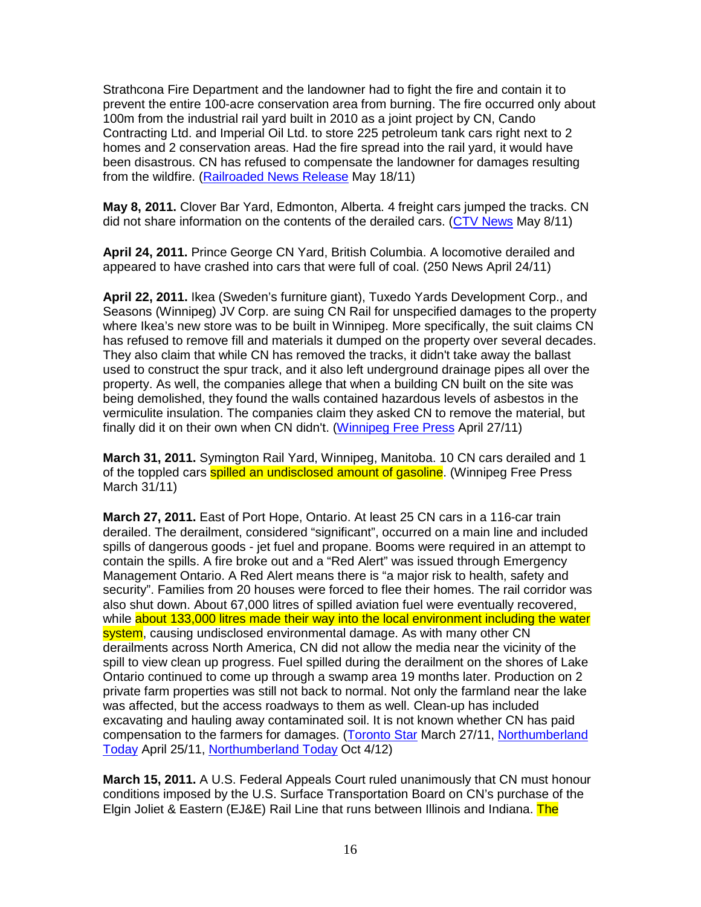Strathcona Fire Department and the landowner had to fight the fire and contain it to prevent the entire 100-acre conservation area from burning. The fire occurred only about 100m from the industrial rail yard built in 2010 as a joint project by CN, Cando Contracting Ltd. and Imperial Oil Ltd. to store 225 petroleum tank cars right next to 2 homes and 2 conservation areas. Had the fire spread into the rail yard, it would have been disastrous. CN has refused to compensate the landowner for damages resulting from the wildfire. (Railroaded News Release May 18/11)

**May 8, 2011.** Clover Bar Yard, Edmonton, Alberta. 4 freight cars jumped the tracks. CN did not share information on the contents of the derailed cars. (CTV News May 8/11)

**April 24, 2011.** Prince George CN Yard, British Columbia. A locomotive derailed and appeared to have crashed into cars that were full of coal. (250 News April 24/11)

**April 22, 2011.** Ikea (Sweden's furniture giant), Tuxedo Yards Development Corp., and Seasons (Winnipeg) JV Corp. are suing CN Rail for unspecified damages to the property where Ikea's new store was to be built in Winnipeg. More specifically, the suit claims CN has refused to remove fill and materials it dumped on the property over several decades. They also claim that while CN has removed the tracks, it didn't take away the ballast used to construct the spur track, and it also left underground drainage pipes all over the property. As well, the companies allege that when a building CN built on the site was being demolished, they found the walls contained hazardous levels of asbestos in the vermiculite insulation. The companies claim they asked CN to remove the material, but finally did it on their own when CN didn't. (Winnipeg Free Press April 27/11)

**March 31, 2011.** Symington Rail Yard, Winnipeg, Manitoba. 10 CN cars derailed and 1 of the toppled cars **spilled an undisclosed amount of gasoline**. (Winnipeg Free Press March 31/11)

**March 27, 2011.** East of Port Hope, Ontario. At least 25 CN cars in a 116-car train derailed. The derailment, considered "significant", occurred on a main line and included spills of dangerous goods - jet fuel and propane. Booms were required in an attempt to contain the spills. A fire broke out and a "Red Alert" was issued through Emergency Management Ontario. A Red Alert means there is "a major risk to health, safety and security". Families from 20 houses were forced to flee their homes. The rail corridor was also shut down. About 67,000 litres of spilled aviation fuel were eventually recovered, while about 133,000 litres made their way into the local environment including the water system, causing undisclosed environmental damage. As with many other CN derailments across North America, CN did not allow the media near the vicinity of the spill to view clean up progress. Fuel spilled during the derailment on the shores of Lake Ontario continued to come up through a swamp area 19 months later. Production on 2 private farm properties was still not back to normal. Not only the farmland near the lake was affected, but the access roadways to them as well. Clean-up has included excavating and hauling away contaminated soil. It is not known whether CN has paid compensation to the farmers for damages. (Toronto Star March 27/11, Northumberland Today April 25/11, Northumberland Today Oct 4/12)

**March 15, 2011.** A U.S. Federal Appeals Court ruled unanimously that CN must honour conditions imposed by the U.S. Surface Transportation Board on CN's purchase of the Elgin Joliet & Eastern (EJ&E) Rail Line that runs between Illinois and Indiana. The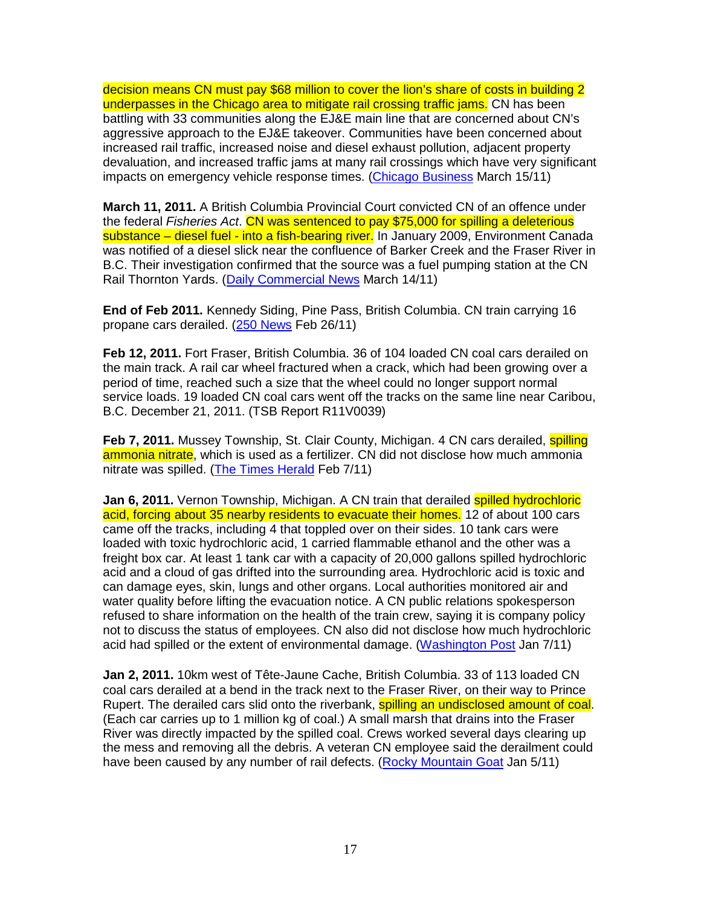decision means CN must pay \$68 million to cover the lion's share of costs in building 2 underpasses in the Chicago area to mitigate rail crossing traffic jams. CN has been battling with 33 communities along the EJ&E main line that are concerned about CN's aggressive approach to the EJ&E takeover. Communities have been concerned about increased rail traffic, increased noise and diesel exhaust pollution, adjacent property devaluation, and increased traffic jams at many rail crossings which have very significant impacts on emergency vehicle response times. (Chicago Business March 15/11)

**March 11, 2011.** A British Columbia Provincial Court convicted CN of an offence under the federal Fisheries Act. CN was sentenced to pay \$75,000 for spilling a deleterious substance – diesel fuel - into a fish-bearing river. In January 2009, Environment Canada was notified of a diesel slick near the confluence of Barker Creek and the Fraser River in B.C. Their investigation confirmed that the source was a fuel pumping station at the CN Rail Thornton Yards. (Daily Commercial News March 14/11)

**End of Feb 2011.** Kennedy Siding, Pine Pass, British Columbia. CN train carrying 16 propane cars derailed. (250 News Feb 26/11)

**Feb 12, 2011.** Fort Fraser, British Columbia. 36 of 104 loaded CN coal cars derailed on the main track. A rail car wheel fractured when a crack, which had been growing over a period of time, reached such a size that the wheel could no longer support normal service loads. 19 loaded CN coal cars went off the tracks on the same line near Caribou, B.C. December 21, 2011. (TSB Report R11V0039)

**Feb 7, 2011.** Mussey Township, St. Clair County, Michigan. 4 CN cars derailed, **spilling** ammonia nitrate, which is used as a fertilizer. CN did not disclose how much ammonia nitrate was spilled. (The Times Herald Feb 7/11)

**Jan 6, 2011.** Vernon Township, Michigan. A CN train that derailed spilled hydrochloric acid, forcing about 35 nearby residents to evacuate their homes. 12 of about 100 cars came off the tracks, including 4 that toppled over on their sides. 10 tank cars were loaded with toxic hydrochloric acid, 1 carried flammable ethanol and the other was a freight box car. At least 1 tank car with a capacity of 20,000 gallons spilled hydrochloric acid and a cloud of gas drifted into the surrounding area. Hydrochloric acid is toxic and can damage eyes, skin, lungs and other organs. Local authorities monitored air and water quality before lifting the evacuation notice. A CN public relations spokesperson refused to share information on the health of the train crew, saying it is company policy not to discuss the status of employees. CN also did not disclose how much hydrochloric acid had spilled or the extent of environmental damage. (Washington Post Jan 7/11)

**Jan 2, 2011.** 10km west of Tête-Jaune Cache, British Columbia. 33 of 113 loaded CN coal cars derailed at a bend in the track next to the Fraser River, on their way to Prince Rupert. The derailed cars slid onto the riverbank, **spilling an undisclosed amount of coal**. (Each car carries up to 1 million kg of coal.) A small marsh that drains into the Fraser River was directly impacted by the spilled coal. Crews worked several days clearing up the mess and removing all the debris. A veteran CN employee said the derailment could have been caused by any number of rail defects. (Rocky Mountain Goat Jan 5/11)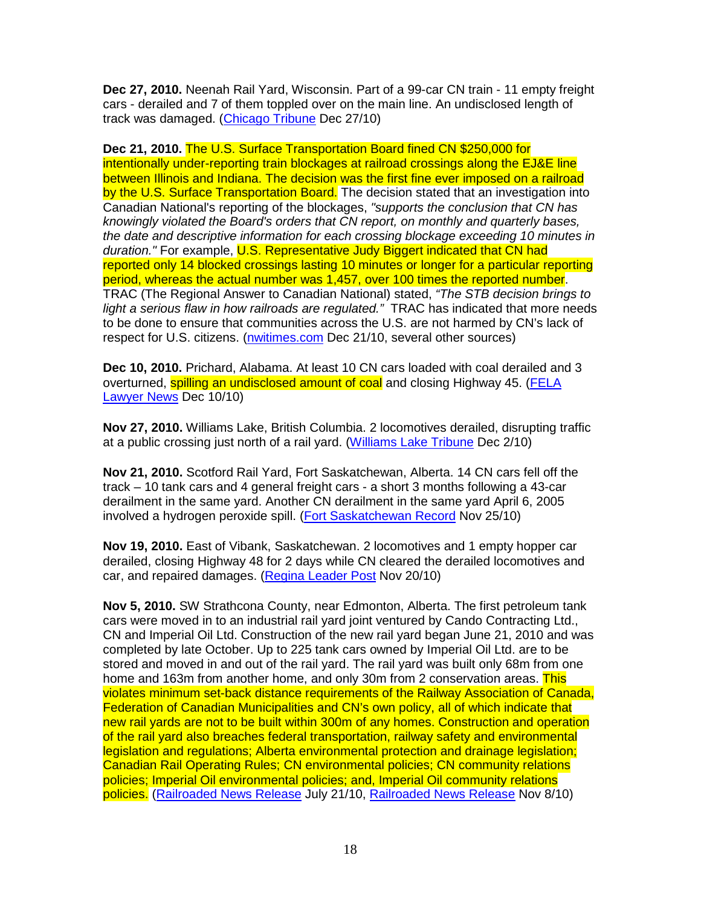**Dec 27, 2010.** Neenah Rail Yard, Wisconsin. Part of a 99-car CN train - 11 empty freight cars - derailed and 7 of them toppled over on the main line. An undisclosed length of track was damaged. (Chicago Tribune Dec 27/10)

**Dec 21, 2010.** The U.S. Surface Transportation Board fined CN \$250,000 for intentionally under-reporting train blockages at railroad crossings along the EJ&E line between Illinois and Indiana. The decision was the first fine ever imposed on a railroad by the U.S. Surface Transportation Board. The decision stated that an investigation into Canadian National's reporting of the blockages, "supports the conclusion that CN has knowingly violated the Board's orders that CN report, on monthly and quarterly bases, the date and descriptive information for each crossing blockage exceeding 10 minutes in duration." For example, U.S. Representative Judy Biggert indicated that CN had reported only 14 blocked crossings lasting 10 minutes or longer for a particular reporting period, whereas the actual number was 1,457, over 100 times the reported number. TRAC (The Regional Answer to Canadian National) stated, "The STB decision brings to light a serious flaw in how railroads are regulated." TRAC has indicated that more needs to be done to ensure that communities across the U.S. are not harmed by CN's lack of respect for U.S. citizens. (nwitimes.com Dec 21/10, several other sources)

**Dec 10, 2010.** Prichard, Alabama. At least 10 CN cars loaded with coal derailed and 3 overturned, spilling an undisclosed amount of coal and closing Highway 45. (FELA Lawyer News Dec 10/10)

**Nov 27, 2010.** Williams Lake, British Columbia. 2 locomotives derailed, disrupting traffic at a public crossing just north of a rail yard. (Williams Lake Tribune Dec 2/10)

**Nov 21, 2010.** Scotford Rail Yard, Fort Saskatchewan, Alberta. 14 CN cars fell off the track – 10 tank cars and 4 general freight cars - a short 3 months following a 43-car derailment in the same yard. Another CN derailment in the same yard April 6, 2005 involved a hydrogen peroxide spill. (Fort Saskatchewan Record Nov 25/10)

**Nov 19, 2010.** East of Vibank, Saskatchewan. 2 locomotives and 1 empty hopper car derailed, closing Highway 48 for 2 days while CN cleared the derailed locomotives and car, and repaired damages. (Regina Leader Post Nov 20/10)

**Nov 5, 2010.** SW Strathcona County, near Edmonton, Alberta. The first petroleum tank cars were moved in to an industrial rail yard joint ventured by Cando Contracting Ltd., CN and Imperial Oil Ltd. Construction of the new rail yard began June 21, 2010 and was completed by late October. Up to 225 tank cars owned by Imperial Oil Ltd. are to be stored and moved in and out of the rail yard. The rail yard was built only 68m from one home and 163m from another home, and only 30m from 2 conservation areas. This violates minimum set-back distance requirements of the Railway Association of Canada, Federation of Canadian Municipalities and CN's own policy, all of which indicate that new rail yards are not to be built within 300m of any homes. Construction and operation of the rail yard also breaches federal transportation, railway safety and environmental legislation and regulations; Alberta environmental protection and drainage legislation; Canadian Rail Operating Rules; CN environmental policies; CN community relations policies; Imperial Oil environmental policies; and, Imperial Oil community relations policies. (Railroaded News Release July 21/10, Railroaded News Release Nov 8/10)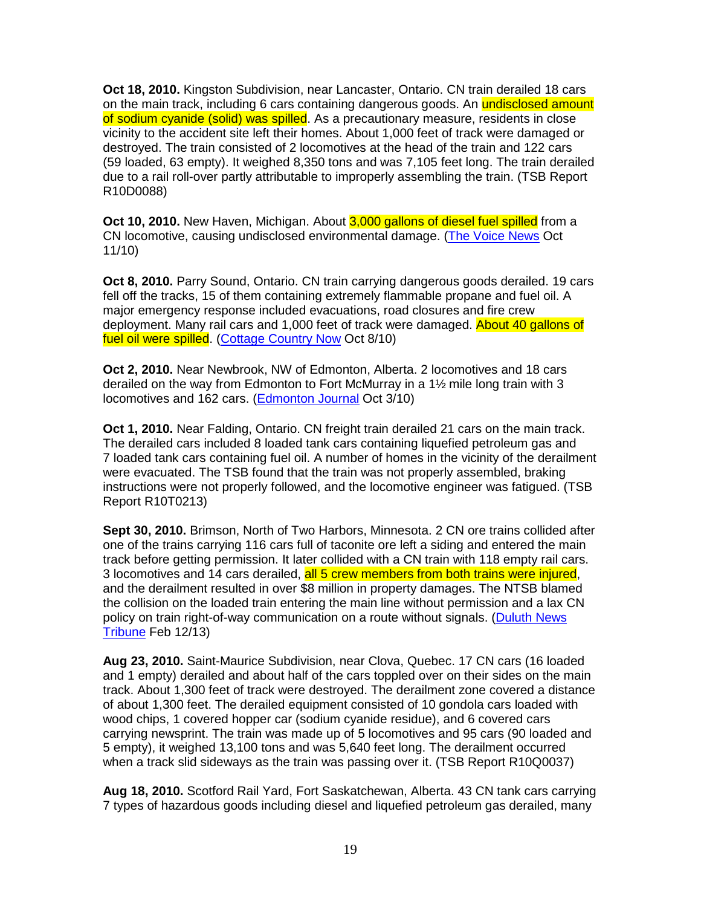**Oct 18, 2010.** Kingston Subdivision, near Lancaster, Ontario. CN train derailed 18 cars on the main track, including 6 cars containing dangerous goods. An **undisclosed amount** of sodium cyanide (solid) was spilled. As a precautionary measure, residents in close vicinity to the accident site left their homes. About 1,000 feet of track were damaged or destroyed. The train consisted of 2 locomotives at the head of the train and 122 cars (59 loaded, 63 empty). It weighed 8,350 tons and was 7,105 feet long. The train derailed due to a rail roll-over partly attributable to improperly assembling the train. (TSB Report R10D0088)

**Oct 10, 2010.** New Haven, Michigan. About 3,000 gallons of diesel fuel spilled from a CN locomotive, causing undisclosed environmental damage. (The Voice News Oct 11/10)

**Oct 8, 2010.** Parry Sound, Ontario. CN train carrying dangerous goods derailed. 19 cars fell off the tracks, 15 of them containing extremely flammable propane and fuel oil. A major emergency response included evacuations, road closures and fire crew deployment. Many rail cars and 1,000 feet of track were damaged. About 40 gallons of fuel oil were spilled. (Cottage Country Now Oct 8/10)

**Oct 2, 2010.** Near Newbrook, NW of Edmonton, Alberta. 2 locomotives and 18 cars derailed on the way from Edmonton to Fort McMurray in a 1½ mile long train with 3 locomotives and 162 cars. (Edmonton Journal Oct 3/10)

**Oct 1, 2010.** Near Falding, Ontario. CN freight train derailed 21 cars on the main track. The derailed cars included 8 loaded tank cars containing liquefied petroleum gas and 7 loaded tank cars containing fuel oil. A number of homes in the vicinity of the derailment were evacuated. The TSB found that the train was not properly assembled, braking instructions were not properly followed, and the locomotive engineer was fatigued. (TSB Report R10T0213)

**Sept 30, 2010.** Brimson, North of Two Harbors, Minnesota. 2 CN ore trains collided after one of the trains carrying 116 cars full of taconite ore left a siding and entered the main track before getting permission. It later collided with a CN train with 118 empty rail cars. 3 locomotives and 14 cars derailed, all 5 crew members from both trains were injured, and the derailment resulted in over \$8 million in property damages. The NTSB blamed the collision on the loaded train entering the main line without permission and a lax CN policy on train right-of-way communication on a route without signals. (Duluth News Tribune Feb 12/13)

**Aug 23, 2010.** Saint-Maurice Subdivision, near Clova, Quebec. 17 CN cars (16 loaded and 1 empty) derailed and about half of the cars toppled over on their sides on the main track. About 1,300 feet of track were destroyed. The derailment zone covered a distance of about 1,300 feet. The derailed equipment consisted of 10 gondola cars loaded with wood chips, 1 covered hopper car (sodium cyanide residue), and 6 covered cars carrying newsprint. The train was made up of 5 locomotives and 95 cars (90 loaded and 5 empty), it weighed 13,100 tons and was 5,640 feet long. The derailment occurred when a track slid sideways as the train was passing over it. (TSB Report R10Q0037)

**Aug 18, 2010.** Scotford Rail Yard, Fort Saskatchewan, Alberta. 43 CN tank cars carrying 7 types of hazardous goods including diesel and liquefied petroleum gas derailed, many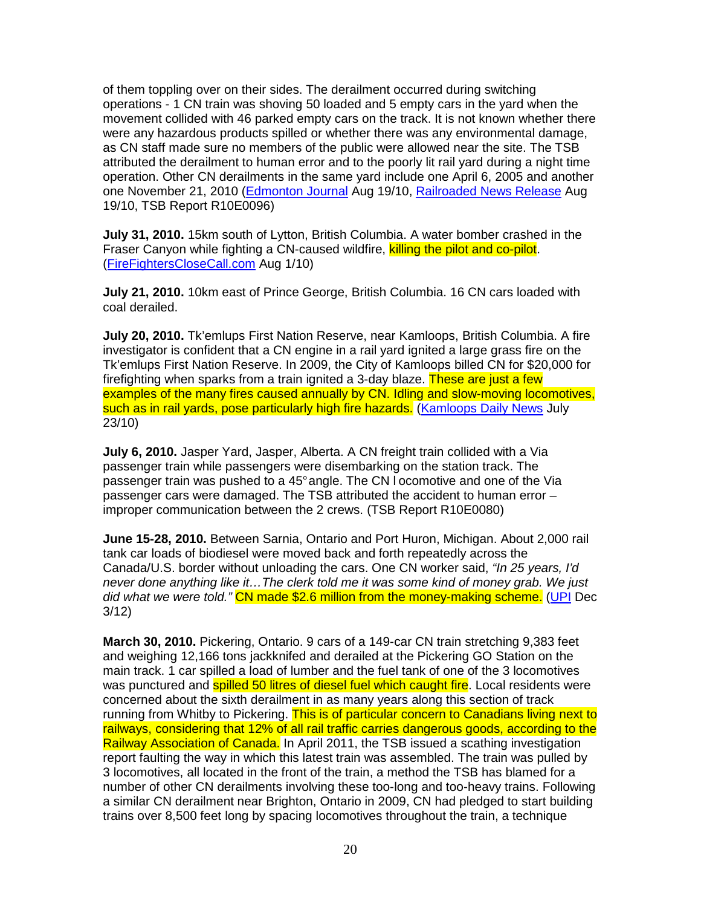of them toppling over on their sides. The derailment occurred during switching operations - 1 CN train was shoving 50 loaded and 5 empty cars in the yard when the movement collided with 46 parked empty cars on the track. It is not known whether there were any hazardous products spilled or whether there was any environmental damage, as CN staff made sure no members of the public were allowed near the site. The TSB attributed the derailment to human error and to the poorly lit rail yard during a night time operation. Other CN derailments in the same yard include one April 6, 2005 and another one November 21, 2010 (Edmonton Journal Aug 19/10, Railroaded News Release Aug 19/10, TSB Report R10E0096)

**July 31, 2010.** 15km south of Lytton, British Columbia. A water bomber crashed in the Fraser Canyon while fighting a CN-caused wildfire, killing the pilot and co-pilot. (FireFightersCloseCall.com Aug 1/10)

**July 21, 2010.** 10km east of Prince George, British Columbia. 16 CN cars loaded with coal derailed.

**July 20, 2010.** Tk'emlups First Nation Reserve, near Kamloops, British Columbia. A fire investigator is confident that a CN engine in a rail yard ignited a large grass fire on the Tk'emlups First Nation Reserve. In 2009, the City of Kamloops billed CN for \$20,000 for firefighting when sparks from a train ignited a 3-day blaze. These are just a few examples of the many fires caused annually by CN. Idling and slow-moving locomotives, such as in rail yards, pose particularly high fire hazards. (Kamloops Daily News July 23/10)

**July 6, 2010.** Jasper Yard, Jasper, Alberta. A CN freight train collided with a Via passenger train while passengers were disembarking on the station track. The passenger train was pushed to a 45° angle. The CN l ocomotive and one of the Via passenger cars were damaged. The TSB attributed the accident to human error – improper communication between the 2 crews. (TSB Report R10E0080)

**June 15-28, 2010.** Between Sarnia, Ontario and Port Huron, Michigan. About 2,000 rail tank car loads of biodiesel were moved back and forth repeatedly across the Canada/U.S. border without unloading the cars. One CN worker said, "In 25 years, I'd never done anything like it…The clerk told me it was some kind of money grab. We just did what we were told." CN made \$2.6 million from the money-making scheme. (UPI Dec 3/12)

**March 30, 2010.** Pickering, Ontario. 9 cars of a 149-car CN train stretching 9,383 feet and weighing 12,166 tons jackknifed and derailed at the Pickering GO Station on the main track. 1 car spilled a load of lumber and the fuel tank of one of the 3 locomotives was punctured and **spilled 50 litres of diesel fuel which caught fire**. Local residents were concerned about the sixth derailment in as many years along this section of track running from Whitby to Pickering. This is of particular concern to Canadians living next to railways, considering that 12% of all rail traffic carries dangerous goods, according to the Railway Association of Canada. In April 2011, the TSB issued a scathing investigation report faulting the way in which this latest train was assembled. The train was pulled by 3 locomotives, all located in the front of the train, a method the TSB has blamed for a number of other CN derailments involving these too-long and too-heavy trains. Following a similar CN derailment near Brighton, Ontario in 2009, CN had pledged to start building trains over 8,500 feet long by spacing locomotives throughout the train, a technique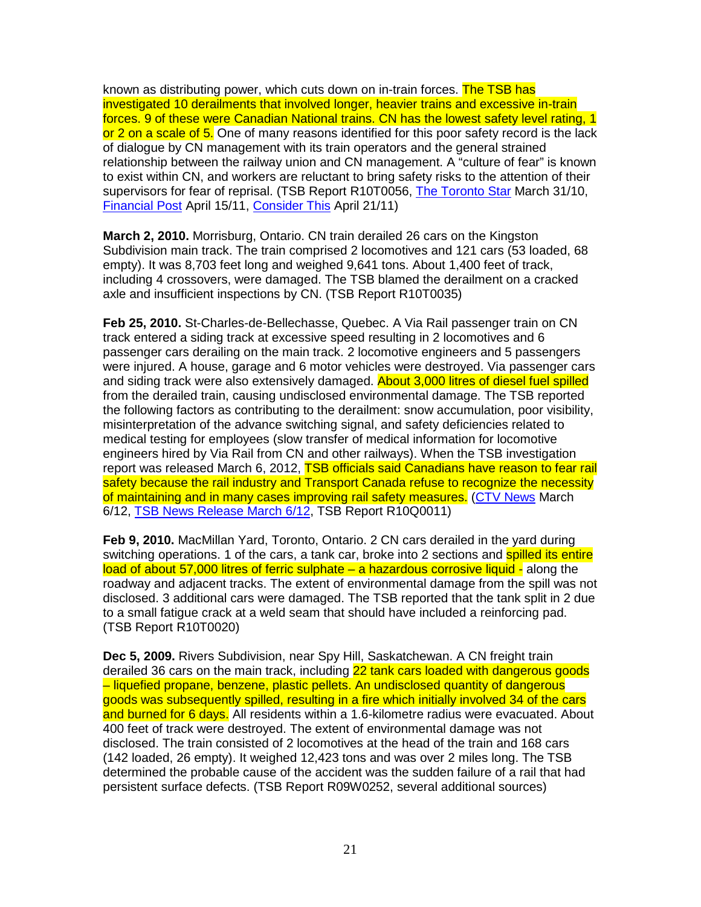known as distributing power, which cuts down on in-train forces. The TSB has investigated 10 derailments that involved longer, heavier trains and excessive in-train forces. 9 of these were Canadian National trains. CN has the lowest safety level rating, 1 or 2 on a scale of 5. One of many reasons identified for this poor safety record is the lack of dialogue by CN management with its train operators and the general strained relationship between the railway union and CN management. A "culture of fear" is known to exist within CN, and workers are reluctant to bring safety risks to the attention of their supervisors for fear of reprisal. (TSB Report R10T0056, The Toronto Star March 31/10, Financial Post April 15/11, Consider This April 21/11)

**March 2, 2010.** Morrisburg, Ontario. CN train derailed 26 cars on the Kingston Subdivision main track. The train comprised 2 locomotives and 121 cars (53 loaded, 68 empty). It was 8,703 feet long and weighed 9,641 tons. About 1,400 feet of track, including 4 crossovers, were damaged. The TSB blamed the derailment on a cracked axle and insufficient inspections by CN. (TSB Report R10T0035)

**Feb 25, 2010.** St-Charles-de-Bellechasse, Quebec. A Via Rail passenger train on CN track entered a siding track at excessive speed resulting in 2 locomotives and 6 passenger cars derailing on the main track. 2 locomotive engineers and 5 passengers were injured. A house, garage and 6 motor vehicles were destroyed. Via passenger cars and siding track were also extensively damaged. About 3,000 litres of diesel fuel spilled from the derailed train, causing undisclosed environmental damage. The TSB reported the following factors as contributing to the derailment: snow accumulation, poor visibility, misinterpretation of the advance switching signal, and safety deficiencies related to medical testing for employees (slow transfer of medical information for locomotive engineers hired by Via Rail from CN and other railways). When the TSB investigation report was released March 6, 2012, **TSB officials said Canadians have reason to fear rail** safety because the rail industry and Transport Canada refuse to recognize the necessity of maintaining and in many cases improving rail safety measures. (CTV News March 6/12, TSB News Release March 6/12, TSB Report R10Q0011)

**Feb 9, 2010.** MacMillan Yard, Toronto, Ontario. 2 CN cars derailed in the yard during switching operations. 1 of the cars, a tank car, broke into 2 sections and spilled its entire load of about 57,000 litres of ferric sulphate – a hazardous corrosive liquid - along the roadway and adjacent tracks. The extent of environmental damage from the spill was not disclosed. 3 additional cars were damaged. The TSB reported that the tank split in 2 due to a small fatigue crack at a weld seam that should have included a reinforcing pad. (TSB Report R10T0020)

**Dec 5, 2009.** Rivers Subdivision, near Spy Hill, Saskatchewan. A CN freight train derailed 36 cars on the main track, including 22 tank cars loaded with dangerous goods – liquefied propane, benzene, plastic pellets. An undisclosed quantity of dangerous goods was subsequently spilled, resulting in a fire which initially involved 34 of the cars and burned for 6 days. All residents within a 1.6-kilometre radius were evacuated. About 400 feet of track were destroyed. The extent of environmental damage was not disclosed. The train consisted of 2 locomotives at the head of the train and 168 cars (142 loaded, 26 empty). It weighed 12,423 tons and was over 2 miles long. The TSB determined the probable cause of the accident was the sudden failure of a rail that had persistent surface defects. (TSB Report R09W0252, several additional sources)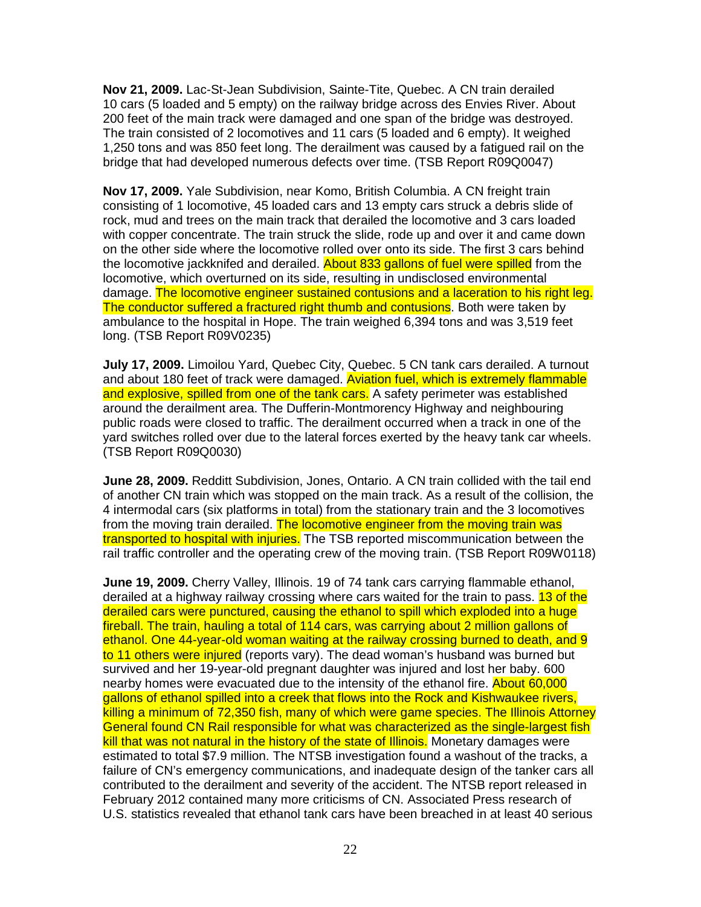**Nov 21, 2009.** Lac-St-Jean Subdivision, Sainte-Tite, Quebec. A CN train derailed 10 cars (5 loaded and 5 empty) on the railway bridge across des Envies River. About 200 feet of the main track were damaged and one span of the bridge was destroyed. The train consisted of 2 locomotives and 11 cars (5 loaded and 6 empty). It weighed 1,250 tons and was 850 feet long. The derailment was caused by a fatigued rail on the bridge that had developed numerous defects over time. (TSB Report R09Q0047)

**Nov 17, 2009.** Yale Subdivision, near Komo, British Columbia. A CN freight train consisting of 1 locomotive, 45 loaded cars and 13 empty cars struck a debris slide of rock, mud and trees on the main track that derailed the locomotive and 3 cars loaded with copper concentrate. The train struck the slide, rode up and over it and came down on the other side where the locomotive rolled over onto its side. The first 3 cars behind the locomotive jackknifed and derailed. About 833 gallons of fuel were spilled from the locomotive, which overturned on its side, resulting in undisclosed environmental damage. The locomotive engineer sustained contusions and a laceration to his right leg. The conductor suffered a fractured right thumb and contusions. Both were taken by ambulance to the hospital in Hope. The train weighed 6,394 tons and was 3,519 feet long. (TSB Report R09V0235)

**July 17, 2009.** Limoilou Yard, Quebec City, Quebec. 5 CN tank cars derailed. A turnout and about 180 feet of track were damaged. Aviation fuel, which is extremely flammable and explosive, spilled from one of the tank cars. A safety perimeter was established around the derailment area. The Dufferin-Montmorency Highway and neighbouring public roads were closed to traffic. The derailment occurred when a track in one of the yard switches rolled over due to the lateral forces exerted by the heavy tank car wheels. (TSB Report R09Q0030)

**June 28, 2009.** Redditt Subdivision, Jones, Ontario. A CN train collided with the tail end of another CN train which was stopped on the main track. As a result of the collision, the 4 intermodal cars (six platforms in total) from the stationary train and the 3 locomotives from the moving train derailed. The locomotive engineer from the moving train was transported to hospital with injuries. The TSB reported miscommunication between the rail traffic controller and the operating crew of the moving train. (TSB Report R09W0118)

**June 19, 2009.** Cherry Valley, Illinois. 19 of 74 tank cars carrying flammable ethanol, derailed at a highway railway crossing where cars waited for the train to pass. 13 of the derailed cars were punctured, causing the ethanol to spill which exploded into a huge fireball. The train, hauling a total of 114 cars, was carrying about 2 million gallons of ethanol. One 44-year-old woman waiting at the railway crossing burned to death, and 9 to 11 others were injured (reports vary). The dead woman's husband was burned but survived and her 19-year-old pregnant daughter was injured and lost her baby. 600 nearby homes were evacuated due to the intensity of the ethanol fire. About 60,000 gallons of ethanol spilled into a creek that flows into the Rock and Kishwaukee rivers, killing a minimum of 72,350 fish, many of which were game species. The Illinois Attorney General found CN Rail responsible for what was characterized as the single-largest fish kill that was not natural in the history of the state of Illinois. Monetary damages were estimated to total \$7.9 million. The NTSB investigation found a washout of the tracks, a failure of CN's emergency communications, and inadequate design of the tanker cars all contributed to the derailment and severity of the accident. The NTSB report released in February 2012 contained many more criticisms of CN. Associated Press research of U.S. statistics revealed that ethanol tank cars have been breached in at least 40 serious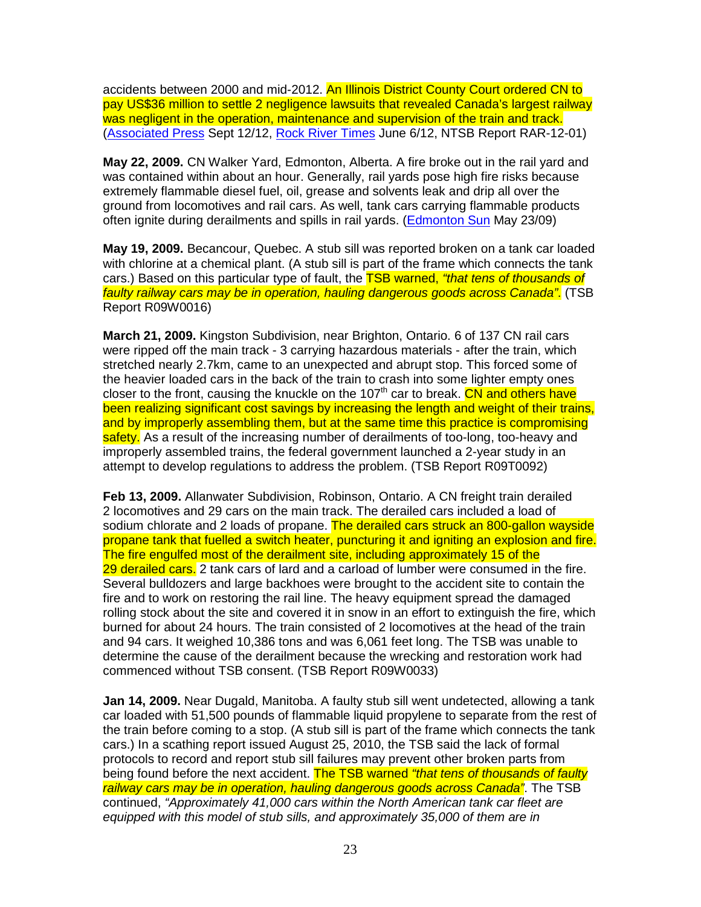accidents between 2000 and mid-2012. An Illinois District County Court ordered CN to pay US\$36 million to settle 2 negligence lawsuits that revealed Canada's largest railway was negligent in the operation, maintenance and supervision of the train and track. (Associated Press Sept 12/12, Rock River Times June 6/12, NTSB Report RAR-12-01)

**May 22, 2009.** CN Walker Yard, Edmonton, Alberta. A fire broke out in the rail yard and was contained within about an hour. Generally, rail yards pose high fire risks because extremely flammable diesel fuel, oil, grease and solvents leak and drip all over the ground from locomotives and rail cars. As well, tank cars carrying flammable products often ignite during derailments and spills in rail yards. (Edmonton Sun May 23/09)

**May 19, 2009.** Becancour, Quebec. A stub sill was reported broken on a tank car loaded with chlorine at a chemical plant. (A stub sill is part of the frame which connects the tank cars.) Based on this particular type of fault, the TSB warned, "that tens of thousands of faulty railway cars may be in operation, hauling dangerous goods across Canada". (TSB Report R09W0016)

**March 21, 2009.** Kingston Subdivision, near Brighton, Ontario. 6 of 137 CN rail cars were ripped off the main track - 3 carrying hazardous materials - after the train, which stretched nearly 2.7km, came to an unexpected and abrupt stop. This forced some of the heavier loaded cars in the back of the train to crash into some lighter empty ones closer to the front, causing the knuckle on the 107<sup>th</sup> car to break. CN and others have been realizing significant cost savings by increasing the length and weight of their trains, and by improperly assembling them, but at the same time this practice is compromising safety. As a result of the increasing number of derailments of too-long, too-heavy and improperly assembled trains, the federal government launched a 2-year study in an attempt to develop regulations to address the problem. (TSB Report R09T0092)

**Feb 13, 2009.** Allanwater Subdivision, Robinson, Ontario. A CN freight train derailed 2 locomotives and 29 cars on the main track. The derailed cars included a load of sodium chlorate and 2 loads of propane. The derailed cars struck an 800-gallon wayside propane tank that fuelled a switch heater, puncturing it and igniting an explosion and fire. The fire engulfed most of the derailment site, including approximately 15 of the 29 derailed cars. 2 tank cars of lard and a carload of lumber were consumed in the fire. Several bulldozers and large backhoes were brought to the accident site to contain the fire and to work on restoring the rail line. The heavy equipment spread the damaged rolling stock about the site and covered it in snow in an effort to extinguish the fire, which burned for about 24 hours. The train consisted of 2 locomotives at the head of the train and 94 cars. It weighed 10,386 tons and was 6,061 feet long. The TSB was unable to determine the cause of the derailment because the wrecking and restoration work had commenced without TSB consent. (TSB Report R09W0033)

**Jan 14, 2009.** Near Dugald, Manitoba. A faulty stub sill went undetected, allowing a tank car loaded with 51,500 pounds of flammable liquid propylene to separate from the rest of the train before coming to a stop. (A stub sill is part of the frame which connects the tank cars.) In a scathing report issued August 25, 2010, the TSB said the lack of formal protocols to record and report stub sill failures may prevent other broken parts from being found before the next accident. The TSB warned "that tens of thousands of faulty railway cars may be in operation, hauling dangerous goods across Canada". The TSB continued, "Approximately 41,000 cars within the North American tank car fleet are equipped with this model of stub sills, and approximately 35,000 of them are in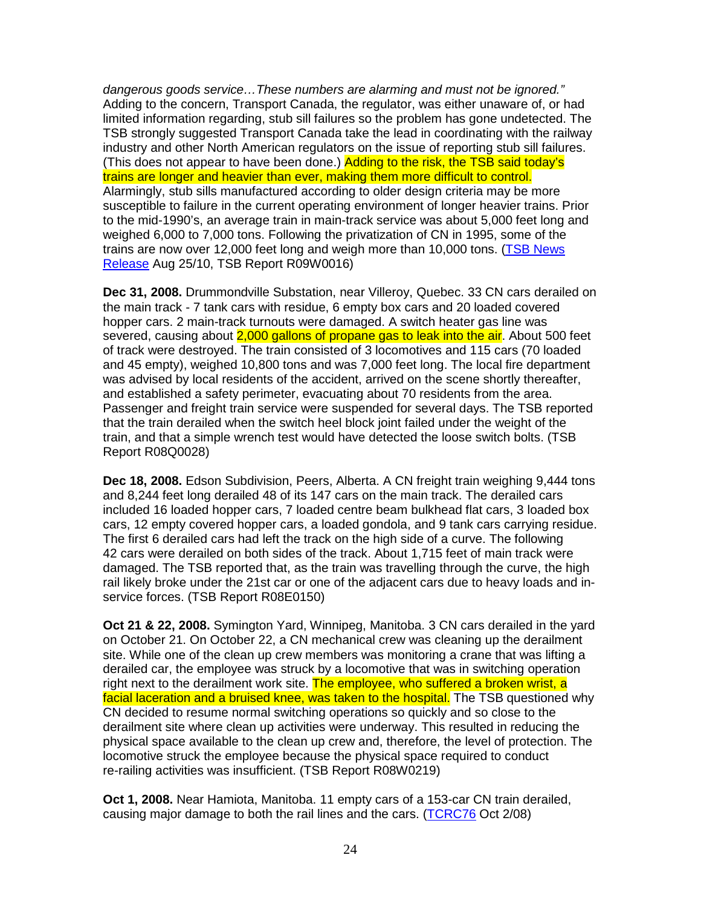dangerous goods service…These numbers are alarming and must not be ignored." Adding to the concern, Transport Canada, the regulator, was either unaware of, or had limited information regarding, stub sill failures so the problem has gone undetected. The TSB strongly suggested Transport Canada take the lead in coordinating with the railway industry and other North American regulators on the issue of reporting stub sill failures. (This does not appear to have been done.) Adding to the risk, the TSB said today's trains are longer and heavier than ever, making them more difficult to control. Alarmingly, stub sills manufactured according to older design criteria may be more susceptible to failure in the current operating environment of longer heavier trains. Prior to the mid-1990's, an average train in main-track service was about 5,000 feet long and weighed 6,000 to 7,000 tons. Following the privatization of CN in 1995, some of the trains are now over 12,000 feet long and weigh more than 10,000 tons. (TSB News Release Aug 25/10, TSB Report R09W0016)

**Dec 31, 2008.** Drummondville Substation, near Villeroy, Quebec. 33 CN cars derailed on the main track - 7 tank cars with residue, 6 empty box cars and 20 loaded covered hopper cars. 2 main-track turnouts were damaged. A switch heater gas line was severed, causing about 2,000 gallons of propane gas to leak into the air. About 500 feet of track were destroyed. The train consisted of 3 locomotives and 115 cars (70 loaded and 45 empty), weighed 10,800 tons and was 7,000 feet long. The local fire department was advised by local residents of the accident, arrived on the scene shortly thereafter, and established a safety perimeter, evacuating about 70 residents from the area. Passenger and freight train service were suspended for several days. The TSB reported that the train derailed when the switch heel block joint failed under the weight of the train, and that a simple wrench test would have detected the loose switch bolts. (TSB Report R08Q0028)

**Dec 18, 2008.** Edson Subdivision, Peers, Alberta. A CN freight train weighing 9,444 tons and 8,244 feet long derailed 48 of its 147 cars on the main track. The derailed cars included 16 loaded hopper cars, 7 loaded centre beam bulkhead flat cars, 3 loaded box cars, 12 empty covered hopper cars, a loaded gondola, and 9 tank cars carrying residue. The first 6 derailed cars had left the track on the high side of a curve. The following 42 cars were derailed on both sides of the track. About 1,715 feet of main track were damaged. The TSB reported that, as the train was travelling through the curve, the high rail likely broke under the 21st car or one of the adjacent cars due to heavy loads and inservice forces. (TSB Report R08E0150)

**Oct 21 & 22, 2008.** Symington Yard, Winnipeg, Manitoba. 3 CN cars derailed in the yard on October 21. On October 22, a CN mechanical crew was cleaning up the derailment site. While one of the clean up crew members was monitoring a crane that was lifting a derailed car, the employee was struck by a locomotive that was in switching operation right next to the derailment work site. The employee, who suffered a broken wrist, a facial laceration and a bruised knee, was taken to the hospital. The TSB questioned why CN decided to resume normal switching operations so quickly and so close to the derailment site where clean up activities were underway. This resulted in reducing the physical space available to the clean up crew and, therefore, the level of protection. The locomotive struck the employee because the physical space required to conduct re-railing activities was insufficient. (TSB Report R08W0219)

**Oct 1, 2008.** Near Hamiota, Manitoba. 11 empty cars of a 153-car CN train derailed, causing major damage to both the rail lines and the cars. (TCRC76 Oct 2/08)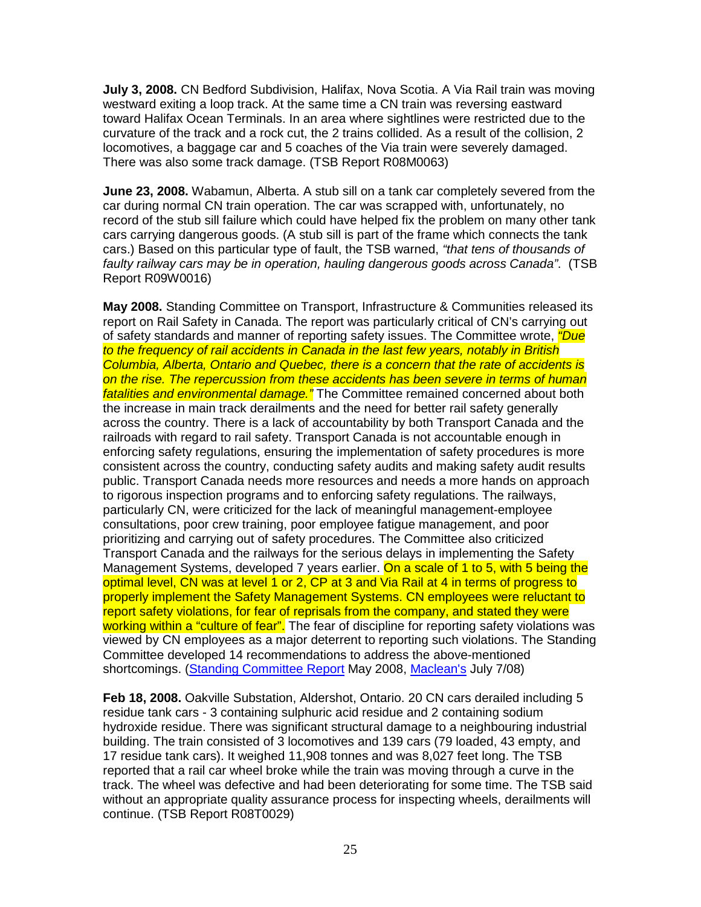**July 3, 2008.** CN Bedford Subdivision, Halifax, Nova Scotia. A Via Rail train was moving westward exiting a loop track. At the same time a CN train was reversing eastward toward Halifax Ocean Terminals. In an area where sightlines were restricted due to the curvature of the track and a rock cut, the 2 trains collided. As a result of the collision, 2 locomotives, a baggage car and 5 coaches of the Via train were severely damaged. There was also some track damage. (TSB Report R08M0063)

**June 23, 2008.** Wabamun, Alberta. A stub sill on a tank car completely severed from the car during normal CN train operation. The car was scrapped with, unfortunately, no record of the stub sill failure which could have helped fix the problem on many other tank cars carrying dangerous goods. (A stub sill is part of the frame which connects the tank cars.) Based on this particular type of fault, the TSB warned, "that tens of thousands of faulty railway cars may be in operation, hauling dangerous goods across Canada". (TSB Report R09W0016)

**May 2008.** Standing Committee on Transport, Infrastructure & Communities released its report on Rail Safety in Canada. The report was particularly critical of CN's carrying out of safety standards and manner of reporting safety issues. The Committee wrote, "Due to the frequency of rail accidents in Canada in the last few years, notably in British Columbia, Alberta, Ontario and Quebec, there is a concern that the rate of accidents is on the rise. The repercussion from these accidents has been severe in terms of human fatalities and environmental damage." The Committee remained concerned about both the increase in main track derailments and the need for better rail safety generally across the country. There is a lack of accountability by both Transport Canada and the railroads with regard to rail safety. Transport Canada is not accountable enough in enforcing safety regulations, ensuring the implementation of safety procedures is more consistent across the country, conducting safety audits and making safety audit results public. Transport Canada needs more resources and needs a more hands on approach to rigorous inspection programs and to enforcing safety regulations. The railways, particularly CN, were criticized for the lack of meaningful management-employee consultations, poor crew training, poor employee fatigue management, and poor prioritizing and carrying out of safety procedures. The Committee also criticized Transport Canada and the railways for the serious delays in implementing the Safety Management Systems, developed 7 years earlier. On a scale of 1 to 5, with 5 being the optimal level, CN was at level 1 or 2, CP at 3 and Via Rail at 4 in terms of progress to properly implement the Safety Management Systems. CN employees were reluctant to report safety violations, for fear of reprisals from the company, and stated they were working within a "culture of fear". The fear of discipline for reporting safety violations was viewed by CN employees as a major deterrent to reporting such violations. The Standing Committee developed 14 recommendations to address the above-mentioned shortcomings. (Standing Committee Report May 2008, Maclean's July 7/08)

**Feb 18, 2008.** Oakville Substation, Aldershot, Ontario. 20 CN cars derailed including 5 residue tank cars - 3 containing sulphuric acid residue and 2 containing sodium hydroxide residue. There was significant structural damage to a neighbouring industrial building. The train consisted of 3 locomotives and 139 cars (79 loaded, 43 empty, and 17 residue tank cars). It weighed 11,908 tonnes and was 8,027 feet long. The TSB reported that a rail car wheel broke while the train was moving through a curve in the track. The wheel was defective and had been deteriorating for some time. The TSB said without an appropriate quality assurance process for inspecting wheels, derailments will continue. (TSB Report R08T0029)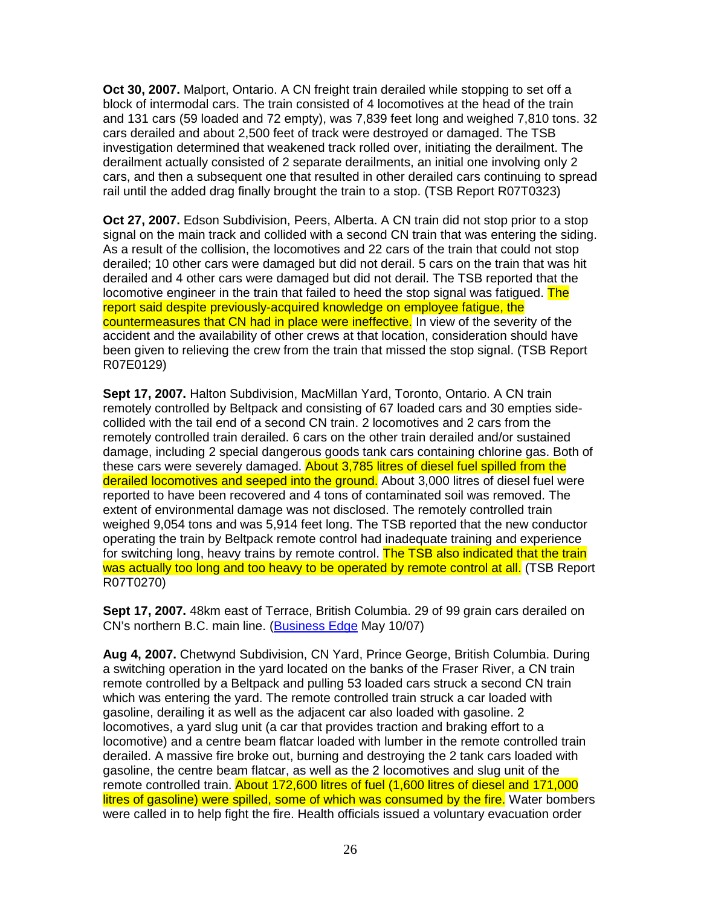**Oct 30, 2007.** Malport, Ontario. A CN freight train derailed while stopping to set off a block of intermodal cars. The train consisted of 4 locomotives at the head of the train and 131 cars (59 loaded and 72 empty), was 7,839 feet long and weighed 7,810 tons. 32 cars derailed and about 2,500 feet of track were destroyed or damaged. The TSB investigation determined that weakened track rolled over, initiating the derailment. The derailment actually consisted of 2 separate derailments, an initial one involving only 2 cars, and then a subsequent one that resulted in other derailed cars continuing to spread rail until the added drag finally brought the train to a stop. (TSB Report R07T0323)

**Oct 27, 2007.** Edson Subdivision, Peers, Alberta. A CN train did not stop prior to a stop signal on the main track and collided with a second CN train that was entering the siding. As a result of the collision, the locomotives and 22 cars of the train that could not stop derailed; 10 other cars were damaged but did not derail. 5 cars on the train that was hit derailed and 4 other cars were damaged but did not derail. The TSB reported that the locomotive engineer in the train that failed to heed the stop signal was fatigued. The report said despite previously-acquired knowledge on employee fatigue, the countermeasures that CN had in place were ineffective. In view of the severity of the accident and the availability of other crews at that location, consideration should have been given to relieving the crew from the train that missed the stop signal. (TSB Report R07E0129)

**Sept 17, 2007.** Halton Subdivision, MacMillan Yard, Toronto, Ontario. A CN train remotely controlled by Beltpack and consisting of 67 loaded cars and 30 empties sidecollided with the tail end of a second CN train. 2 locomotives and 2 cars from the remotely controlled train derailed. 6 cars on the other train derailed and/or sustained damage, including 2 special dangerous goods tank cars containing chlorine gas. Both of these cars were severely damaged. About 3,785 litres of diesel fuel spilled from the derailed locomotives and seeped into the ground. About 3,000 litres of diesel fuel were reported to have been recovered and 4 tons of contaminated soil was removed. The extent of environmental damage was not disclosed. The remotely controlled train weighed 9,054 tons and was 5,914 feet long. The TSB reported that the new conductor operating the train by Beltpack remote control had inadequate training and experience for switching long, heavy trains by remote control. The TSB also indicated that the train was actually too long and too heavy to be operated by remote control at all. (TSB Report R07T0270)

**Sept 17, 2007.** 48km east of Terrace, British Columbia. 29 of 99 grain cars derailed on CN's northern B.C. main line. (Business Edge May 10/07)

**Aug 4, 2007.** Chetwynd Subdivision, CN Yard, Prince George, British Columbia. During a switching operation in the yard located on the banks of the Fraser River, a CN train remote controlled by a Beltpack and pulling 53 loaded cars struck a second CN train which was entering the yard. The remote controlled train struck a car loaded with gasoline, derailing it as well as the adjacent car also loaded with gasoline. 2 locomotives, a yard slug unit (a car that provides traction and braking effort to a locomotive) and a centre beam flatcar loaded with lumber in the remote controlled train derailed. A massive fire broke out, burning and destroying the 2 tank cars loaded with gasoline, the centre beam flatcar, as well as the 2 locomotives and slug unit of the remote controlled train. About 172,600 litres of fuel (1,600 litres of diesel and 171,000 litres of gasoline) were spilled, some of which was consumed by the fire. Water bombers were called in to help fight the fire. Health officials issued a voluntary evacuation order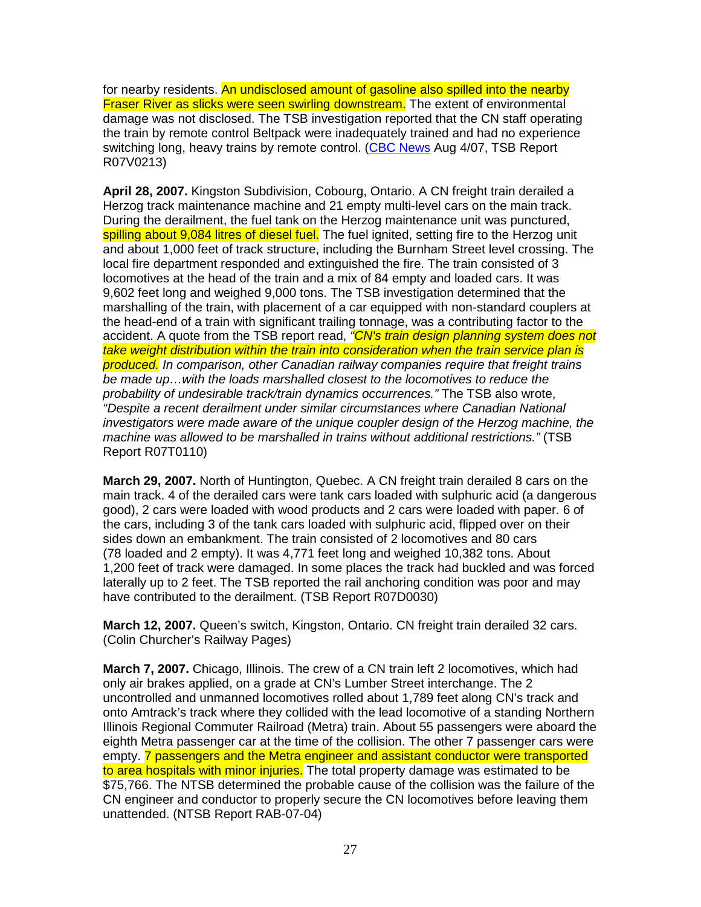for nearby residents. An undisclosed amount of gasoline also spilled into the nearby Fraser River as slicks were seen swirling downstream. The extent of environmental damage was not disclosed. The TSB investigation reported that the CN staff operating the train by remote control Beltpack were inadequately trained and had no experience switching long, heavy trains by remote control. (CBC News Aug 4/07, TSB Report R07V0213)

**April 28, 2007.** Kingston Subdivision, Cobourg, Ontario. A CN freight train derailed a Herzog track maintenance machine and 21 empty multi-level cars on the main track. During the derailment, the fuel tank on the Herzog maintenance unit was punctured, spilling about 9,084 litres of diesel fuel. The fuel ignited, setting fire to the Herzog unit and about 1,000 feet of track structure, including the Burnham Street level crossing. The local fire department responded and extinguished the fire. The train consisted of 3 locomotives at the head of the train and a mix of 84 empty and loaded cars. It was 9,602 feet long and weighed 9,000 tons. The TSB investigation determined that the marshalling of the train, with placement of a car equipped with non-standard couplers at the head-end of a train with significant trailing tonnage, was a contributing factor to the accident. A quote from the TSB report read, "CN's train design planning system does not take weight distribution within the train into consideration when the train service plan is produced. In comparison, other Canadian railway companies require that freight trains be made up…with the loads marshalled closest to the locomotives to reduce the probability of undesirable track/train dynamics occurrences." The TSB also wrote, "Despite a recent derailment under similar circumstances where Canadian National investigators were made aware of the unique coupler design of the Herzog machine, the machine was allowed to be marshalled in trains without additional restrictions." (TSB Report R07T0110)

**March 29, 2007.** North of Huntington, Quebec. A CN freight train derailed 8 cars on the main track. 4 of the derailed cars were tank cars loaded with sulphuric acid (a dangerous good), 2 cars were loaded with wood products and 2 cars were loaded with paper. 6 of the cars, including 3 of the tank cars loaded with sulphuric acid, flipped over on their sides down an embankment. The train consisted of 2 locomotives and 80 cars (78 loaded and 2 empty). It was 4,771 feet long and weighed 10,382 tons. About 1,200 feet of track were damaged. In some places the track had buckled and was forced laterally up to 2 feet. The TSB reported the rail anchoring condition was poor and may have contributed to the derailment. (TSB Report R07D0030)

**March 12, 2007.** Queen's switch, Kingston, Ontario. CN freight train derailed 32 cars. (Colin Churcher's Railway Pages)

**March 7, 2007.** Chicago, Illinois. The crew of a CN train left 2 locomotives, which had only air brakes applied, on a grade at CN's Lumber Street interchange. The 2 uncontrolled and unmanned locomotives rolled about 1,789 feet along CN's track and onto Amtrack's track where they collided with the lead locomotive of a standing Northern Illinois Regional Commuter Railroad (Metra) train. About 55 passengers were aboard the eighth Metra passenger car at the time of the collision. The other 7 passenger cars were empty. 7 passengers and the Metra engineer and assistant conductor were transported to area hospitals with minor injuries. The total property damage was estimated to be \$75,766. The NTSB determined the probable cause of the collision was the failure of the CN engineer and conductor to properly secure the CN locomotives before leaving them unattended. (NTSB Report RAB-07-04)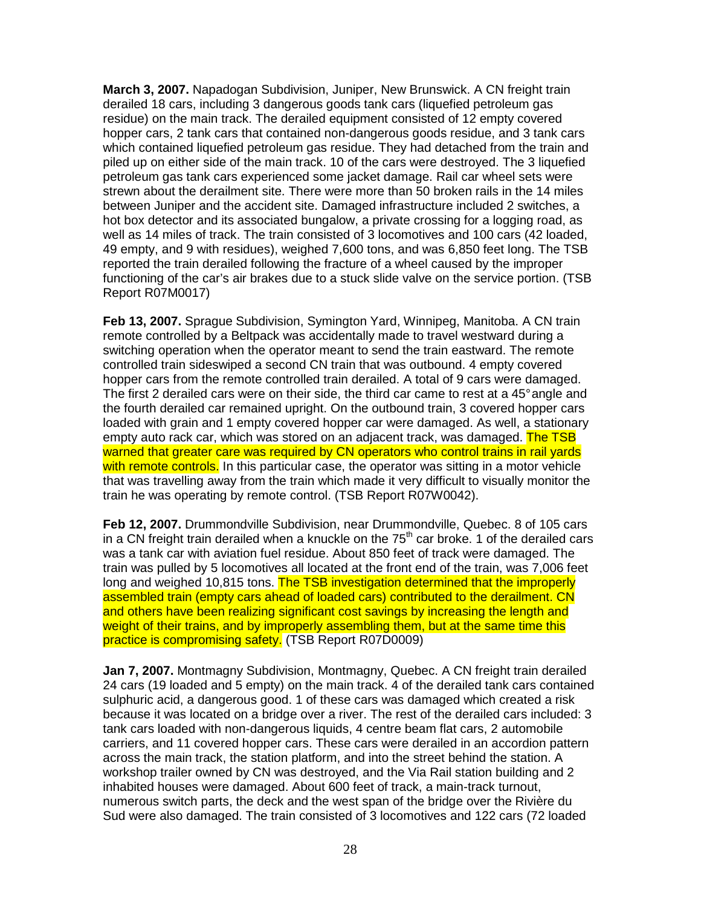**March 3, 2007.** Napadogan Subdivision, Juniper, New Brunswick. A CN freight train derailed 18 cars, including 3 dangerous goods tank cars (liquefied petroleum gas residue) on the main track. The derailed equipment consisted of 12 empty covered hopper cars, 2 tank cars that contained non-dangerous goods residue, and 3 tank cars which contained liquefied petroleum gas residue. They had detached from the train and piled up on either side of the main track. 10 of the cars were destroyed. The 3 liquefied petroleum gas tank cars experienced some jacket damage. Rail car wheel sets were strewn about the derailment site. There were more than 50 broken rails in the 14 miles between Juniper and the accident site. Damaged infrastructure included 2 switches, a hot box detector and its associated bungalow, a private crossing for a logging road, as well as 14 miles of track. The train consisted of 3 locomotives and 100 cars (42 loaded, 49 empty, and 9 with residues), weighed 7,600 tons, and was 6,850 feet long. The TSB reported the train derailed following the fracture of a wheel caused by the improper functioning of the car's air brakes due to a stuck slide valve on the service portion. (TSB Report R07M0017)

**Feb 13, 2007.** Sprague Subdivision, Symington Yard, Winnipeg, Manitoba. A CN train remote controlled by a Beltpack was accidentally made to travel westward during a switching operation when the operator meant to send the train eastward. The remote controlled train sideswiped a second CN train that was outbound. 4 empty covered hopper cars from the remote controlled train derailed. A total of 9 cars were damaged. The first 2 derailed cars were on their side, the third car came to rest at a 45° angle and the fourth derailed car remained upright. On the outbound train, 3 covered hopper cars loaded with grain and 1 empty covered hopper car were damaged. As well, a stationary empty auto rack car, which was stored on an adiacent track, was damaged. The TSB warned that greater care was required by CN operators who control trains in rail yards with remote controls. In this particular case, the operator was sitting in a motor vehicle that was travelling away from the train which made it very difficult to visually monitor the train he was operating by remote control. (TSB Report R07W0042).

**Feb 12, 2007.** Drummondville Subdivision, near Drummondville, Quebec. 8 of 105 cars in a CN freight train derailed when a knuckle on the  $75<sup>th</sup>$  car broke. 1 of the derailed cars was a tank car with aviation fuel residue. About 850 feet of track were damaged. The train was pulled by 5 locomotives all located at the front end of the train, was 7,006 feet long and weighed 10,815 tons. The TSB investigation determined that the improperly assembled train (empty cars ahead of loaded cars) contributed to the derailment. CN and others have been realizing significant cost savings by increasing the length and weight of their trains, and by improperly assembling them, but at the same time this practice is compromising safety. (TSB Report R07D0009)

**Jan 7, 2007.** Montmagny Subdivision, Montmagny, Quebec. A CN freight train derailed 24 cars (19 loaded and 5 empty) on the main track. 4 of the derailed tank cars contained sulphuric acid, a dangerous good. 1 of these cars was damaged which created a risk because it was located on a bridge over a river. The rest of the derailed cars included: 3 tank cars loaded with non-dangerous liquids, 4 centre beam flat cars, 2 automobile carriers, and 11 covered hopper cars. These cars were derailed in an accordion pattern across the main track, the station platform, and into the street behind the station. A workshop trailer owned by CN was destroyed, and the Via Rail station building and 2 inhabited houses were damaged. About 600 feet of track, a main-track turnout, numerous switch parts, the deck and the west span of the bridge over the Rivière du Sud were also damaged. The train consisted of 3 locomotives and 122 cars (72 loaded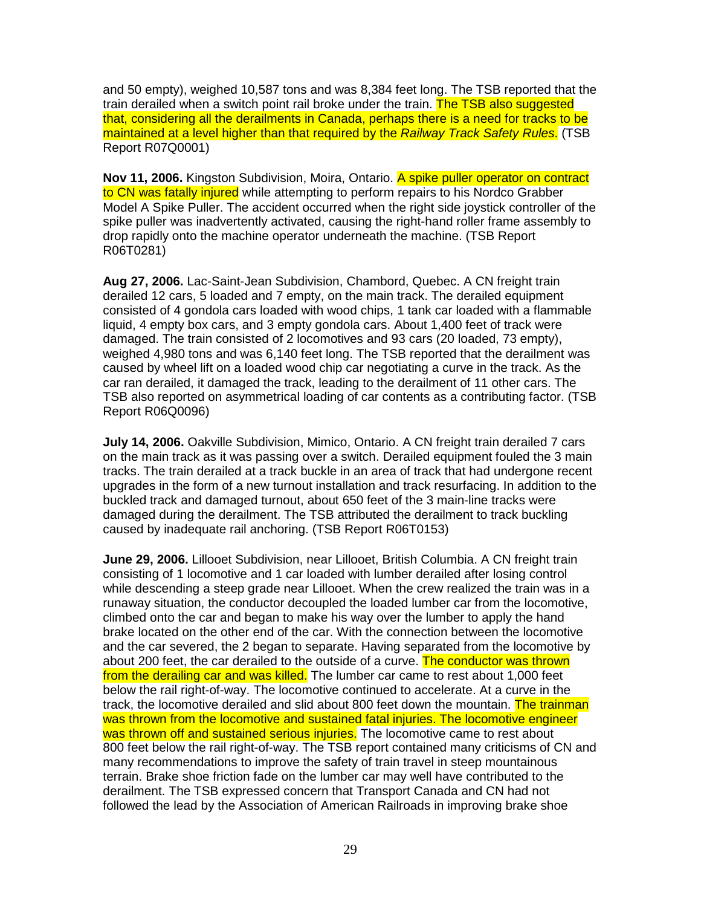and 50 empty), weighed 10,587 tons and was 8,384 feet long. The TSB reported that the train derailed when a switch point rail broke under the train. The TSB also suggested that, considering all the derailments in Canada, perhaps there is a need for tracks to be maintained at a level higher than that required by the Railway Track Safety Rules. (TSB Report R07Q0001)

**Nov 11, 2006.** Kingston Subdivision, Moira, Ontario. A spike puller operator on contract to CN was fatally injured while attempting to perform repairs to his Nordco Grabber Model A Spike Puller. The accident occurred when the right side joystick controller of the spike puller was inadvertently activated, causing the right-hand roller frame assembly to drop rapidly onto the machine operator underneath the machine. (TSB Report R06T0281)

**Aug 27, 2006.** Lac-Saint-Jean Subdivision, Chambord, Quebec. A CN freight train derailed 12 cars, 5 loaded and 7 empty, on the main track. The derailed equipment consisted of 4 gondola cars loaded with wood chips, 1 tank car loaded with a flammable liquid, 4 empty box cars, and 3 empty gondola cars. About 1,400 feet of track were damaged. The train consisted of 2 locomotives and 93 cars (20 loaded, 73 empty), weighed 4,980 tons and was 6,140 feet long. The TSB reported that the derailment was caused by wheel lift on a loaded wood chip car negotiating a curve in the track. As the car ran derailed, it damaged the track, leading to the derailment of 11 other cars. The TSB also reported on asymmetrical loading of car contents as a contributing factor. (TSB Report R06Q0096)

**July 14, 2006.** Oakville Subdivision, Mimico, Ontario. A CN freight train derailed 7 cars on the main track as it was passing over a switch. Derailed equipment fouled the 3 main tracks. The train derailed at a track buckle in an area of track that had undergone recent upgrades in the form of a new turnout installation and track resurfacing. In addition to the buckled track and damaged turnout, about 650 feet of the 3 main-line tracks were damaged during the derailment. The TSB attributed the derailment to track buckling caused by inadequate rail anchoring. (TSB Report R06T0153)

**June 29, 2006.** Lillooet Subdivision, near Lillooet, British Columbia. A CN freight train consisting of 1 locomotive and 1 car loaded with lumber derailed after losing control while descending a steep grade near Lillooet. When the crew realized the train was in a runaway situation, the conductor decoupled the loaded lumber car from the locomotive, climbed onto the car and began to make his way over the lumber to apply the hand brake located on the other end of the car. With the connection between the locomotive and the car severed, the 2 began to separate. Having separated from the locomotive by about 200 feet, the car derailed to the outside of a curve. The conductor was thrown from the derailing car and was killed. The lumber car came to rest about 1,000 feet below the rail right-of-way. The locomotive continued to accelerate. At a curve in the track, the locomotive derailed and slid about 800 feet down the mountain. The trainman was thrown from the locomotive and sustained fatal injuries. The locomotive engineer was thrown off and sustained serious injuries. The locomotive came to rest about 800 feet below the rail right-of-way. The TSB report contained many criticisms of CN and many recommendations to improve the safety of train travel in steep mountainous terrain. Brake shoe friction fade on the lumber car may well have contributed to the derailment. The TSB expressed concern that Transport Canada and CN had not followed the lead by the Association of American Railroads in improving brake shoe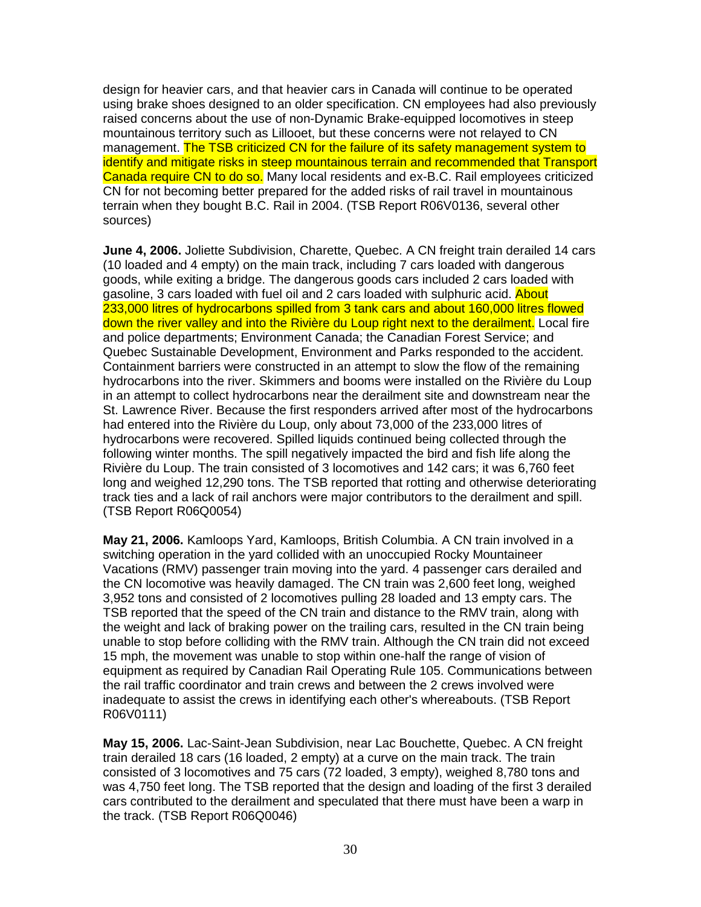design for heavier cars, and that heavier cars in Canada will continue to be operated using brake shoes designed to an older specification. CN employees had also previously raised concerns about the use of non-Dynamic Brake-equipped locomotives in steep mountainous territory such as Lillooet, but these concerns were not relayed to CN management. The TSB criticized CN for the failure of its safety management system to identify and mitigate risks in steep mountainous terrain and recommended that Transport Canada require CN to do so. Many local residents and ex-B.C. Rail employees criticized CN for not becoming better prepared for the added risks of rail travel in mountainous terrain when they bought B.C. Rail in 2004. (TSB Report R06V0136, several other sources)

**June 4, 2006.** Joliette Subdivision, Charette, Quebec. A CN freight train derailed 14 cars (10 loaded and 4 empty) on the main track, including 7 cars loaded with dangerous goods, while exiting a bridge. The dangerous goods cars included 2 cars loaded with gasoline, 3 cars loaded with fuel oil and 2 cars loaded with sulphuric acid. About 233,000 litres of hydrocarbons spilled from 3 tank cars and about 160,000 litres flowed down the river valley and into the Rivière du Loup right next to the derailment. Local fire and police departments; Environment Canada; the Canadian Forest Service; and Quebec Sustainable Development, Environment and Parks responded to the accident. Containment barriers were constructed in an attempt to slow the flow of the remaining hydrocarbons into the river. Skimmers and booms were installed on the Rivière du Loup in an attempt to collect hydrocarbons near the derailment site and downstream near the St. Lawrence River. Because the first responders arrived after most of the hydrocarbons had entered into the Rivière du Loup, only about 73,000 of the 233,000 litres of hydrocarbons were recovered. Spilled liquids continued being collected through the following winter months. The spill negatively impacted the bird and fish life along the Rivière du Loup. The train consisted of 3 locomotives and 142 cars; it was 6,760 feet long and weighed 12,290 tons. The TSB reported that rotting and otherwise deteriorating track ties and a lack of rail anchors were major contributors to the derailment and spill. (TSB Report R06Q0054)

**May 21, 2006.** Kamloops Yard, Kamloops, British Columbia. A CN train involved in a switching operation in the yard collided with an unoccupied Rocky Mountaineer Vacations (RMV) passenger train moving into the yard. 4 passenger cars derailed and the CN locomotive was heavily damaged. The CN train was 2,600 feet long, weighed 3,952 tons and consisted of 2 locomotives pulling 28 loaded and 13 empty cars. The TSB reported that the speed of the CN train and distance to the RMV train, along with the weight and lack of braking power on the trailing cars, resulted in the CN train being unable to stop before colliding with the RMV train. Although the CN train did not exceed 15 mph, the movement was unable to stop within one-half the range of vision of equipment as required by Canadian Rail Operating Rule 105. Communications between the rail traffic coordinator and train crews and between the 2 crews involved were inadequate to assist the crews in identifying each other's whereabouts. (TSB Report R06V0111)

**May 15, 2006.** Lac-Saint-Jean Subdivision, near Lac Bouchette, Quebec. A CN freight train derailed 18 cars (16 loaded, 2 empty) at a curve on the main track. The train consisted of 3 locomotives and 75 cars (72 loaded, 3 empty), weighed 8,780 tons and was 4,750 feet long. The TSB reported that the design and loading of the first 3 derailed cars contributed to the derailment and speculated that there must have been a warp in the track. (TSB Report R06Q0046)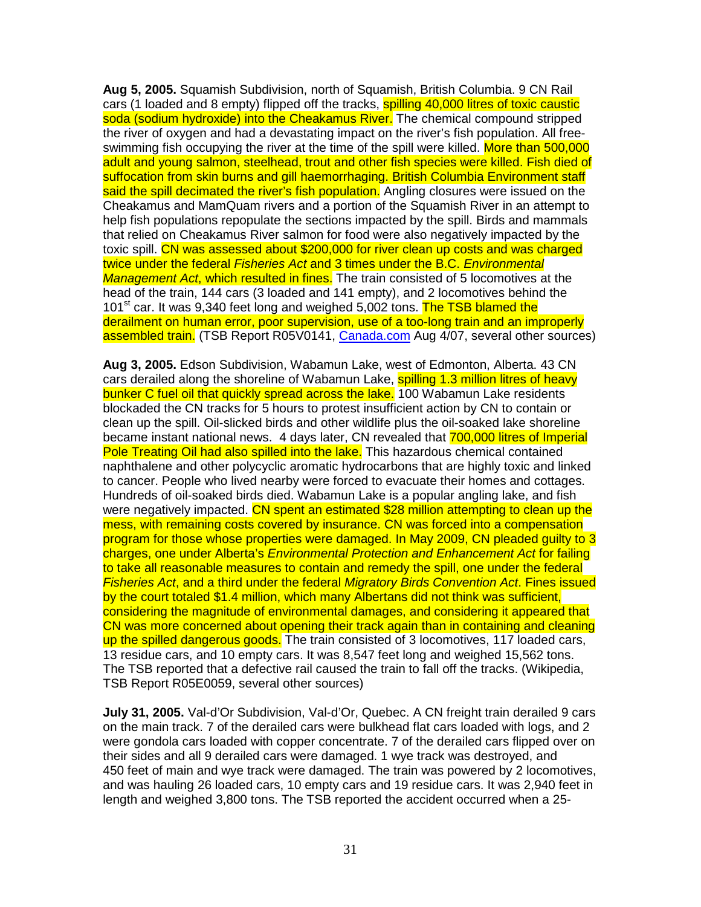**Aug 5, 2005.** Squamish Subdivision, north of Squamish, British Columbia. 9 CN Rail cars (1 loaded and 8 empty) flipped off the tracks, **spilling 40,000 litres of toxic caustic** soda (sodium hydroxide) into the Cheakamus River. The chemical compound stripped the river of oxygen and had a devastating impact on the river's fish population. All freeswimming fish occupying the river at the time of the spill were killed. More than 500,000 adult and young salmon, steelhead, trout and other fish species were killed. Fish died of suffocation from skin burns and gill haemorrhaging. British Columbia Environment staff said the spill decimated the river's fish population. Angling closures were issued on the Cheakamus and MamQuam rivers and a portion of the Squamish River in an attempt to help fish populations repopulate the sections impacted by the spill. Birds and mammals that relied on Cheakamus River salmon for food were also negatively impacted by the toxic spill. CN was assessed about \$200,000 for river clean up costs and was charged twice under the federal Fisheries Act and 3 times under the B.C. Environmental Management Act, which resulted in fines. The train consisted of 5 locomotives at the head of the train, 144 cars (3 loaded and 141 empty), and 2 locomotives behind the 101<sup>st</sup> car. It was 9,340 feet long and weighed 5,002 tons. The TSB blamed the derailment on human error, poor supervision, use of a too-long train and an improperly assembled train. (TSB Report R05V0141, Canada.com Aug 4/07, several other sources)

**Aug 3, 2005.** Edson Subdivision, Wabamun Lake, west of Edmonton, Alberta. 43 CN cars derailed along the shoreline of Wabamun Lake, spilling 1.3 million litres of heavy bunker C fuel oil that quickly spread across the lake. 100 Wabamun Lake residents blockaded the CN tracks for 5 hours to protest insufficient action by CN to contain or clean up the spill. Oil-slicked birds and other wildlife plus the oil-soaked lake shoreline became instant national news. 4 days later, CN revealed that 700,000 litres of Imperial Pole Treating Oil had also spilled into the lake. This hazardous chemical contained naphthalene and other polycyclic aromatic hydrocarbons that are highly toxic and linked to cancer. People who lived nearby were forced to evacuate their homes and cottages. Hundreds of oil-soaked birds died. Wabamun Lake is a popular angling lake, and fish were negatively impacted. CN spent an estimated \$28 million attempting to clean up the mess, with remaining costs covered by insurance. CN was forced into a compensation program for those whose properties were damaged. In May 2009, CN pleaded guilty to 3 charges, one under Alberta's Environmental Protection and Enhancement Act for failing to take all reasonable measures to contain and remedy the spill, one under the federal Fisheries Act, and a third under the federal Migratory Birds Convention Act. Fines issued by the court totaled \$1.4 million, which many Albertans did not think was sufficient, considering the magnitude of environmental damages, and considering it appeared that CN was more concerned about opening their track again than in containing and cleaning up the spilled dangerous goods. The train consisted of 3 locomotives, 117 loaded cars, 13 residue cars, and 10 empty cars. It was 8,547 feet long and weighed 15,562 tons. The TSB reported that a defective rail caused the train to fall off the tracks. (Wikipedia, TSB Report R05E0059, several other sources)

**July 31, 2005.** Val-d'Or Subdivision, Val-d'Or, Quebec. A CN freight train derailed 9 cars on the main track. 7 of the derailed cars were bulkhead flat cars loaded with logs, and 2 were gondola cars loaded with copper concentrate. 7 of the derailed cars flipped over on their sides and all 9 derailed cars were damaged. 1 wye track was destroyed, and 450 feet of main and wye track were damaged. The train was powered by 2 locomotives, and was hauling 26 loaded cars, 10 empty cars and 19 residue cars. It was 2,940 feet in length and weighed 3,800 tons. The TSB reported the accident occurred when a 25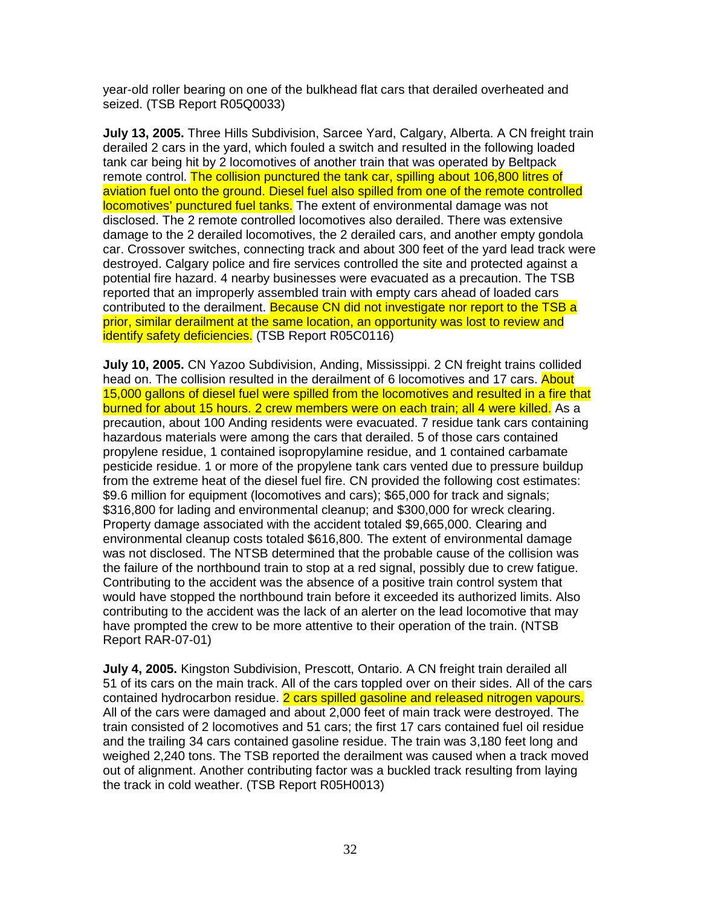year-old roller bearing on one of the bulkhead flat cars that derailed overheated and seized. (TSB Report R05Q0033)

**July 13, 2005.** Three Hills Subdivision, Sarcee Yard, Calgary, Alberta. A CN freight train derailed 2 cars in the yard, which fouled a switch and resulted in the following loaded tank car being hit by 2 locomotives of another train that was operated by Beltpack remote control. The collision punctured the tank car, spilling about 106,800 litres of aviation fuel onto the ground. Diesel fuel also spilled from one of the remote controlled locomotives' punctured fuel tanks. The extent of environmental damage was not disclosed. The 2 remote controlled locomotives also derailed. There was extensive damage to the 2 derailed locomotives, the 2 derailed cars, and another empty gondola car. Crossover switches, connecting track and about 300 feet of the yard lead track were destroyed. Calgary police and fire services controlled the site and protected against a potential fire hazard. 4 nearby businesses were evacuated as a precaution. The TSB reported that an improperly assembled train with empty cars ahead of loaded cars contributed to the derailment. Because CN did not investigate nor report to the TSB a prior, similar derailment at the same location, an opportunity was lost to review and identify safety deficiencies. (TSB Report R05C0116)

**July 10, 2005.** CN Yazoo Subdivision, Anding, Mississippi. 2 CN freight trains collided head on. The collision resulted in the derailment of 6 locomotives and 17 cars. About 15,000 gallons of diesel fuel were spilled from the locomotives and resulted in a fire that burned for about 15 hours. 2 crew members were on each train; all 4 were killed. As a precaution, about 100 Anding residents were evacuated. 7 residue tank cars containing hazardous materials were among the cars that derailed. 5 of those cars contained propylene residue, 1 contained isopropylamine residue, and 1 contained carbamate pesticide residue. 1 or more of the propylene tank cars vented due to pressure buildup from the extreme heat of the diesel fuel fire. CN provided the following cost estimates: \$9.6 million for equipment (locomotives and cars); \$65,000 for track and signals; \$316,800 for lading and environmental cleanup; and \$300,000 for wreck clearing. Property damage associated with the accident totaled \$9,665,000. Clearing and environmental cleanup costs totaled \$616,800. The extent of environmental damage was not disclosed. The NTSB determined that the probable cause of the collision was the failure of the northbound train to stop at a red signal, possibly due to crew fatigue. Contributing to the accident was the absence of a positive train control system that would have stopped the northbound train before it exceeded its authorized limits. Also contributing to the accident was the lack of an alerter on the lead locomotive that may have prompted the crew to be more attentive to their operation of the train. (NTSB Report RAR-07-01)

**July 4, 2005.** Kingston Subdivision, Prescott, Ontario. A CN freight train derailed all 51 of its cars on the main track. All of the cars toppled over on their sides. All of the cars contained hydrocarbon residue. 2 cars spilled gasoline and released nitrogen vapours. All of the cars were damaged and about 2,000 feet of main track were destroyed. The train consisted of 2 locomotives and 51 cars; the first 17 cars contained fuel oil residue and the trailing 34 cars contained gasoline residue. The train was 3,180 feet long and weighed 2,240 tons. The TSB reported the derailment was caused when a track moved out of alignment. Another contributing factor was a buckled track resulting from laying the track in cold weather. (TSB Report R05H0013)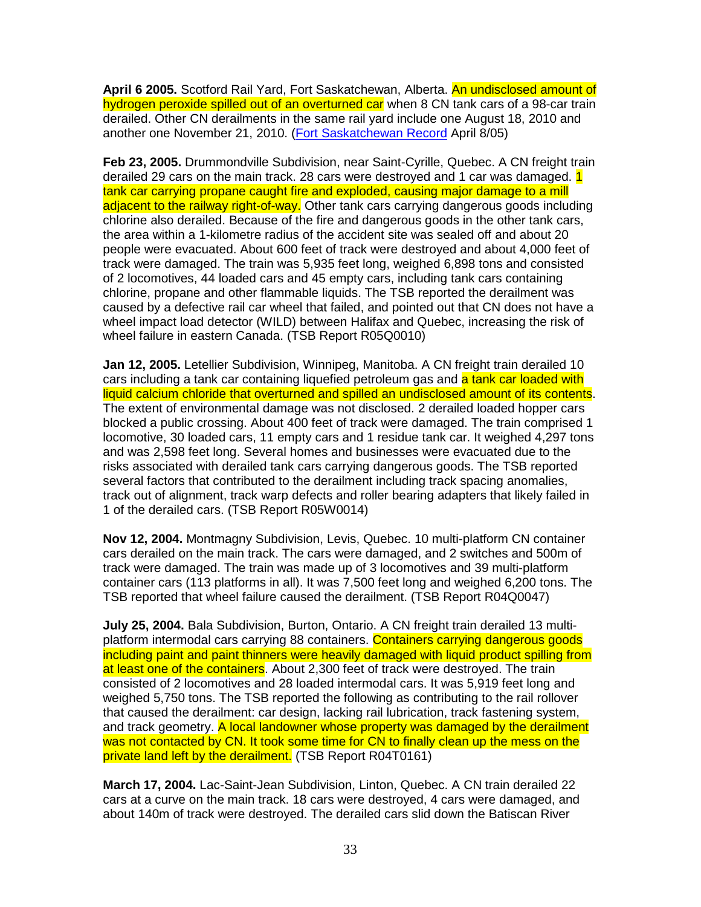**April 6 2005.** Scotford Rail Yard, Fort Saskatchewan, Alberta. An undisclosed amount of hydrogen peroxide spilled out of an overturned car when 8 CN tank cars of a 98-car train derailed. Other CN derailments in the same rail yard include one August 18, 2010 and another one November 21, 2010. (Fort Saskatchewan Record April 8/05)

**Feb 23, 2005.** Drummondville Subdivision, near Saint-Cyrille, Quebec. A CN freight train derailed 29 cars on the main track. 28 cars were destroyed and 1 car was damaged. 1 tank car carrying propane caught fire and exploded, causing major damage to a mill adjacent to the railway right-of-way. Other tank cars carrying dangerous goods including chlorine also derailed. Because of the fire and dangerous goods in the other tank cars, the area within a 1-kilometre radius of the accident site was sealed off and about 20 people were evacuated. About 600 feet of track were destroyed and about 4,000 feet of track were damaged. The train was 5,935 feet long, weighed 6,898 tons and consisted of 2 locomotives, 44 loaded cars and 45 empty cars, including tank cars containing chlorine, propane and other flammable liquids. The TSB reported the derailment was caused by a defective rail car wheel that failed, and pointed out that CN does not have a wheel impact load detector (WILD) between Halifax and Quebec, increasing the risk of wheel failure in eastern Canada. (TSB Report R05Q0010)

**Jan 12, 2005.** Letellier Subdivision, Winnipeg, Manitoba. A CN freight train derailed 10 cars including a tank car containing liquefied petroleum gas and a tank car loaded with liquid calcium chloride that overturned and spilled an undisclosed amount of its contents. The extent of environmental damage was not disclosed. 2 derailed loaded hopper cars blocked a public crossing. About 400 feet of track were damaged. The train comprised 1 locomotive, 30 loaded cars, 11 empty cars and 1 residue tank car. It weighed 4,297 tons and was 2,598 feet long. Several homes and businesses were evacuated due to the risks associated with derailed tank cars carrying dangerous goods. The TSB reported several factors that contributed to the derailment including track spacing anomalies, track out of alignment, track warp defects and roller bearing adapters that likely failed in 1 of the derailed cars. (TSB Report R05W0014)

**Nov 12, 2004.** Montmagny Subdivision, Levis, Quebec. 10 multi-platform CN container cars derailed on the main track. The cars were damaged, and 2 switches and 500m of track were damaged. The train was made up of 3 locomotives and 39 multi-platform container cars (113 platforms in all). It was 7,500 feet long and weighed 6,200 tons. The TSB reported that wheel failure caused the derailment. (TSB Report R04Q0047)

**July 25, 2004.** Bala Subdivision, Burton, Ontario. A CN freight train derailed 13 multiplatform intermodal cars carrying 88 containers. Containers carrying dangerous goods including paint and paint thinners were heavily damaged with liquid product spilling from at least one of the containers. About 2,300 feet of track were destroyed. The train consisted of 2 locomotives and 28 loaded intermodal cars. It was 5,919 feet long and weighed 5,750 tons. The TSB reported the following as contributing to the rail rollover that caused the derailment: car design, lacking rail lubrication, track fastening system, and track geometry. A local landowner whose property was damaged by the derailment was not contacted by CN. It took some time for CN to finally clean up the mess on the private land left by the derailment. (TSB Report R04T0161)

**March 17, 2004.** Lac-Saint-Jean Subdivision, Linton, Quebec. A CN train derailed 22 cars at a curve on the main track. 18 cars were destroyed, 4 cars were damaged, and about 140m of track were destroyed. The derailed cars slid down the Batiscan River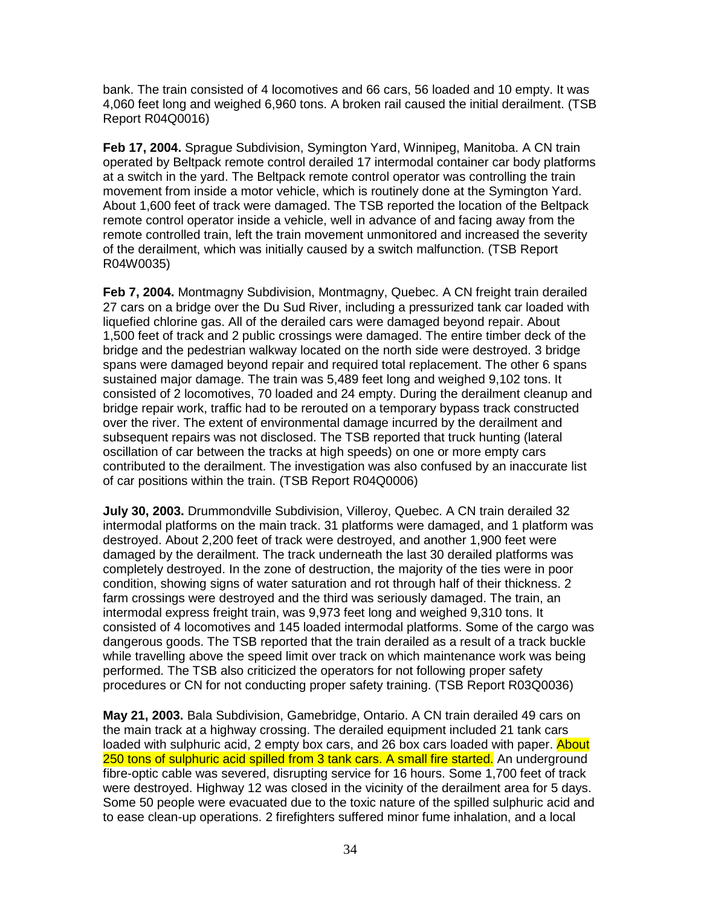bank. The train consisted of 4 locomotives and 66 cars, 56 loaded and 10 empty. It was 4,060 feet long and weighed 6,960 tons. A broken rail caused the initial derailment. (TSB Report R04Q0016)

**Feb 17, 2004.** Sprague Subdivision, Symington Yard, Winnipeg, Manitoba. A CN train operated by Beltpack remote control derailed 17 intermodal container car body platforms at a switch in the yard. The Beltpack remote control operator was controlling the train movement from inside a motor vehicle, which is routinely done at the Symington Yard. About 1,600 feet of track were damaged. The TSB reported the location of the Beltpack remote control operator inside a vehicle, well in advance of and facing away from the remote controlled train, left the train movement unmonitored and increased the severity of the derailment, which was initially caused by a switch malfunction. (TSB Report R04W0035)

**Feb 7, 2004.** Montmagny Subdivision, Montmagny, Quebec. A CN freight train derailed 27 cars on a bridge over the Du Sud River, including a pressurized tank car loaded with liquefied chlorine gas. All of the derailed cars were damaged beyond repair. About 1,500 feet of track and 2 public crossings were damaged. The entire timber deck of the bridge and the pedestrian walkway located on the north side were destroyed. 3 bridge spans were damaged beyond repair and required total replacement. The other 6 spans sustained major damage. The train was 5,489 feet long and weighed 9,102 tons. It consisted of 2 locomotives, 70 loaded and 24 empty. During the derailment cleanup and bridge repair work, traffic had to be rerouted on a temporary bypass track constructed over the river. The extent of environmental damage incurred by the derailment and subsequent repairs was not disclosed. The TSB reported that truck hunting (lateral oscillation of car between the tracks at high speeds) on one or more empty cars contributed to the derailment. The investigation was also confused by an inaccurate list of car positions within the train. (TSB Report R04Q0006)

**July 30, 2003.** Drummondville Subdivision, Villeroy, Quebec. A CN train derailed 32 intermodal platforms on the main track. 31 platforms were damaged, and 1 platform was destroyed. About 2,200 feet of track were destroyed, and another 1,900 feet were damaged by the derailment. The track underneath the last 30 derailed platforms was completely destroyed. In the zone of destruction, the majority of the ties were in poor condition, showing signs of water saturation and rot through half of their thickness. 2 farm crossings were destroyed and the third was seriously damaged. The train, an intermodal express freight train, was 9,973 feet long and weighed 9,310 tons. It consisted of 4 locomotives and 145 loaded intermodal platforms. Some of the cargo was dangerous goods. The TSB reported that the train derailed as a result of a track buckle while travelling above the speed limit over track on which maintenance work was being performed. The TSB also criticized the operators for not following proper safety procedures or CN for not conducting proper safety training. (TSB Report R03Q0036)

**May 21, 2003.** Bala Subdivision, Gamebridge, Ontario. A CN train derailed 49 cars on the main track at a highway crossing. The derailed equipment included 21 tank cars loaded with sulphuric acid, 2 empty box cars, and 26 box cars loaded with paper. About 250 tons of sulphuric acid spilled from 3 tank cars. A small fire started. An underground fibre-optic cable was severed, disrupting service for 16 hours. Some 1,700 feet of track were destroyed. Highway 12 was closed in the vicinity of the derailment area for 5 days. Some 50 people were evacuated due to the toxic nature of the spilled sulphuric acid and to ease clean-up operations. 2 firefighters suffered minor fume inhalation, and a local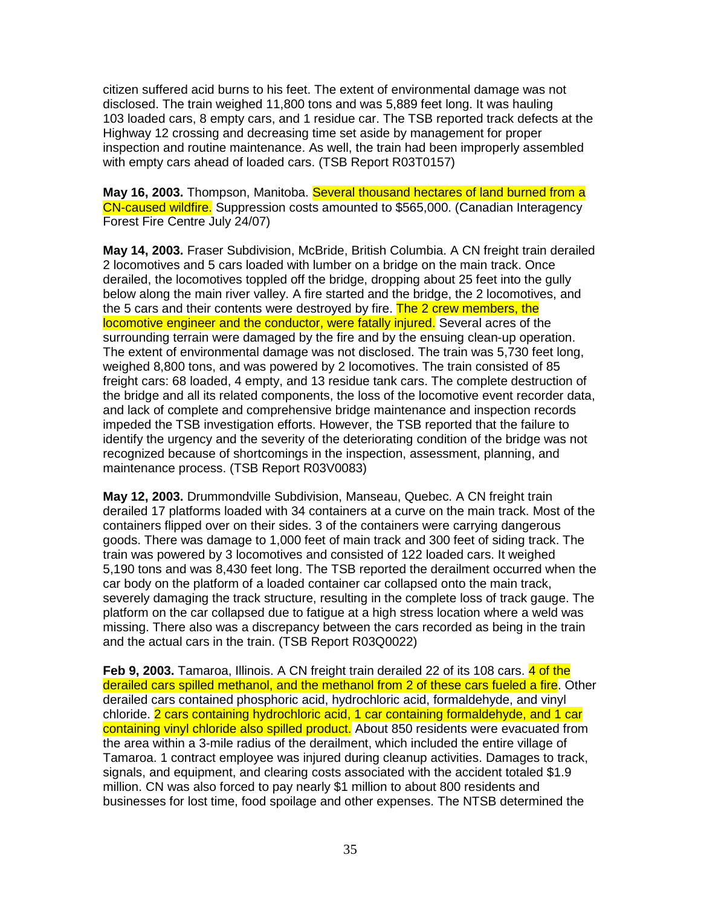citizen suffered acid burns to his feet. The extent of environmental damage was not disclosed. The train weighed 11,800 tons and was 5,889 feet long. It was hauling 103 loaded cars, 8 empty cars, and 1 residue car. The TSB reported track defects at the Highway 12 crossing and decreasing time set aside by management for proper inspection and routine maintenance. As well, the train had been improperly assembled with empty cars ahead of loaded cars. (TSB Report R03T0157)

**May 16, 2003.** Thompson, Manitoba. Several thousand hectares of land burned from a CN-caused wildfire. Suppression costs amounted to \$565,000. (Canadian Interagency Forest Fire Centre July 24/07)

**May 14, 2003.** Fraser Subdivision, McBride, British Columbia. A CN freight train derailed 2 locomotives and 5 cars loaded with lumber on a bridge on the main track. Once derailed, the locomotives toppled off the bridge, dropping about 25 feet into the gully below along the main river valley. A fire started and the bridge, the 2 locomotives, and the 5 cars and their contents were destroyed by fire. The 2 crew members, the locomotive engineer and the conductor, were fatally injured. Several acres of the surrounding terrain were damaged by the fire and by the ensuing clean-up operation. The extent of environmental damage was not disclosed. The train was 5,730 feet long, weighed 8,800 tons, and was powered by 2 locomotives. The train consisted of 85 freight cars: 68 loaded, 4 empty, and 13 residue tank cars. The complete destruction of the bridge and all its related components, the loss of the locomotive event recorder data, and lack of complete and comprehensive bridge maintenance and inspection records impeded the TSB investigation efforts. However, the TSB reported that the failure to identify the urgency and the severity of the deteriorating condition of the bridge was not recognized because of shortcomings in the inspection, assessment, planning, and maintenance process. (TSB Report R03V0083)

**May 12, 2003.** Drummondville Subdivision, Manseau, Quebec. A CN freight train derailed 17 platforms loaded with 34 containers at a curve on the main track. Most of the containers flipped over on their sides. 3 of the containers were carrying dangerous goods. There was damage to 1,000 feet of main track and 300 feet of siding track. The train was powered by 3 locomotives and consisted of 122 loaded cars. It weighed 5,190 tons and was 8,430 feet long. The TSB reported the derailment occurred when the car body on the platform of a loaded container car collapsed onto the main track, severely damaging the track structure, resulting in the complete loss of track gauge. The platform on the car collapsed due to fatigue at a high stress location where a weld was missing. There also was a discrepancy between the cars recorded as being in the train and the actual cars in the train. (TSB Report R03Q0022)

**Feb 9, 2003.** Tamaroa, Illinois. A CN freight train derailed 22 of its 108 cars. 4 of the derailed cars spilled methanol, and the methanol from 2 of these cars fueled a fire. Other derailed cars contained phosphoric acid, hydrochloric acid, formaldehyde, and vinyl chloride. 2 cars containing hydrochloric acid, 1 car containing formaldehyde, and 1 car containing vinyl chloride also spilled product. About 850 residents were evacuated from the area within a 3-mile radius of the derailment, which included the entire village of Tamaroa. 1 contract employee was injured during cleanup activities. Damages to track, signals, and equipment, and clearing costs associated with the accident totaled \$1.9 million. CN was also forced to pay nearly \$1 million to about 800 residents and businesses for lost time, food spoilage and other expenses. The NTSB determined the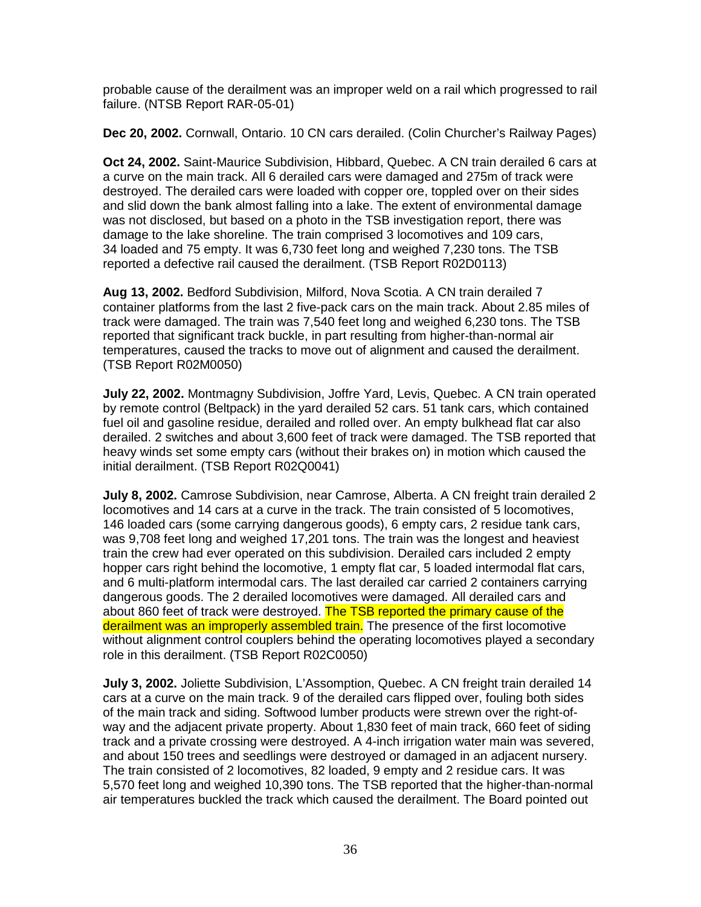probable cause of the derailment was an improper weld on a rail which progressed to rail failure. (NTSB Report RAR-05-01)

**Dec 20, 2002.** Cornwall, Ontario. 10 CN cars derailed. (Colin Churcher's Railway Pages)

**Oct 24, 2002.** Saint-Maurice Subdivision, Hibbard, Quebec. A CN train derailed 6 cars at a curve on the main track. All 6 derailed cars were damaged and 275m of track were destroyed. The derailed cars were loaded with copper ore, toppled over on their sides and slid down the bank almost falling into a lake. The extent of environmental damage was not disclosed, but based on a photo in the TSB investigation report, there was damage to the lake shoreline. The train comprised 3 locomotives and 109 cars, 34 loaded and 75 empty. It was 6,730 feet long and weighed 7,230 tons. The TSB reported a defective rail caused the derailment. (TSB Report R02D0113)

**Aug 13, 2002.** Bedford Subdivision, Milford, Nova Scotia. A CN train derailed 7 container platforms from the last 2 five-pack cars on the main track. About 2.85 miles of track were damaged. The train was 7,540 feet long and weighed 6,230 tons. The TSB reported that significant track buckle, in part resulting from higher-than-normal air temperatures, caused the tracks to move out of alignment and caused the derailment. (TSB Report R02M0050)

**July 22, 2002.** Montmagny Subdivision, Joffre Yard, Levis, Quebec. A CN train operated by remote control (Beltpack) in the yard derailed 52 cars. 51 tank cars, which contained fuel oil and gasoline residue, derailed and rolled over. An empty bulkhead flat car also derailed. 2 switches and about 3,600 feet of track were damaged. The TSB reported that heavy winds set some empty cars (without their brakes on) in motion which caused the initial derailment. (TSB Report R02Q0041)

**July 8, 2002.** Camrose Subdivision, near Camrose, Alberta. A CN freight train derailed 2 locomotives and 14 cars at a curve in the track. The train consisted of 5 locomotives, 146 loaded cars (some carrying dangerous goods), 6 empty cars, 2 residue tank cars, was 9,708 feet long and weighed 17,201 tons. The train was the longest and heaviest train the crew had ever operated on this subdivision. Derailed cars included 2 empty hopper cars right behind the locomotive, 1 empty flat car, 5 loaded intermodal flat cars, and 6 multi-platform intermodal cars. The last derailed car carried 2 containers carrying dangerous goods. The 2 derailed locomotives were damaged. All derailed cars and about 860 feet of track were destroyed. The TSB reported the primary cause of the derailment was an improperly assembled train. The presence of the first locomotive without alignment control couplers behind the operating locomotives played a secondary role in this derailment. (TSB Report R02C0050)

**July 3, 2002.** Joliette Subdivision, L'Assomption, Quebec. A CN freight train derailed 14 cars at a curve on the main track. 9 of the derailed cars flipped over, fouling both sides of the main track and siding. Softwood lumber products were strewn over the right-ofway and the adjacent private property. About 1,830 feet of main track, 660 feet of siding track and a private crossing were destroyed. A 4-inch irrigation water main was severed, and about 150 trees and seedlings were destroyed or damaged in an adjacent nursery. The train consisted of 2 locomotives, 82 loaded, 9 empty and 2 residue cars. It was 5,570 feet long and weighed 10,390 tons. The TSB reported that the higher-than-normal air temperatures buckled the track which caused the derailment. The Board pointed out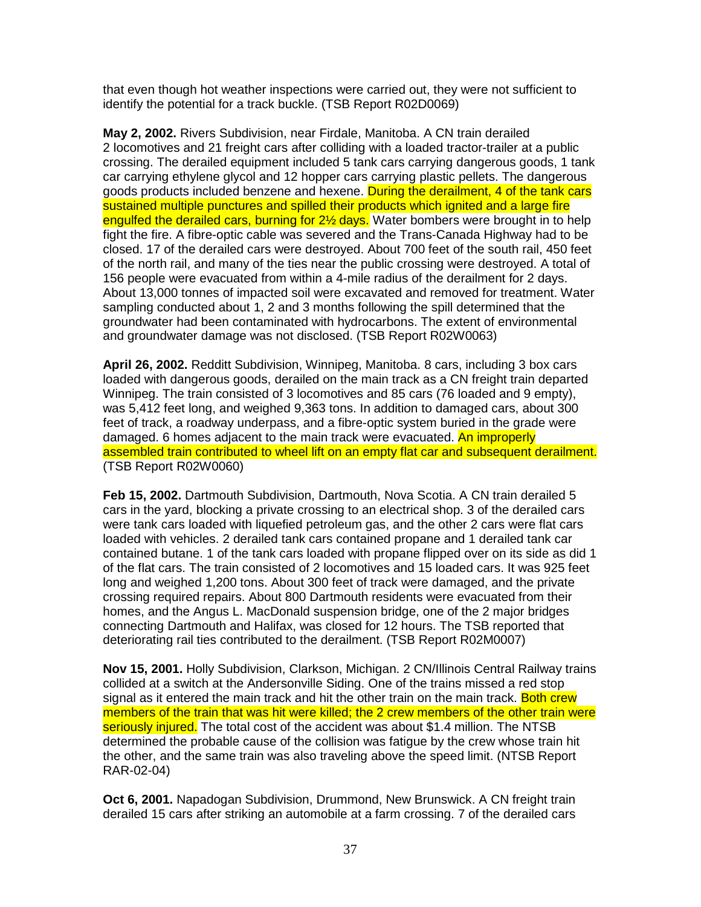that even though hot weather inspections were carried out, they were not sufficient to identify the potential for a track buckle. (TSB Report R02D0069)

**May 2, 2002.** Rivers Subdivision, near Firdale, Manitoba. A CN train derailed 2 locomotives and 21 freight cars after colliding with a loaded tractor-trailer at a public crossing. The derailed equipment included 5 tank cars carrying dangerous goods, 1 tank car carrying ethylene glycol and 12 hopper cars carrying plastic pellets. The dangerous goods products included benzene and hexene. During the derailment, 4 of the tank cars sustained multiple punctures and spilled their products which ignited and a large fire engulfed the derailed cars, burning for 2<sup>1/2</sup> days. Water bombers were brought in to help fight the fire. A fibre-optic cable was severed and the Trans-Canada Highway had to be closed. 17 of the derailed cars were destroyed. About 700 feet of the south rail, 450 feet of the north rail, and many of the ties near the public crossing were destroyed. A total of 156 people were evacuated from within a 4-mile radius of the derailment for 2 days. About 13,000 tonnes of impacted soil were excavated and removed for treatment. Water sampling conducted about 1, 2 and 3 months following the spill determined that the groundwater had been contaminated with hydrocarbons. The extent of environmental and groundwater damage was not disclosed. (TSB Report R02W0063)

**April 26, 2002.** Redditt Subdivision, Winnipeg, Manitoba. 8 cars, including 3 box cars loaded with dangerous goods, derailed on the main track as a CN freight train departed Winnipeg. The train consisted of 3 locomotives and 85 cars (76 loaded and 9 empty), was 5,412 feet long, and weighed 9,363 tons. In addition to damaged cars, about 300 feet of track, a roadway underpass, and a fibre-optic system buried in the grade were damaged. 6 homes adjacent to the main track were evacuated. An improperly assembled train contributed to wheel lift on an empty flat car and subsequent derailment. (TSB Report R02W0060)

**Feb 15, 2002.** Dartmouth Subdivision, Dartmouth, Nova Scotia. A CN train derailed 5 cars in the yard, blocking a private crossing to an electrical shop. 3 of the derailed cars were tank cars loaded with liquefied petroleum gas, and the other 2 cars were flat cars loaded with vehicles. 2 derailed tank cars contained propane and 1 derailed tank car contained butane. 1 of the tank cars loaded with propane flipped over on its side as did 1 of the flat cars. The train consisted of 2 locomotives and 15 loaded cars. It was 925 feet long and weighed 1,200 tons. About 300 feet of track were damaged, and the private crossing required repairs. About 800 Dartmouth residents were evacuated from their homes, and the Angus L. MacDonald suspension bridge, one of the 2 major bridges connecting Dartmouth and Halifax, was closed for 12 hours. The TSB reported that deteriorating rail ties contributed to the derailment. (TSB Report R02M0007)

**Nov 15, 2001.** Holly Subdivision, Clarkson, Michigan. 2 CN/Illinois Central Railway trains collided at a switch at the Andersonville Siding. One of the trains missed a red stop signal as it entered the main track and hit the other train on the main track. Both crew members of the train that was hit were killed; the 2 crew members of the other train were seriously injured. The total cost of the accident was about \$1.4 million. The NTSB determined the probable cause of the collision was fatigue by the crew whose train hit the other, and the same train was also traveling above the speed limit. (NTSB Report RAR-02-04)

**Oct 6, 2001.** Napadogan Subdivision, Drummond, New Brunswick. A CN freight train derailed 15 cars after striking an automobile at a farm crossing. 7 of the derailed cars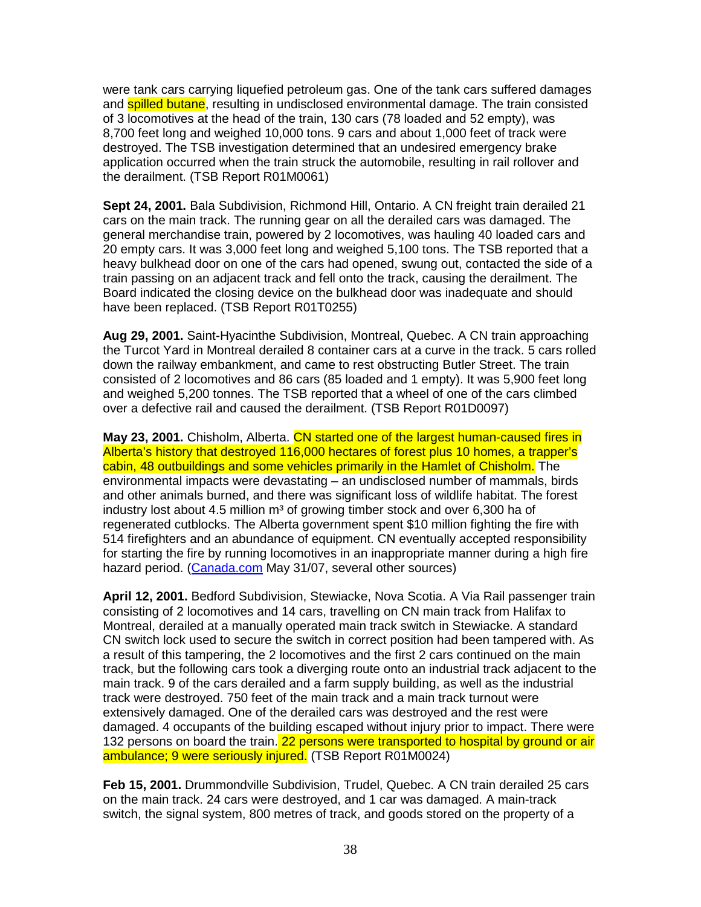were tank cars carrying liquefied petroleum gas. One of the tank cars suffered damages and **spilled butane**, resulting in undisclosed environmental damage. The train consisted of 3 locomotives at the head of the train, 130 cars (78 loaded and 52 empty), was 8,700 feet long and weighed 10,000 tons. 9 cars and about 1,000 feet of track were destroyed. The TSB investigation determined that an undesired emergency brake application occurred when the train struck the automobile, resulting in rail rollover and the derailment. (TSB Report R01M0061)

**Sept 24, 2001.** Bala Subdivision, Richmond Hill, Ontario. A CN freight train derailed 21 cars on the main track. The running gear on all the derailed cars was damaged. The general merchandise train, powered by 2 locomotives, was hauling 40 loaded cars and 20 empty cars. It was 3,000 feet long and weighed 5,100 tons. The TSB reported that a heavy bulkhead door on one of the cars had opened, swung out, contacted the side of a train passing on an adjacent track and fell onto the track, causing the derailment. The Board indicated the closing device on the bulkhead door was inadequate and should have been replaced. (TSB Report R01T0255)

**Aug 29, 2001.** Saint-Hyacinthe Subdivision, Montreal, Quebec. A CN train approaching the Turcot Yard in Montreal derailed 8 container cars at a curve in the track. 5 cars rolled down the railway embankment, and came to rest obstructing Butler Street. The train consisted of 2 locomotives and 86 cars (85 loaded and 1 empty). It was 5,900 feet long and weighed 5,200 tonnes. The TSB reported that a wheel of one of the cars climbed over a defective rail and caused the derailment. (TSB Report R01D0097)

**May 23, 2001.** Chisholm, Alberta. CN started one of the largest human-caused fires in Alberta's history that destroyed 116,000 hectares of forest plus 10 homes, a trapper's cabin, 48 outbuildings and some vehicles primarily in the Hamlet of Chisholm. The environmental impacts were devastating – an undisclosed number of mammals, birds and other animals burned, and there was significant loss of wildlife habitat. The forest industry lost about 4.5 million m<sup>3</sup> of growing timber stock and over 6,300 ha of regenerated cutblocks. The Alberta government spent \$10 million fighting the fire with 514 firefighters and an abundance of equipment. CN eventually accepted responsibility for starting the fire by running locomotives in an inappropriate manner during a high fire hazard period. (Canada.com May 31/07, several other sources)

**April 12, 2001.** Bedford Subdivision, Stewiacke, Nova Scotia. A Via Rail passenger train consisting of 2 locomotives and 14 cars, travelling on CN main track from Halifax to Montreal, derailed at a manually operated main track switch in Stewiacke. A standard CN switch lock used to secure the switch in correct position had been tampered with. As a result of this tampering, the 2 locomotives and the first 2 cars continued on the main track, but the following cars took a diverging route onto an industrial track adjacent to the main track. 9 of the cars derailed and a farm supply building, as well as the industrial track were destroyed. 750 feet of the main track and a main track turnout were extensively damaged. One of the derailed cars was destroyed and the rest were damaged. 4 occupants of the building escaped without injury prior to impact. There were 132 persons on board the train. 22 persons were transported to hospital by ground or air ambulance; 9 were seriously injured. (TSB Report R01M0024)

**Feb 15, 2001.** Drummondville Subdivision, Trudel, Quebec. A CN train derailed 25 cars on the main track. 24 cars were destroyed, and 1 car was damaged. A main-track switch, the signal system, 800 metres of track, and goods stored on the property of a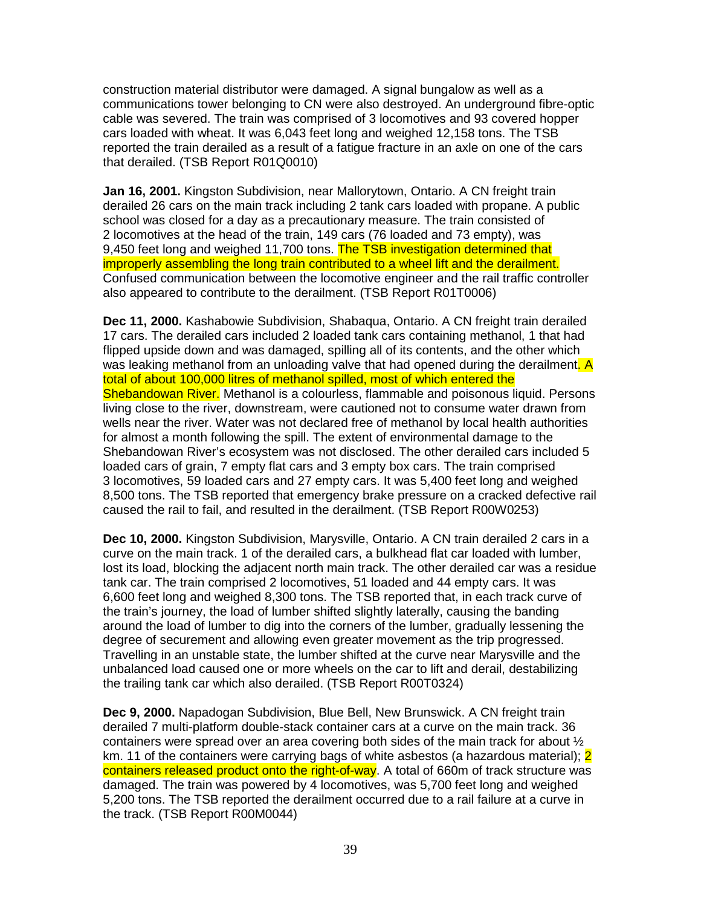construction material distributor were damaged. A signal bungalow as well as a communications tower belonging to CN were also destroyed. An underground fibre-optic cable was severed. The train was comprised of 3 locomotives and 93 covered hopper cars loaded with wheat. It was 6,043 feet long and weighed 12,158 tons. The TSB reported the train derailed as a result of a fatigue fracture in an axle on one of the cars that derailed. (TSB Report R01Q0010)

**Jan 16, 2001.** Kingston Subdivision, near Mallorytown, Ontario. A CN freight train derailed 26 cars on the main track including 2 tank cars loaded with propane. A public school was closed for a day as a precautionary measure. The train consisted of 2 locomotives at the head of the train, 149 cars (76 loaded and 73 empty), was 9,450 feet long and weighed 11,700 tons. The TSB investigation determined that improperly assembling the long train contributed to a wheel lift and the derailment. Confused communication between the locomotive engineer and the rail traffic controller also appeared to contribute to the derailment. (TSB Report R01T0006)

**Dec 11, 2000.** Kashabowie Subdivision, Shabaqua, Ontario. A CN freight train derailed 17 cars. The derailed cars included 2 loaded tank cars containing methanol, 1 that had flipped upside down and was damaged, spilling all of its contents, and the other which was leaking methanol from an unloading valve that had opened during the derailment. A total of about 100,000 litres of methanol spilled, most of which entered the Shebandowan River. Methanol is a colourless, flammable and poisonous liquid. Persons living close to the river, downstream, were cautioned not to consume water drawn from wells near the river. Water was not declared free of methanol by local health authorities for almost a month following the spill. The extent of environmental damage to the Shebandowan River's ecosystem was not disclosed. The other derailed cars included 5 loaded cars of grain, 7 empty flat cars and 3 empty box cars. The train comprised 3 locomotives, 59 loaded cars and 27 empty cars. It was 5,400 feet long and weighed 8,500 tons. The TSB reported that emergency brake pressure on a cracked defective rail caused the rail to fail, and resulted in the derailment. (TSB Report R00W0253)

**Dec 10, 2000.** Kingston Subdivision, Marysville, Ontario. A CN train derailed 2 cars in a curve on the main track. 1 of the derailed cars, a bulkhead flat car loaded with lumber, lost its load, blocking the adjacent north main track. The other derailed car was a residue tank car. The train comprised 2 locomotives, 51 loaded and 44 empty cars. It was 6,600 feet long and weighed 8,300 tons. The TSB reported that, in each track curve of the train's journey, the load of lumber shifted slightly laterally, causing the banding around the load of lumber to dig into the corners of the lumber, gradually lessening the degree of securement and allowing even greater movement as the trip progressed. Travelling in an unstable state, the lumber shifted at the curve near Marysville and the unbalanced load caused one or more wheels on the car to lift and derail, destabilizing the trailing tank car which also derailed. (TSB Report R00T0324)

**Dec 9, 2000.** Napadogan Subdivision, Blue Bell, New Brunswick. A CN freight train derailed 7 multi-platform double-stack container cars at a curve on the main track. 36 containers were spread over an area covering both sides of the main track for about  $\frac{1}{2}$ km. 11 of the containers were carrying bags of white asbestos (a hazardous material); 2 containers released product onto the right-of-way. A total of 660m of track structure was damaged. The train was powered by 4 locomotives, was 5,700 feet long and weighed 5,200 tons. The TSB reported the derailment occurred due to a rail failure at a curve in the track. (TSB Report R00M0044)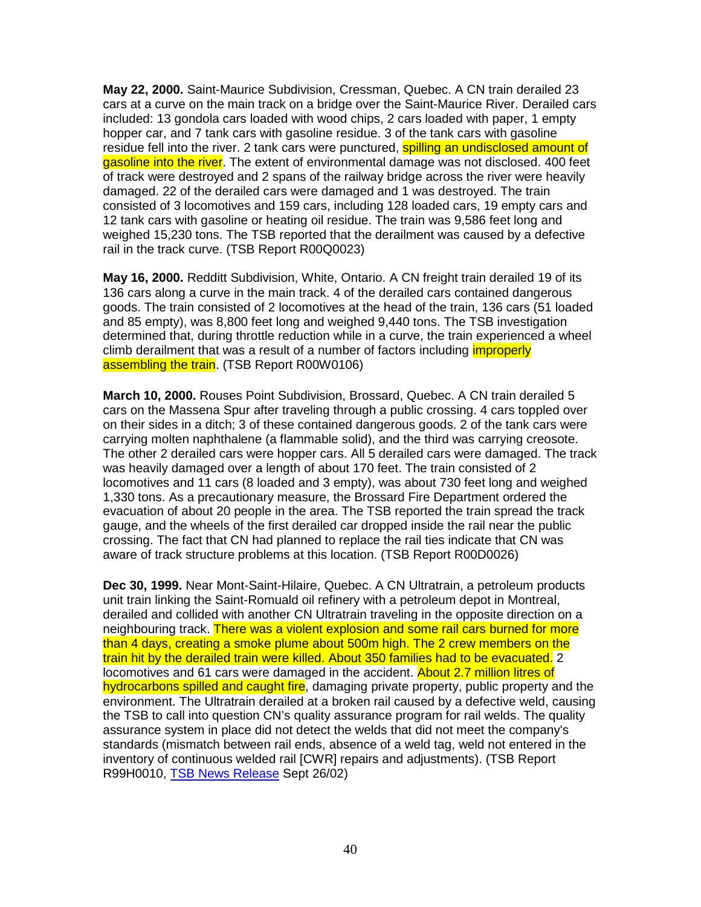**May 22, 2000.** Saint-Maurice Subdivision, Cressman, Quebec. A CN train derailed 23 cars at a curve on the main track on a bridge over the Saint-Maurice River. Derailed cars included: 13 gondola cars loaded with wood chips, 2 cars loaded with paper, 1 empty hopper car, and 7 tank cars with gasoline residue. 3 of the tank cars with gasoline residue fell into the river. 2 tank cars were punctured, **spilling an undisclosed amount of** gasoline into the river. The extent of environmental damage was not disclosed. 400 feet of track were destroyed and 2 spans of the railway bridge across the river were heavily damaged. 22 of the derailed cars were damaged and 1 was destroyed. The train consisted of 3 locomotives and 159 cars, including 128 loaded cars, 19 empty cars and 12 tank cars with gasoline or heating oil residue. The train was 9,586 feet long and weighed 15,230 tons. The TSB reported that the derailment was caused by a defective rail in the track curve. (TSB Report R00Q0023)

**May 16, 2000.** Redditt Subdivision, White, Ontario. A CN freight train derailed 19 of its 136 cars along a curve in the main track. 4 of the derailed cars contained dangerous goods. The train consisted of 2 locomotives at the head of the train, 136 cars (51 loaded and 85 empty), was 8,800 feet long and weighed 9,440 tons. The TSB investigation determined that, during throttle reduction while in a curve, the train experienced a wheel climb derailment that was a result of a number of factors including *improperly* assembling the train. (TSB Report R00W0106)

**March 10, 2000.** Rouses Point Subdivision, Brossard, Quebec. A CN train derailed 5 cars on the Massena Spur after traveling through a public crossing. 4 cars toppled over on their sides in a ditch; 3 of these contained dangerous goods. 2 of the tank cars were carrying molten naphthalene (a flammable solid), and the third was carrying creosote. The other 2 derailed cars were hopper cars. All 5 derailed cars were damaged. The track was heavily damaged over a length of about 170 feet. The train consisted of 2 locomotives and 11 cars (8 loaded and 3 empty), was about 730 feet long and weighed 1,330 tons. As a precautionary measure, the Brossard Fire Department ordered the evacuation of about 20 people in the area. The TSB reported the train spread the track gauge, and the wheels of the first derailed car dropped inside the rail near the public crossing. The fact that CN had planned to replace the rail ties indicate that CN was aware of track structure problems at this location. (TSB Report R00D0026)

**Dec 30, 1999.** Near Mont-Saint-Hilaire, Quebec. A CN Ultratrain, a petroleum products unit train linking the Saint-Romuald oil refinery with a petroleum depot in Montreal, derailed and collided with another CN Ultratrain traveling in the opposite direction on a neighbouring track. There was a violent explosion and some rail cars burned for more than 4 days, creating a smoke plume about 500m high. The 2 crew members on the train hit by the derailed train were killed. About 350 families had to be evacuated. 2 locomotives and 61 cars were damaged in the accident. About 2.7 million litres of hydrocarbons spilled and caught fire, damaging private property, public property and the environment. The Ultratrain derailed at a broken rail caused by a defective weld, causing the TSB to call into question CN's quality assurance program for rail welds. The quality assurance system in place did not detect the welds that did not meet the company's standards (mismatch between rail ends, absence of a weld tag, weld not entered in the inventory of continuous welded rail [CWR] repairs and adjustments). (TSB Report R99H0010, TSB News Release Sept 26/02)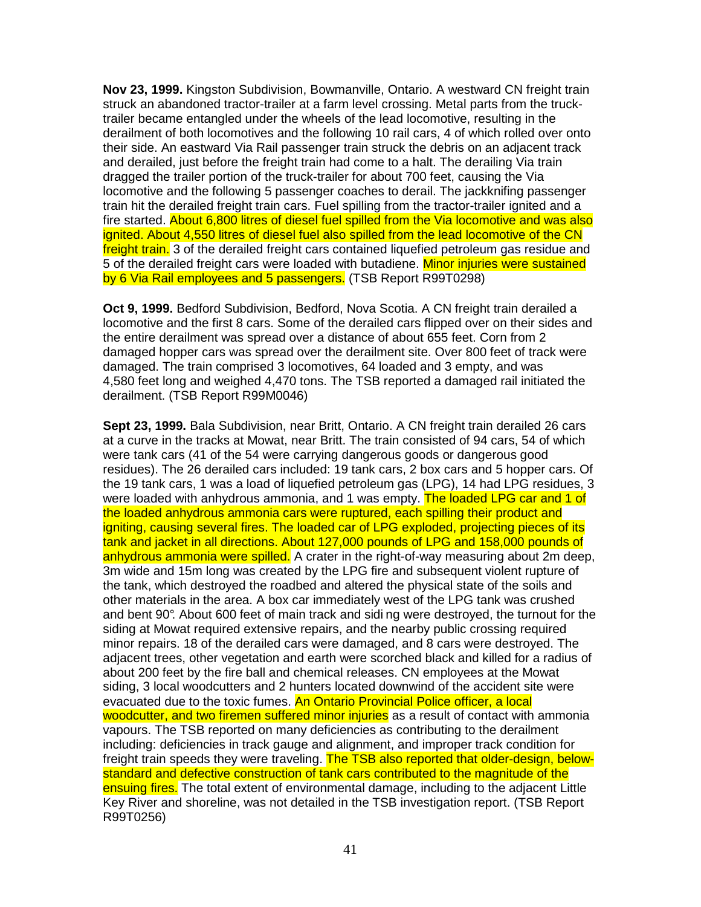**Nov 23, 1999.** Kingston Subdivision, Bowmanville, Ontario. A westward CN freight train struck an abandoned tractor-trailer at a farm level crossing. Metal parts from the trucktrailer became entangled under the wheels of the lead locomotive, resulting in the derailment of both locomotives and the following 10 rail cars, 4 of which rolled over onto their side. An eastward Via Rail passenger train struck the debris on an adjacent track and derailed, just before the freight train had come to a halt. The derailing Via train dragged the trailer portion of the truck-trailer for about 700 feet, causing the Via locomotive and the following 5 passenger coaches to derail. The jackknifing passenger train hit the derailed freight train cars. Fuel spilling from the tractor-trailer ignited and a fire started. About 6,800 litres of diesel fuel spilled from the Via locomotive and was also ignited. About 4,550 litres of diesel fuel also spilled from the lead locomotive of the CN freight train. 3 of the derailed freight cars contained liquefied petroleum gas residue and 5 of the derailed freight cars were loaded with butadiene. Minor injuries were sustained by 6 Via Rail employees and 5 passengers. (TSB Report R99T0298)

**Oct 9, 1999.** Bedford Subdivision, Bedford, Nova Scotia. A CN freight train derailed a locomotive and the first 8 cars. Some of the derailed cars flipped over on their sides and the entire derailment was spread over a distance of about 655 feet. Corn from 2 damaged hopper cars was spread over the derailment site. Over 800 feet of track were damaged. The train comprised 3 locomotives, 64 loaded and 3 empty, and was 4,580 feet long and weighed 4,470 tons. The TSB reported a damaged rail initiated the derailment. (TSB Report R99M0046)

**Sept 23, 1999.** Bala Subdivision, near Britt, Ontario. A CN freight train derailed 26 cars at a curve in the tracks at Mowat, near Britt. The train consisted of 94 cars, 54 of which were tank cars (41 of the 54 were carrying dangerous goods or dangerous good residues). The 26 derailed cars included: 19 tank cars, 2 box cars and 5 hopper cars. Of the 19 tank cars, 1 was a load of liquefied petroleum gas (LPG), 14 had LPG residues, 3 were loaded with anhydrous ammonia, and 1 was empty. The loaded LPG car and 1 of the loaded anhydrous ammonia cars were ruptured, each spilling their product and igniting, causing several fires. The loaded car of LPG exploded, projecting pieces of its tank and jacket in all directions. About 127,000 pounds of LPG and 158,000 pounds of anhydrous ammonia were spilled. A crater in the right-of-way measuring about 2m deep, 3m wide and 15m long was created by the LPG fire and subsequent violent rupture of the tank, which destroyed the roadbed and altered the physical state of the soils and other materials in the area. A box car immediately west of the LPG tank was crushed and bent 90°. About 600 feet of main track and sidi ng were destroyed, the turnout for the siding at Mowat required extensive repairs, and the nearby public crossing required minor repairs. 18 of the derailed cars were damaged, and 8 cars were destroyed. The adjacent trees, other vegetation and earth were scorched black and killed for a radius of about 200 feet by the fire ball and chemical releases. CN employees at the Mowat siding, 3 local woodcutters and 2 hunters located downwind of the accident site were evacuated due to the toxic fumes. An Ontario Provincial Police officer, a local woodcutter, and two firemen suffered minor injuries as a result of contact with ammonia vapours. The TSB reported on many deficiencies as contributing to the derailment including: deficiencies in track gauge and alignment, and improper track condition for freight train speeds they were traveling. The TSB also reported that older-design, belowstandard and defective construction of tank cars contributed to the magnitude of the ensuing fires. The total extent of environmental damage, including to the adjacent Little Key River and shoreline, was not detailed in the TSB investigation report. (TSB Report R99T0256)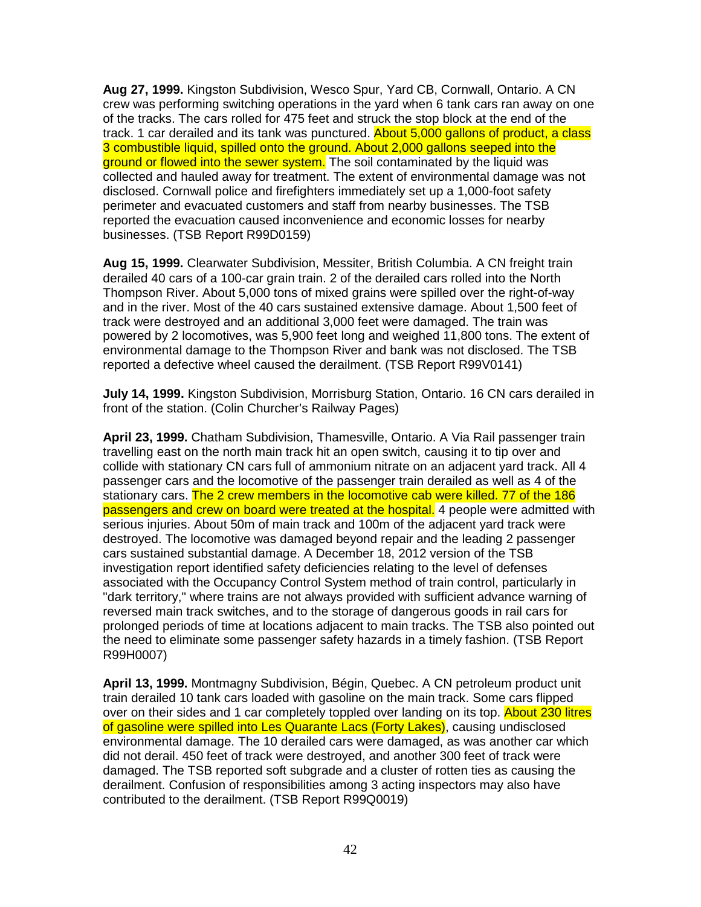**Aug 27, 1999.** Kingston Subdivision, Wesco Spur, Yard CB, Cornwall, Ontario. A CN crew was performing switching operations in the yard when 6 tank cars ran away on one of the tracks. The cars rolled for 475 feet and struck the stop block at the end of the track. 1 car derailed and its tank was punctured. About 5,000 gallons of product, a class 3 combustible liquid, spilled onto the ground. About 2,000 gallons seeped into the ground or flowed into the sewer system. The soil contaminated by the liquid was collected and hauled away for treatment. The extent of environmental damage was not disclosed. Cornwall police and firefighters immediately set up a 1,000-foot safety perimeter and evacuated customers and staff from nearby businesses. The TSB reported the evacuation caused inconvenience and economic losses for nearby businesses. (TSB Report R99D0159)

**Aug 15, 1999.** Clearwater Subdivision, Messiter, British Columbia. A CN freight train derailed 40 cars of a 100-car grain train. 2 of the derailed cars rolled into the North Thompson River. About 5,000 tons of mixed grains were spilled over the right-of-way and in the river. Most of the 40 cars sustained extensive damage. About 1,500 feet of track were destroyed and an additional 3,000 feet were damaged. The train was powered by 2 locomotives, was 5,900 feet long and weighed 11,800 tons. The extent of environmental damage to the Thompson River and bank was not disclosed. The TSB reported a defective wheel caused the derailment. (TSB Report R99V0141)

**July 14, 1999.** Kingston Subdivision, Morrisburg Station, Ontario. 16 CN cars derailed in front of the station. (Colin Churcher's Railway Pages)

**April 23, 1999.** Chatham Subdivision, Thamesville, Ontario. A Via Rail passenger train travelling east on the north main track hit an open switch, causing it to tip over and collide with stationary CN cars full of ammonium nitrate on an adjacent yard track. All 4 passenger cars and the locomotive of the passenger train derailed as well as 4 of the stationary cars. The 2 crew members in the locomotive cab were killed. 77 of the 186 passengers and crew on board were treated at the hospital. 4 people were admitted with serious injuries. About 50m of main track and 100m of the adjacent yard track were destroyed. The locomotive was damaged beyond repair and the leading 2 passenger cars sustained substantial damage. A December 18, 2012 version of the TSB investigation report identified safety deficiencies relating to the level of defenses associated with the Occupancy Control System method of train control, particularly in "dark territory," where trains are not always provided with sufficient advance warning of reversed main track switches, and to the storage of dangerous goods in rail cars for prolonged periods of time at locations adjacent to main tracks. The TSB also pointed out the need to eliminate some passenger safety hazards in a timely fashion. (TSB Report R99H0007)

**April 13, 1999.** Montmagny Subdivision, Bégin, Quebec. A CN petroleum product unit train derailed 10 tank cars loaded with gasoline on the main track. Some cars flipped over on their sides and 1 car completely toppled over landing on its top. About 230 litres of gasoline were spilled into Les Quarante Lacs (Forty Lakes), causing undisclosed environmental damage. The 10 derailed cars were damaged, as was another car which did not derail. 450 feet of track were destroyed, and another 300 feet of track were damaged. The TSB reported soft subgrade and a cluster of rotten ties as causing the derailment. Confusion of responsibilities among 3 acting inspectors may also have contributed to the derailment. (TSB Report R99Q0019)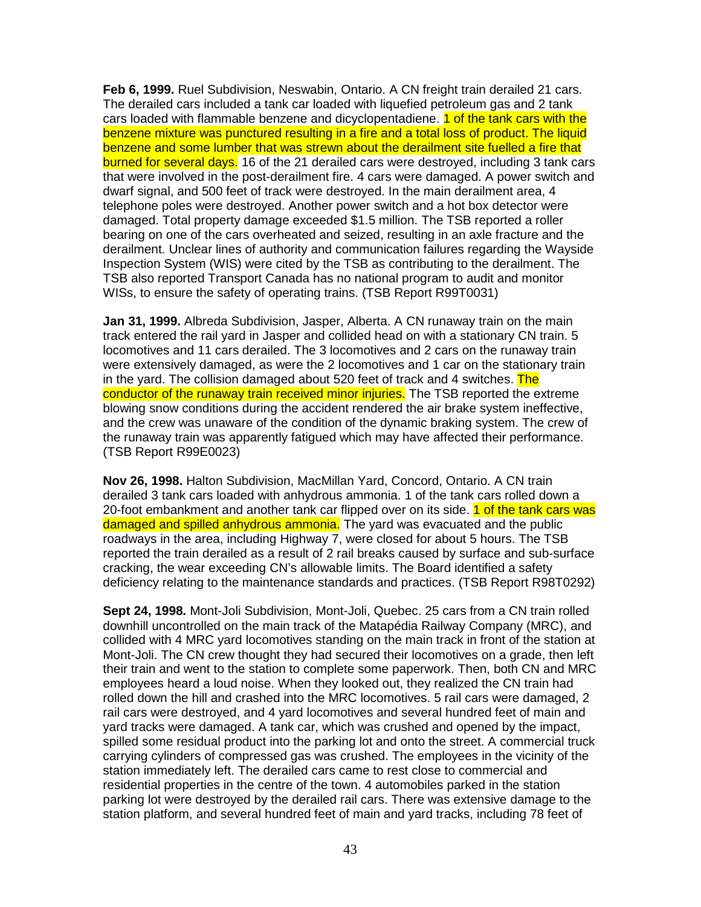**Feb 6, 1999.** Ruel Subdivision, Neswabin, Ontario. A CN freight train derailed 21 cars. The derailed cars included a tank car loaded with liquefied petroleum gas and 2 tank cars loaded with flammable benzene and dicyclopentadiene. 1 of the tank cars with the benzene mixture was punctured resulting in a fire and a total loss of product. The liquid benzene and some lumber that was strewn about the derailment site fuelled a fire that burned for several days. 16 of the 21 derailed cars were destroyed, including 3 tank cars that were involved in the post-derailment fire. 4 cars were damaged. A power switch and dwarf signal, and 500 feet of track were destroyed. In the main derailment area, 4 telephone poles were destroyed. Another power switch and a hot box detector were damaged. Total property damage exceeded \$1.5 million. The TSB reported a roller bearing on one of the cars overheated and seized, resulting in an axle fracture and the derailment. Unclear lines of authority and communication failures regarding the Wayside Inspection System (WIS) were cited by the TSB as contributing to the derailment. The TSB also reported Transport Canada has no national program to audit and monitor WISs, to ensure the safety of operating trains. (TSB Report R99T0031)

**Jan 31, 1999.** Albreda Subdivision, Jasper, Alberta. A CN runaway train on the main track entered the rail yard in Jasper and collided head on with a stationary CN train. 5 locomotives and 11 cars derailed. The 3 locomotives and 2 cars on the runaway train were extensively damaged, as were the 2 locomotives and 1 car on the stationary train in the yard. The collision damaged about 520 feet of track and 4 switches. The conductor of the runaway train received minor injuries. The TSB reported the extreme blowing snow conditions during the accident rendered the air brake system ineffective, and the crew was unaware of the condition of the dynamic braking system. The crew of the runaway train was apparently fatigued which may have affected their performance. (TSB Report R99E0023)

**Nov 26, 1998.** Halton Subdivision, MacMillan Yard, Concord, Ontario. A CN train derailed 3 tank cars loaded with anhydrous ammonia. 1 of the tank cars rolled down a 20-foot embankment and another tank car flipped over on its side. 1 of the tank cars was damaged and spilled anhydrous ammonia. The yard was evacuated and the public roadways in the area, including Highway 7, were closed for about 5 hours. The TSB reported the train derailed as a result of 2 rail breaks caused by surface and sub-surface cracking, the wear exceeding CN's allowable limits. The Board identified a safety deficiency relating to the maintenance standards and practices. (TSB Report R98T0292)

**Sept 24, 1998.** Mont-Joli Subdivision, Mont-Joli, Quebec. 25 cars from a CN train rolled downhill uncontrolled on the main track of the Matapédia Railway Company (MRC), and collided with 4 MRC yard locomotives standing on the main track in front of the station at Mont-Joli. The CN crew thought they had secured their locomotives on a grade, then left their train and went to the station to complete some paperwork. Then, both CN and MRC employees heard a loud noise. When they looked out, they realized the CN train had rolled down the hill and crashed into the MRC locomotives. 5 rail cars were damaged, 2 rail cars were destroyed, and 4 yard locomotives and several hundred feet of main and yard tracks were damaged. A tank car, which was crushed and opened by the impact, spilled some residual product into the parking lot and onto the street. A commercial truck carrying cylinders of compressed gas was crushed. The employees in the vicinity of the station immediately left. The derailed cars came to rest close to commercial and residential properties in the centre of the town. 4 automobiles parked in the station parking lot were destroyed by the derailed rail cars. There was extensive damage to the station platform, and several hundred feet of main and yard tracks, including 78 feet of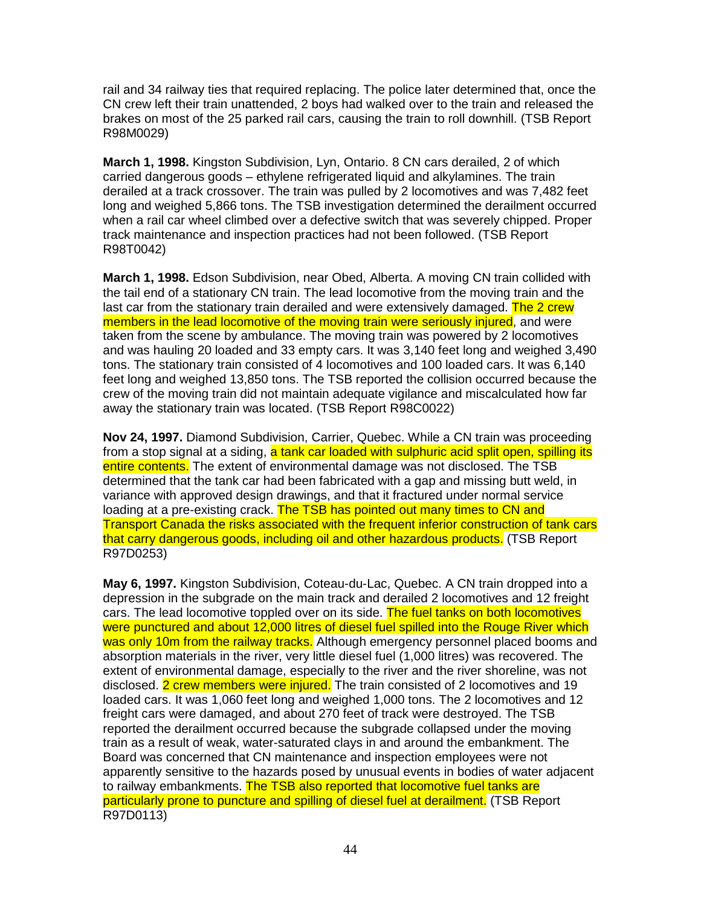rail and 34 railway ties that required replacing. The police later determined that, once the CN crew left their train unattended, 2 boys had walked over to the train and released the brakes on most of the 25 parked rail cars, causing the train to roll downhill. (TSB Report R98M0029)

**March 1, 1998.** Kingston Subdivision, Lyn, Ontario. 8 CN cars derailed, 2 of which carried dangerous goods – ethylene refrigerated liquid and alkylamines. The train derailed at a track crossover. The train was pulled by 2 locomotives and was 7,482 feet long and weighed 5,866 tons. The TSB investigation determined the derailment occurred when a rail car wheel climbed over a defective switch that was severely chipped. Proper track maintenance and inspection practices had not been followed. (TSB Report R98T0042)

**March 1, 1998.** Edson Subdivision, near Obed, Alberta. A moving CN train collided with the tail end of a stationary CN train. The lead locomotive from the moving train and the last car from the stationary train derailed and were extensively damaged. The 2 crew members in the lead locomotive of the moving train were seriously injured, and were taken from the scene by ambulance. The moving train was powered by 2 locomotives and was hauling 20 loaded and 33 empty cars. It was 3,140 feet long and weighed 3,490 tons. The stationary train consisted of 4 locomotives and 100 loaded cars. It was 6,140 feet long and weighed 13,850 tons. The TSB reported the collision occurred because the crew of the moving train did not maintain adequate vigilance and miscalculated how far away the stationary train was located. (TSB Report R98C0022)

**Nov 24, 1997.** Diamond Subdivision, Carrier, Quebec. While a CN train was proceeding from a stop signal at a siding, a tank car loaded with sulphuric acid split open, spilling its entire contents. The extent of environmental damage was not disclosed. The TSB determined that the tank car had been fabricated with a gap and missing butt weld, in variance with approved design drawings, and that it fractured under normal service loading at a pre-existing crack. The TSB has pointed out many times to CN and Transport Canada the risks associated with the frequent inferior construction of tank cars that carry dangerous goods, including oil and other hazardous products. (TSB Report R97D0253)

**May 6, 1997.** Kingston Subdivision, Coteau-du-Lac, Quebec. A CN train dropped into a depression in the subgrade on the main track and derailed 2 locomotives and 12 freight cars. The lead locomotive toppled over on its side. The fuel tanks on both locomotives were punctured and about 12,000 litres of diesel fuel spilled into the Rouge River which was only 10m from the railway tracks. Although emergency personnel placed booms and absorption materials in the river, very little diesel fuel (1,000 litres) was recovered. The extent of environmental damage, especially to the river and the river shoreline, was not disclosed. 2 crew members were injured. The train consisted of 2 locomotives and 19 loaded cars. It was 1,060 feet long and weighed 1,000 tons. The 2 locomotives and 12 freight cars were damaged, and about 270 feet of track were destroyed. The TSB reported the derailment occurred because the subgrade collapsed under the moving train as a result of weak, water-saturated clays in and around the embankment. The Board was concerned that CN maintenance and inspection employees were not apparently sensitive to the hazards posed by unusual events in bodies of water adjacent to railway embankments. The TSB also reported that locomotive fuel tanks are particularly prone to puncture and spilling of diesel fuel at derailment. (TSB Report R97D0113)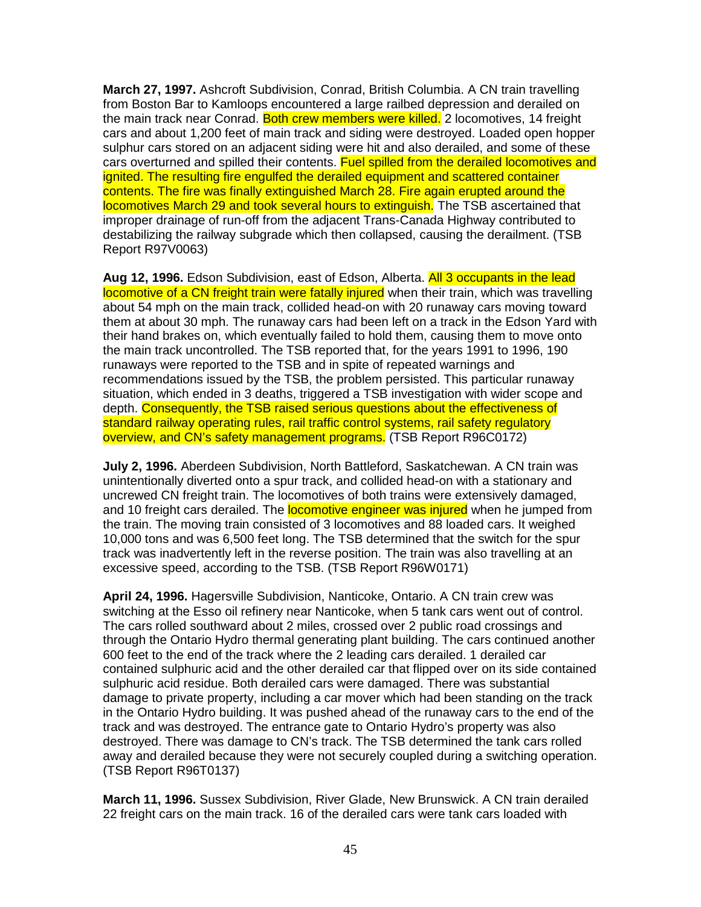**March 27, 1997.** Ashcroft Subdivision, Conrad, British Columbia. A CN train travelling from Boston Bar to Kamloops encountered a large railbed depression and derailed on the main track near Conrad. Both crew members were killed. 2 locomotives, 14 freight cars and about 1,200 feet of main track and siding were destroyed. Loaded open hopper sulphur cars stored on an adjacent siding were hit and also derailed, and some of these cars overturned and spilled their contents. Fuel spilled from the derailed locomotives and ignited. The resulting fire engulfed the derailed equipment and scattered container contents. The fire was finally extinguished March 28. Fire again erupted around the locomotives March 29 and took several hours to extinguish. The TSB ascertained that improper drainage of run-off from the adjacent Trans-Canada Highway contributed to destabilizing the railway subgrade which then collapsed, causing the derailment. (TSB Report R97V0063)

**Aug 12, 1996.** Edson Subdivision, east of Edson, Alberta. All 3 occupants in the lead locomotive of a CN freight train were fatally injured when their train, which was travelling about 54 mph on the main track, collided head-on with 20 runaway cars moving toward them at about 30 mph. The runaway cars had been left on a track in the Edson Yard with their hand brakes on, which eventually failed to hold them, causing them to move onto the main track uncontrolled. The TSB reported that, for the years 1991 to 1996, 190 runaways were reported to the TSB and in spite of repeated warnings and recommendations issued by the TSB, the problem persisted. This particular runaway situation, which ended in 3 deaths, triggered a TSB investigation with wider scope and depth. Consequently, the TSB raised serious questions about the effectiveness of standard railway operating rules, rail traffic control systems, rail safety regulatory overview, and CN's safety management programs. (TSB Report R96C0172)

**July 2, 1996.** Aberdeen Subdivision, North Battleford, Saskatchewan. A CN train was unintentionally diverted onto a spur track, and collided head-on with a stationary and uncrewed CN freight train. The locomotives of both trains were extensively damaged, and 10 freight cars derailed. The **locomotive engineer was injured** when he jumped from the train. The moving train consisted of 3 locomotives and 88 loaded cars. It weighed 10,000 tons and was 6,500 feet long. The TSB determined that the switch for the spur track was inadvertently left in the reverse position. The train was also travelling at an excessive speed, according to the TSB. (TSB Report R96W0171)

**April 24, 1996.** Hagersville Subdivision, Nanticoke, Ontario. A CN train crew was switching at the Esso oil refinery near Nanticoke, when 5 tank cars went out of control. The cars rolled southward about 2 miles, crossed over 2 public road crossings and through the Ontario Hydro thermal generating plant building. The cars continued another 600 feet to the end of the track where the 2 leading cars derailed. 1 derailed car contained sulphuric acid and the other derailed car that flipped over on its side contained sulphuric acid residue. Both derailed cars were damaged. There was substantial damage to private property, including a car mover which had been standing on the track in the Ontario Hydro building. It was pushed ahead of the runaway cars to the end of the track and was destroyed. The entrance gate to Ontario Hydro's property was also destroyed. There was damage to CN's track. The TSB determined the tank cars rolled away and derailed because they were not securely coupled during a switching operation. (TSB Report R96T0137)

**March 11, 1996.** Sussex Subdivision, River Glade, New Brunswick. A CN train derailed 22 freight cars on the main track. 16 of the derailed cars were tank cars loaded with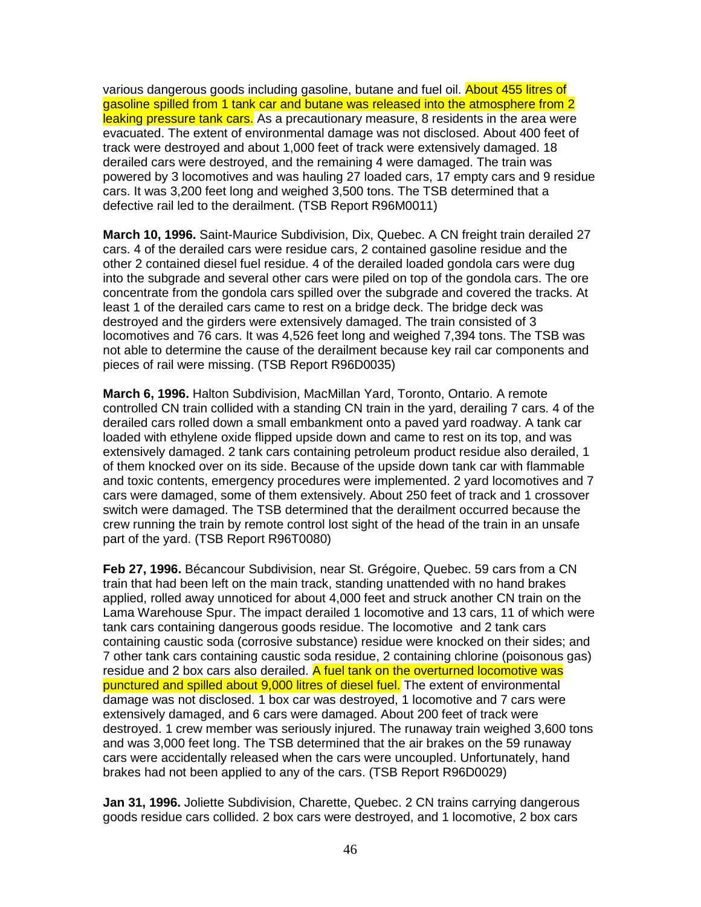various dangerous goods including gasoline, butane and fuel oil. About 455 litres of gasoline spilled from 1 tank car and butane was released into the atmosphere from 2 leaking pressure tank cars. As a precautionary measure, 8 residents in the area were evacuated. The extent of environmental damage was not disclosed. About 400 feet of track were destroyed and about 1,000 feet of track were extensively damaged. 18 derailed cars were destroyed, and the remaining 4 were damaged. The train was powered by 3 locomotives and was hauling 27 loaded cars, 17 empty cars and 9 residue cars. It was 3,200 feet long and weighed 3,500 tons. The TSB determined that a defective rail led to the derailment. (TSB Report R96M0011)

**March 10, 1996.** Saint-Maurice Subdivision, Dix, Quebec. A CN freight train derailed 27 cars. 4 of the derailed cars were residue cars, 2 contained gasoline residue and the other 2 contained diesel fuel residue. 4 of the derailed loaded gondola cars were dug into the subgrade and several other cars were piled on top of the gondola cars. The ore concentrate from the gondola cars spilled over the subgrade and covered the tracks. At least 1 of the derailed cars came to rest on a bridge deck. The bridge deck was destroyed and the girders were extensively damaged. The train consisted of 3 locomotives and 76 cars. It was 4,526 feet long and weighed 7,394 tons. The TSB was not able to determine the cause of the derailment because key rail car components and pieces of rail were missing. (TSB Report R96D0035)

**March 6, 1996.** Halton Subdivision, MacMillan Yard, Toronto, Ontario. A remote controlled CN train collided with a standing CN train in the yard, derailing 7 cars. 4 of the derailed cars rolled down a small embankment onto a paved yard roadway. A tank car loaded with ethylene oxide flipped upside down and came to rest on its top, and was extensively damaged. 2 tank cars containing petroleum product residue also derailed, 1 of them knocked over on its side. Because of the upside down tank car with flammable and toxic contents, emergency procedures were implemented. 2 yard locomotives and 7 cars were damaged, some of them extensively. About 250 feet of track and 1 crossover switch were damaged. The TSB determined that the derailment occurred because the crew running the train by remote control lost sight of the head of the train in an unsafe part of the yard. (TSB Report R96T0080)

**Feb 27, 1996.** Bécancour Subdivision, near St. Grégoire, Quebec. 59 cars from a CN train that had been left on the main track, standing unattended with no hand brakes applied, rolled away unnoticed for about 4,000 feet and struck another CN train on the Lama Warehouse Spur. The impact derailed 1 locomotive and 13 cars, 11 of which were tank cars containing dangerous goods residue. The locomotive and 2 tank cars containing caustic soda (corrosive substance) residue were knocked on their sides; and 7 other tank cars containing caustic soda residue, 2 containing chlorine (poisonous gas) residue and 2 box cars also derailed. A fuel tank on the overturned locomotive was punctured and spilled about 9,000 litres of diesel fuel. The extent of environmental damage was not disclosed. 1 box car was destroyed, 1 locomotive and 7 cars were extensively damaged, and 6 cars were damaged. About 200 feet of track were destroyed. 1 crew member was seriously injured. The runaway train weighed 3,600 tons and was 3,000 feet long. The TSB determined that the air brakes on the 59 runaway cars were accidentally released when the cars were uncoupled. Unfortunately, hand brakes had not been applied to any of the cars. (TSB Report R96D0029)

**Jan 31, 1996.** Joliette Subdivision, Charette, Quebec. 2 CN trains carrying dangerous goods residue cars collided. 2 box cars were destroyed, and 1 locomotive, 2 box cars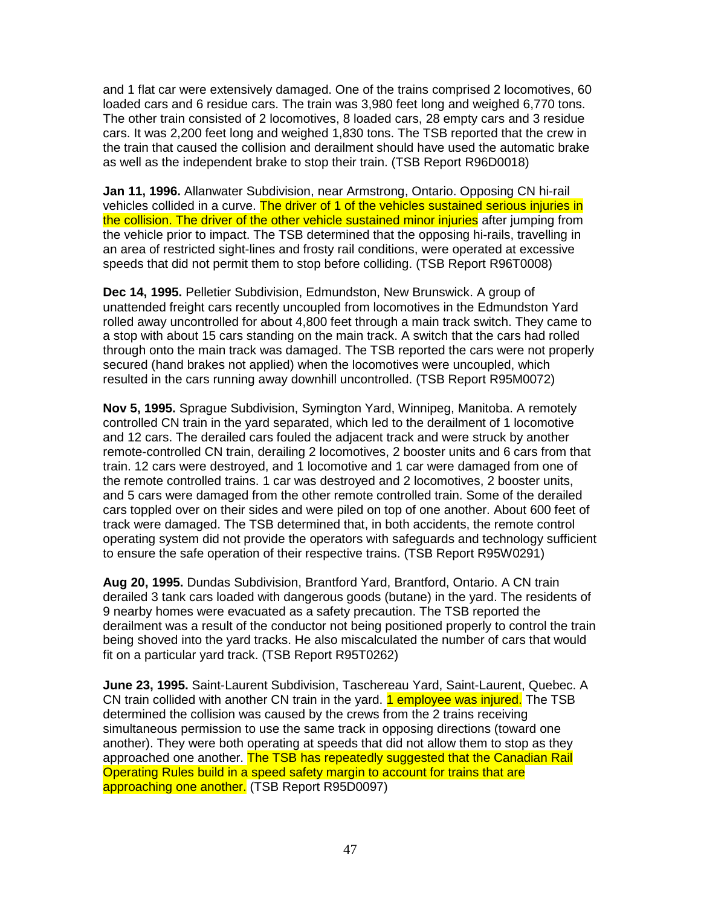and 1 flat car were extensively damaged. One of the trains comprised 2 locomotives, 60 loaded cars and 6 residue cars. The train was 3,980 feet long and weighed 6,770 tons. The other train consisted of 2 locomotives, 8 loaded cars, 28 empty cars and 3 residue cars. It was 2,200 feet long and weighed 1,830 tons. The TSB reported that the crew in the train that caused the collision and derailment should have used the automatic brake as well as the independent brake to stop their train. (TSB Report R96D0018)

**Jan 11, 1996.** Allanwater Subdivision, near Armstrong, Ontario. Opposing CN hi-rail vehicles collided in a curve. The driver of 1 of the vehicles sustained serious injuries in the collision. The driver of the other vehicle sustained minor injuries after jumping from the vehicle prior to impact. The TSB determined that the opposing hi-rails, travelling in an area of restricted sight-lines and frosty rail conditions, were operated at excessive speeds that did not permit them to stop before colliding. (TSB Report R96T0008)

**Dec 14, 1995.** Pelletier Subdivision, Edmundston, New Brunswick. A group of unattended freight cars recently uncoupled from locomotives in the Edmundston Yard rolled away uncontrolled for about 4,800 feet through a main track switch. They came to a stop with about 15 cars standing on the main track. A switch that the cars had rolled through onto the main track was damaged. The TSB reported the cars were not properly secured (hand brakes not applied) when the locomotives were uncoupled, which resulted in the cars running away downhill uncontrolled. (TSB Report R95M0072)

**Nov 5, 1995.** Sprague Subdivision, Symington Yard, Winnipeg, Manitoba. A remotely controlled CN train in the yard separated, which led to the derailment of 1 locomotive and 12 cars. The derailed cars fouled the adjacent track and were struck by another remote-controlled CN train, derailing 2 locomotives, 2 booster units and 6 cars from that train. 12 cars were destroyed, and 1 locomotive and 1 car were damaged from one of the remote controlled trains. 1 car was destroyed and 2 locomotives, 2 booster units, and 5 cars were damaged from the other remote controlled train. Some of the derailed cars toppled over on their sides and were piled on top of one another. About 600 feet of track were damaged. The TSB determined that, in both accidents, the remote control operating system did not provide the operators with safeguards and technology sufficient to ensure the safe operation of their respective trains. (TSB Report R95W0291)

**Aug 20, 1995.** Dundas Subdivision, Brantford Yard, Brantford, Ontario. A CN train derailed 3 tank cars loaded with dangerous goods (butane) in the yard. The residents of 9 nearby homes were evacuated as a safety precaution. The TSB reported the derailment was a result of the conductor not being positioned properly to control the train being shoved into the yard tracks. He also miscalculated the number of cars that would fit on a particular yard track. (TSB Report R95T0262)

**June 23, 1995.** Saint-Laurent Subdivision, Taschereau Yard, Saint-Laurent, Quebec. A CN train collided with another CN train in the yard. 1 employee was injured. The TSB determined the collision was caused by the crews from the 2 trains receiving simultaneous permission to use the same track in opposing directions (toward one another). They were both operating at speeds that did not allow them to stop as they approached one another. The TSB has repeatedly suggested that the Canadian Rail Operating Rules build in a speed safety margin to account for trains that are approaching one another. (TSB Report R95D0097)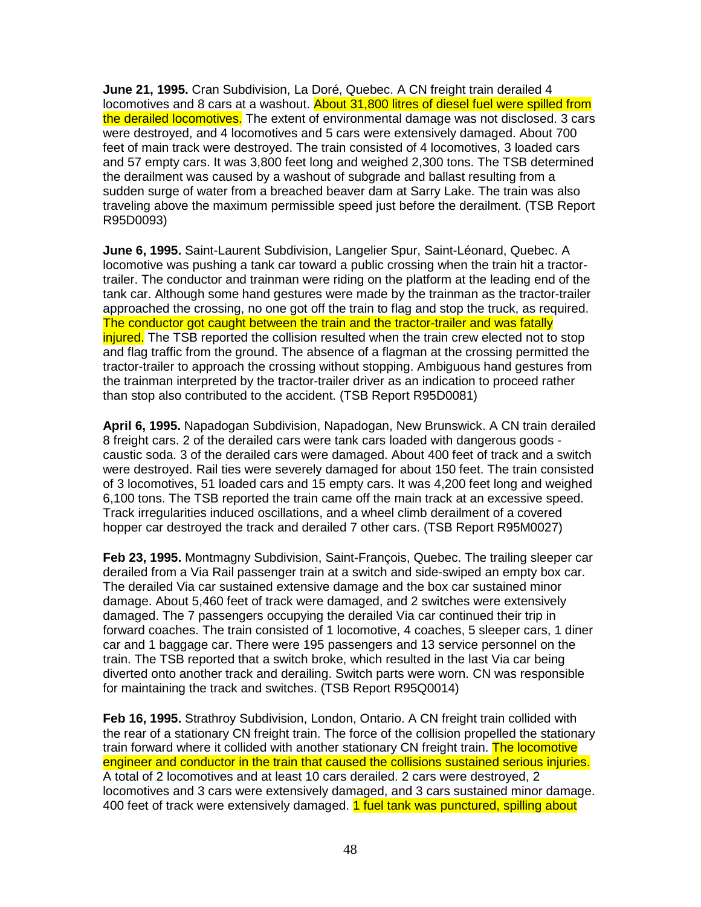**June 21, 1995.** Cran Subdivision, La Doré, Quebec. A CN freight train derailed 4 locomotives and 8 cars at a washout. About 31,800 litres of diesel fuel were spilled from the derailed locomotives. The extent of environmental damage was not disclosed. 3 cars were destroyed, and 4 locomotives and 5 cars were extensively damaged. About 700 feet of main track were destroyed. The train consisted of 4 locomotives, 3 loaded cars and 57 empty cars. It was 3,800 feet long and weighed 2,300 tons. The TSB determined the derailment was caused by a washout of subgrade and ballast resulting from a sudden surge of water from a breached beaver dam at Sarry Lake. The train was also traveling above the maximum permissible speed just before the derailment. (TSB Report R95D0093)

**June 6, 1995.** Saint-Laurent Subdivision, Langelier Spur, Saint-Léonard, Quebec. A locomotive was pushing a tank car toward a public crossing when the train hit a tractortrailer. The conductor and trainman were riding on the platform at the leading end of the tank car. Although some hand gestures were made by the trainman as the tractor-trailer approached the crossing, no one got off the train to flag and stop the truck, as required. The conductor got caught between the train and the tractor-trailer and was fatally injured. The TSB reported the collision resulted when the train crew elected not to stop and flag traffic from the ground. The absence of a flagman at the crossing permitted the tractor-trailer to approach the crossing without stopping. Ambiguous hand gestures from the trainman interpreted by the tractor-trailer driver as an indication to proceed rather than stop also contributed to the accident. (TSB Report R95D0081)

**April 6, 1995.** Napadogan Subdivision, Napadogan, New Brunswick. A CN train derailed 8 freight cars. 2 of the derailed cars were tank cars loaded with dangerous goods caustic soda. 3 of the derailed cars were damaged. About 400 feet of track and a switch were destroyed. Rail ties were severely damaged for about 150 feet. The train consisted of 3 locomotives, 51 loaded cars and 15 empty cars. It was 4,200 feet long and weighed 6,100 tons. The TSB reported the train came off the main track at an excessive speed. Track irregularities induced oscillations, and a wheel climb derailment of a covered hopper car destroyed the track and derailed 7 other cars. (TSB Report R95M0027)

**Feb 23, 1995.** Montmagny Subdivision, Saint-François, Quebec. The trailing sleeper car derailed from a Via Rail passenger train at a switch and side-swiped an empty box car. The derailed Via car sustained extensive damage and the box car sustained minor damage. About 5,460 feet of track were damaged, and 2 switches were extensively damaged. The 7 passengers occupying the derailed Via car continued their trip in forward coaches. The train consisted of 1 locomotive, 4 coaches, 5 sleeper cars, 1 diner car and 1 baggage car. There were 195 passengers and 13 service personnel on the train. The TSB reported that a switch broke, which resulted in the last Via car being diverted onto another track and derailing. Switch parts were worn. CN was responsible for maintaining the track and switches. (TSB Report R95Q0014)

**Feb 16, 1995.** Strathroy Subdivision, London, Ontario. A CN freight train collided with the rear of a stationary CN freight train. The force of the collision propelled the stationary train forward where it collided with another stationary CN freight train. The locomotive engineer and conductor in the train that caused the collisions sustained serious injuries. A total of 2 locomotives and at least 10 cars derailed. 2 cars were destroyed, 2 locomotives and 3 cars were extensively damaged, and 3 cars sustained minor damage. 400 feet of track were extensively damaged. 1 fuel tank was punctured, spilling about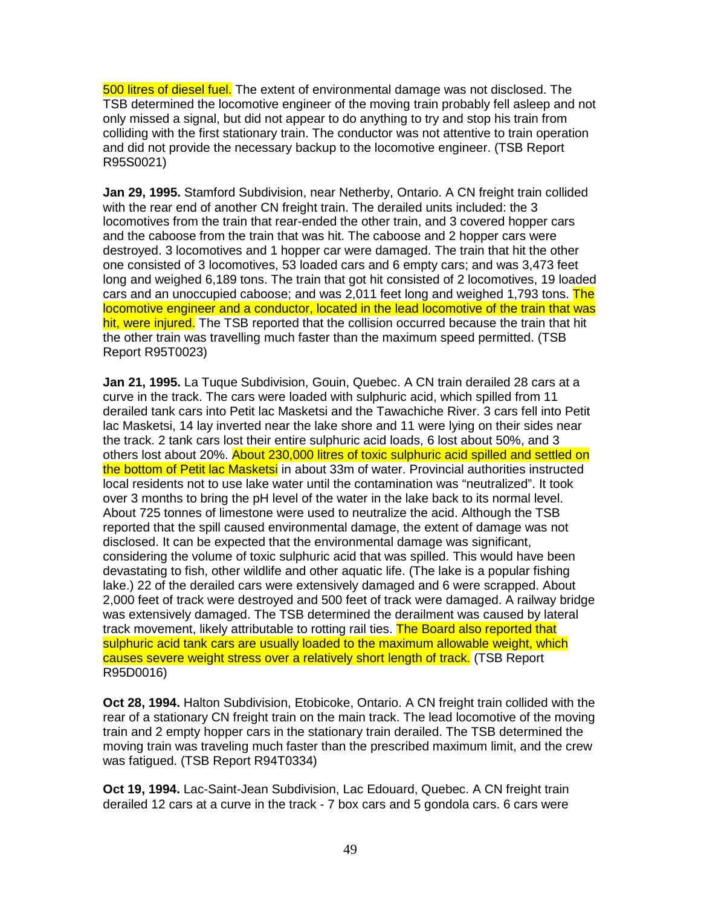500 litres of diesel fuel. The extent of environmental damage was not disclosed. The TSB determined the locomotive engineer of the moving train probably fell asleep and not only missed a signal, but did not appear to do anything to try and stop his train from colliding with the first stationary train. The conductor was not attentive to train operation and did not provide the necessary backup to the locomotive engineer. (TSB Report R95S0021)

**Jan 29, 1995.** Stamford Subdivision, near Netherby, Ontario. A CN freight train collided with the rear end of another CN freight train. The derailed units included: the 3 locomotives from the train that rear-ended the other train, and 3 covered hopper cars and the caboose from the train that was hit. The caboose and 2 hopper cars were destroyed. 3 locomotives and 1 hopper car were damaged. The train that hit the other one consisted of 3 locomotives, 53 loaded cars and 6 empty cars; and was 3,473 feet long and weighed 6,189 tons. The train that got hit consisted of 2 locomotives, 19 loaded cars and an unoccupied caboose; and was 2,011 feet long and weighed 1,793 tons. The locomotive engineer and a conductor, located in the lead locomotive of the train that was hit, were injured. The TSB reported that the collision occurred because the train that hit the other train was travelling much faster than the maximum speed permitted. (TSB Report R95T0023)

**Jan 21, 1995.** La Tuque Subdivision, Gouin, Quebec. A CN train derailed 28 cars at a curve in the track. The cars were loaded with sulphuric acid, which spilled from 11 derailed tank cars into Petit lac Masketsi and the Tawachiche River. 3 cars fell into Petit lac Masketsi, 14 lay inverted near the lake shore and 11 were lying on their sides near the track. 2 tank cars lost their entire sulphuric acid loads, 6 lost about 50%, and 3 others lost about 20%. About 230,000 litres of toxic sulphuric acid spilled and settled on the bottom of Petit lac Masketsi in about 33m of water. Provincial authorities instructed local residents not to use lake water until the contamination was "neutralized". It took over 3 months to bring the pH level of the water in the lake back to its normal level. About 725 tonnes of limestone were used to neutralize the acid. Although the TSB reported that the spill caused environmental damage, the extent of damage was not disclosed. It can be expected that the environmental damage was significant, considering the volume of toxic sulphuric acid that was spilled. This would have been devastating to fish, other wildlife and other aquatic life. (The lake is a popular fishing lake.) 22 of the derailed cars were extensively damaged and 6 were scrapped. About 2,000 feet of track were destroyed and 500 feet of track were damaged. A railway bridge was extensively damaged. The TSB determined the derailment was caused by lateral track movement, likely attributable to rotting rail ties. The Board also reported that sulphuric acid tank cars are usually loaded to the maximum allowable weight, which causes severe weight stress over a relatively short length of track. (TSB Report R95D0016)

**Oct 28, 1994.** Halton Subdivision, Etobicoke, Ontario. A CN freight train collided with the rear of a stationary CN freight train on the main track. The lead locomotive of the moving train and 2 empty hopper cars in the stationary train derailed. The TSB determined the moving train was traveling much faster than the prescribed maximum limit, and the crew was fatigued. (TSB Report R94T0334)

**Oct 19, 1994.** Lac-Saint-Jean Subdivision, Lac Edouard, Quebec. A CN freight train derailed 12 cars at a curve in the track - 7 box cars and 5 gondola cars. 6 cars were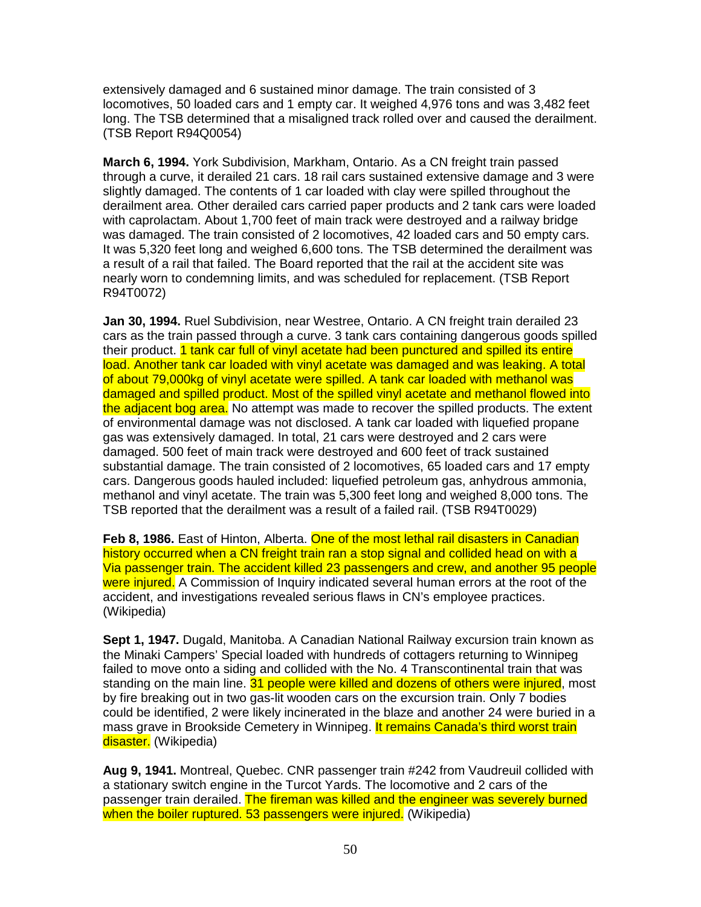extensively damaged and 6 sustained minor damage. The train consisted of 3 locomotives, 50 loaded cars and 1 empty car. It weighed 4,976 tons and was 3,482 feet long. The TSB determined that a misaligned track rolled over and caused the derailment. (TSB Report R94Q0054)

**March 6, 1994.** York Subdivision, Markham, Ontario. As a CN freight train passed through a curve, it derailed 21 cars. 18 rail cars sustained extensive damage and 3 were slightly damaged. The contents of 1 car loaded with clay were spilled throughout the derailment area. Other derailed cars carried paper products and 2 tank cars were loaded with caprolactam. About 1,700 feet of main track were destroyed and a railway bridge was damaged. The train consisted of 2 locomotives, 42 loaded cars and 50 empty cars. It was 5,320 feet long and weighed 6,600 tons. The TSB determined the derailment was a result of a rail that failed. The Board reported that the rail at the accident site was nearly worn to condemning limits, and was scheduled for replacement. (TSB Report R94T0072)

**Jan 30, 1994.** Ruel Subdivision, near Westree, Ontario. A CN freight train derailed 23 cars as the train passed through a curve. 3 tank cars containing dangerous goods spilled their product. 1 tank car full of vinyl acetate had been punctured and spilled its entire load. Another tank car loaded with vinyl acetate was damaged and was leaking. A total of about 79,000kg of vinyl acetate were spilled. A tank car loaded with methanol was damaged and spilled product. Most of the spilled vinyl acetate and methanol flowed into the adjacent bog area. No attempt was made to recover the spilled products. The extent of environmental damage was not disclosed. A tank car loaded with liquefied propane gas was extensively damaged. In total, 21 cars were destroyed and 2 cars were damaged. 500 feet of main track were destroyed and 600 feet of track sustained substantial damage. The train consisted of 2 locomotives, 65 loaded cars and 17 empty cars. Dangerous goods hauled included: liquefied petroleum gas, anhydrous ammonia, methanol and vinyl acetate. The train was 5,300 feet long and weighed 8,000 tons. The TSB reported that the derailment was a result of a failed rail. (TSB R94T0029)

**Feb 8, 1986.** East of Hinton, Alberta. One of the most lethal rail disasters in Canadian history occurred when a CN freight train ran a stop signal and collided head on with a Via passenger train. The accident killed 23 passengers and crew, and another 95 people were injured. A Commission of Inquiry indicated several human errors at the root of the accident, and investigations revealed serious flaws in CN's employee practices. (Wikipedia)

**Sept 1, 1947.** Dugald, Manitoba. A Canadian National Railway excursion train known as the Minaki Campers' Special loaded with hundreds of cottagers returning to Winnipeg failed to move onto a siding and collided with the No. 4 Transcontinental train that was standing on the main line. 31 people were killed and dozens of others were injured, most by fire breaking out in two gas-lit wooden cars on the excursion train. Only 7 bodies could be identified, 2 were likely incinerated in the blaze and another 24 were buried in a mass grave in Brookside Cemetery in Winnipeg. It remains Canada's third worst train disaster. (Wikipedia)

**Aug 9, 1941.** Montreal, Quebec. CNR passenger train #242 from Vaudreuil collided with a stationary switch engine in the Turcot Yards. The locomotive and 2 cars of the passenger train derailed. The fireman was killed and the engineer was severely burned when the boiler ruptured. 53 passengers were injured. (Wikipedia)